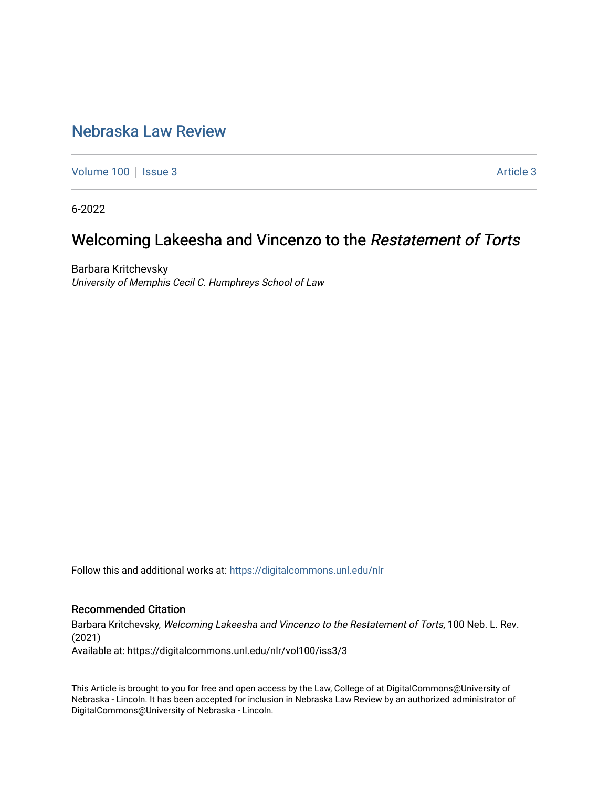## [Nebraska Law Review](https://digitalcommons.unl.edu/nlr)

[Volume 100](https://digitalcommons.unl.edu/nlr/vol100) | [Issue 3](https://digitalcommons.unl.edu/nlr/vol100/iss3) Article 3

6-2022

# Welcoming Lakeesha and Vincenzo to the Restatement of Torts

Barbara Kritchevsky University of Memphis Cecil C. Humphreys School of Law

Follow this and additional works at: [https://digitalcommons.unl.edu/nlr](https://digitalcommons.unl.edu/nlr?utm_source=digitalcommons.unl.edu%2Fnlr%2Fvol100%2Fiss3%2F3&utm_medium=PDF&utm_campaign=PDFCoverPages) 

### Recommended Citation

Barbara Kritchevsky, Welcoming Lakeesha and Vincenzo to the Restatement of Torts, 100 Neb. L. Rev. (2021)

Available at: https://digitalcommons.unl.edu/nlr/vol100/iss3/3

This Article is brought to you for free and open access by the Law, College of at DigitalCommons@University of Nebraska - Lincoln. It has been accepted for inclusion in Nebraska Law Review by an authorized administrator of DigitalCommons@University of Nebraska - Lincoln.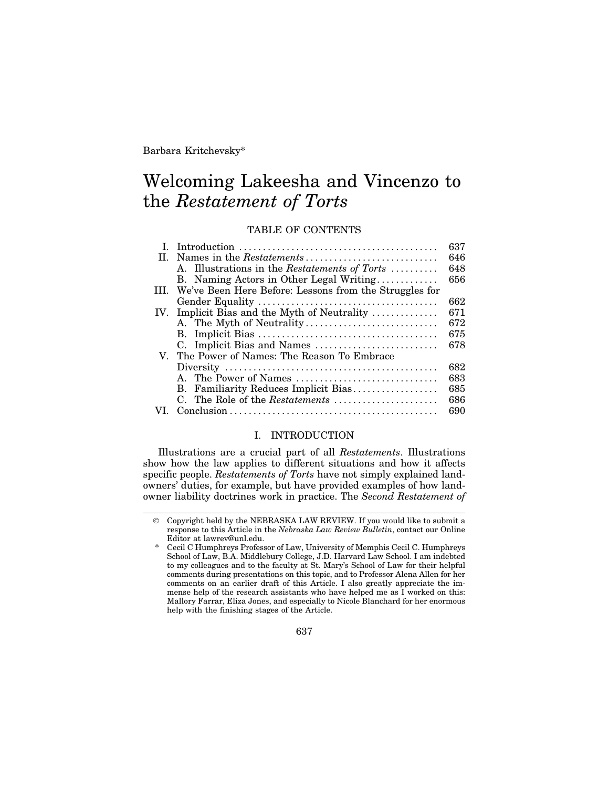Barbara Kritchevsky\*

# Welcoming Lakeesha and Vincenzo to the *Restatement of Torts*

## TABLE OF CONTENTS

|     |                                                        | 637 |
|-----|--------------------------------------------------------|-----|
| Н.  | Names in the <i>Restatements</i>                       | 646 |
|     | A. Illustrations in the Restatements of Torts          | 648 |
|     | B. Naming Actors in Other Legal Writing                | 656 |
| Ш   | We've Been Here Before: Lessons from the Struggles for |     |
|     |                                                        | 662 |
| IV. | Implicit Bias and the Myth of Neutrality               | 671 |
|     | A. The Myth of Neutrality                              | 672 |
|     |                                                        | 675 |
|     |                                                        | 678 |
|     | V. The Power of Names: The Reason To Embrace           |     |
|     |                                                        | 682 |
|     |                                                        | 683 |
|     | B. Familiarity Reduces Implicit Bias                   | 685 |
|     | C. The Role of the Restatements                        | 686 |
|     |                                                        | 690 |

#### I. INTRODUCTION

Illustrations are a crucial part of all *Restatements*. Illustrations show how the law applies to different situations and how it affects specific people. *Restatements of Torts* have not simply explained landowners' duties, for example, but have provided examples of how landowner liability doctrines work in practice. The *Second Restatement of*

637

Copyright held by the NEBRASKA LAW REVIEW. If you would like to submit a response to this Article in the *Nebraska Law Review Bulletin*, contact our Online Editor at lawrev@unl.edu.

<sup>\*</sup> Cecil C Humphreys Professor of Law, University of Memphis Cecil C. Humphreys School of Law, B.A. Middlebury College, J.D. Harvard Law School. I am indebted to my colleagues and to the faculty at St. Mary's School of Law for their helpful comments during presentations on this topic, and to Professor Alena Allen for her comments on an earlier draft of this Article. I also greatly appreciate the immense help of the research assistants who have helped me as I worked on this: Mallory Farrar, Eliza Jones, and especially to Nicole Blanchard for her enormous help with the finishing stages of the Article.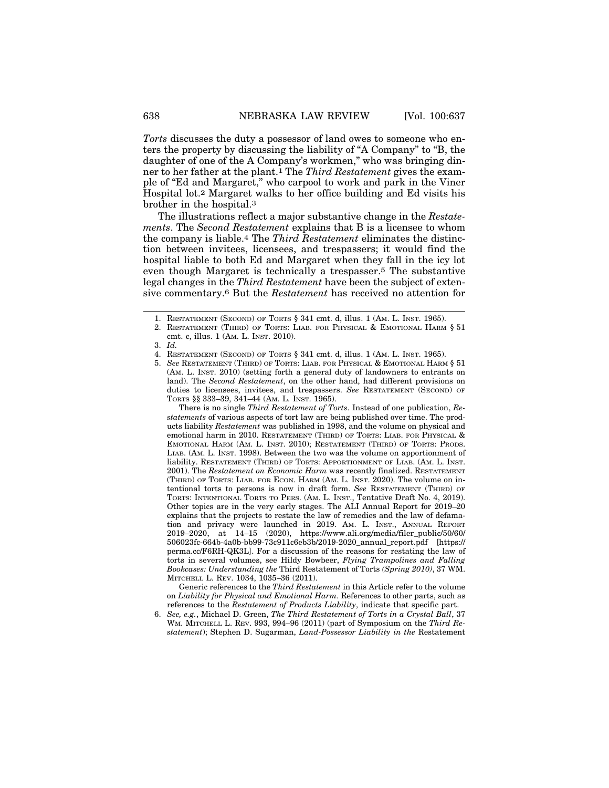*Torts* discusses the duty a possessor of land owes to someone who enters the property by discussing the liability of "A Company" to "B, the daughter of one of the A Company's workmen," who was bringing dinner to her father at the plant.1 The *Third Restatement* gives the example of "Ed and Margaret," who carpool to work and park in the Viner Hospital lot.2 Margaret walks to her office building and Ed visits his brother in the hospital.3

The illustrations reflect a major substantive change in the *Restatements*. The *Second Restatement* explains that B is a licensee to whom the company is liable.4 The *Third Restatement* eliminates the distinction between invitees, licensees, and trespassers; it would find the hospital liable to both Ed and Margaret when they fall in the icy lot even though Margaret is technically a trespasser.5 The substantive legal changes in the *Third Restatement* have been the subject of extensive commentary.6 But the *Restatement* has received no attention for

There is no single *Third Restatement of Torts*. Instead of one publication, *Restatements* of various aspects of tort law are being published over time. The products liability *Restatement* was published in 1998, and the volume on physical and emotional harm in 2010. RESTATEMENT (THIRD) OF TORTS: LIAB. FOR PHYSICAL & EMOTIONAL HARM (AM. L. INST. 2010); RESTATEMENT (THIRD) OF TORTS: PRODS. LIAB. (AM. L. INST. 1998). Between the two was the volume on apportionment of liability. RESTATEMENT (THIRD) OF TORTS: APPORTIONMENT OF LIAB. (AM. L. INST. 2001). The *Restatement on Economic Harm* was recently finalized. RESTATEMENT (THIRD) OF TORTS: LIAB. FOR ECON. HARM (AM. L. INST. 2020). The volume on intentional torts to persons is now in draft form. *See* RESTATEMENT (THIRD) OF TORTS: INTENTIONAL TORTS TO PERS. (AM. L. INST., Tentative Draft No. 4, 2019). Other topics are in the very early stages. The ALI Annual Report for 2019–20 explains that the projects to restate the law of remedies and the law of defamation and privacy were launched in 2019. AM. L. INST., ANNUAL REPORT 2019–2020, at 14–15 (2020), https://www.ali.org/media/filer\_public/50/60/ 506023fc-664b-4a0b-bb99-73c911c6eb3b/2019-2020\_annual\_report.pdf [https:// perma.cc/F6RH-QK3L]. For a discussion of the reasons for restating the law of torts in several volumes, see Hildy Bowbeer, *Flying Trampolines and Falling Bookcases: Understanding the* Third Restatement of Torts *(Spring 2010)*, 37 WM. MITCHELL L. REV. 1034, 1035–36 (2011).

Generic references to the *Third Restatement* in this Article refer to the volume on *Liability for Physical and Emotional Harm*. References to other parts, such as references to the *Restatement of Products Liability*, indicate that specific part.

6. *See, e.g.*, Michael D. Green, *The Third Restatement of Torts in a Crystal Ball*, 37 WM. MITCHELL L. REV. 993, 994–96 (2011) (part of Symposium on the *Third Restatement*); Stephen D. Sugarman, *Land-Possessor Liability in the* Restatement

<sup>1.</sup> RESTATEMENT (SECOND) OF TORTS § 341 cmt. d, illus. 1 (AM. L. INST. 1965).

<sup>2.</sup> RESTATEMENT (THIRD) OF TORTS: LIAB. FOR PHYSICAL & EMOTIONAL HARM § 51 cmt. c, illus. 1 (AM. L. INST. 2010).

<sup>3.</sup> *Id.*

<sup>4.</sup> RESTATEMENT (SECOND) OF TORTS § 341 cmt. d, illus. 1 (AM. L. INST. 1965).

<sup>5.</sup> *See* RESTATEMENT (THIRD) OF TORTS: LIAB. FOR PHYSICAL & EMOTIONAL HARM § 51 (AM. L. INST. 2010) (setting forth a general duty of landowners to entrants on land). The *Second Restatement*, on the other hand, had different provisions on duties to licensees, invitees, and trespassers. *See* RESTATEMENT (SECOND) OF TORTS §§ 333–39, 341–44 (AM. L. INST. 1965).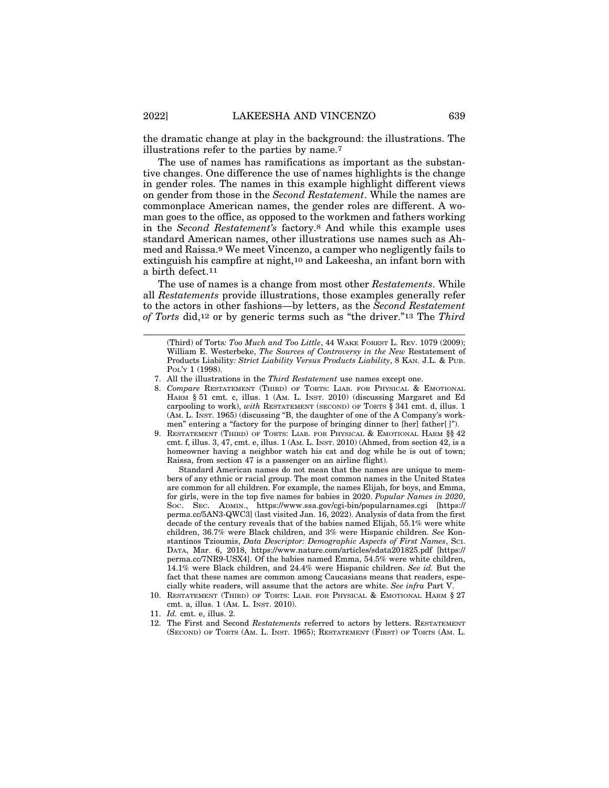the dramatic change at play in the background: the illustrations. The illustrations refer to the parties by name.7

The use of names has ramifications as important as the substantive changes. One difference the use of names highlights is the change in gender roles. The names in this example highlight different views on gender from those in the *Second Restatement*. While the names are commonplace American names, the gender roles are different. A woman goes to the office, as opposed to the workmen and fathers working in the *Second Restatement's* factory.8 And while this example uses standard American names, other illustrations use names such as Ahmed and Raissa.9 We meet Vincenzo, a camper who negligently fails to extinguish his campfire at night,<sup>10</sup> and Lakeesha, an infant born with a birth defect.11

The use of names is a change from most other *Restatements*. While all *Restatements* provide illustrations, those examples generally refer to the actors in other fashions—by letters, as the *Second Restatement of Torts* did,12 or by generic terms such as "the driver."13 The *Third*

Standard American names do not mean that the names are unique to members of any ethnic or racial group. The most common names in the United States are common for all children. For example, the names Elijah, for boys, and Emma, for girls, were in the top five names for babies in 2020. *Popular Names in 2020*, SOC. SEC. ADMIN., https://www.ssa.gov/cgi-bin/popularnames.cgi [https:// perma.cc/5AN3-QWC3] (last visited Jan. 16, 2022). Analysis of data from the first decade of the century reveals that of the babies named Elijah, 55.1% were white children, 36.7% were Black children, and 3% were Hispanic children. *See* Konstantinos Tzioumis, *Data Descriptor: Demographic Aspects of First Names*, SCI. DATA, Mar. 6, 2018, https://www.nature.com/articles/sdata201825.pdf [https:// perma.cc/7NR9-USX4]. Of the babies named Emma, 54.5% were white children, 14.1% were Black children, and 24.4% were Hispanic children. *See id.* But the fact that these names are common among Caucasians means that readers, especially white readers, will assume that the actors are white. *See infra* Part V.

<sup>(</sup>Third) of Torts*: Too Much and Too Little*, 44 WAKE FOREST L. REV. 1079 (2009); William E. Westerbeke, *The Sources of Controversy in the New* Restatement of Products Liability*: Strict Liability Versus Products Liability*, 8 KAN. J.L. & PUB. POL'Y 1 (1998).

<sup>7.</sup> All the illustrations in the *Third Restatement* use names except one.

<sup>8.</sup> *Compare* RESTATEMENT (THIRD) OF TORTS: LIAB. FOR PHYSICAL & EMOTIONAL HARM § 51 cmt. c, illus. 1 (AM. L. INST. 2010) (discussing Margaret and Ed carpooling to work), *with* RESTATEMENT (SECOND) OF TORTS § 341 cmt. d, illus. 1 (AM. L. INST. 1965) (discussing "B, the daughter of one of the A Company's workmen" entering a "factory for the purpose of bringing dinner to [her] father[ ]").

<sup>9.</sup> RESTATEMENT (THIRD) OF TORTS: LIAB. FOR PHYSICAL & EMOTIONAL HARM §§ 42 cmt. f, illus. 3, 47, cmt. e, illus. 1 (AM. L. INST. 2010) (Ahmed, from section 42, is a homeowner having a neighbor watch his cat and dog while he is out of town; Raissa, from section 47 is a passenger on an airline flight).

<sup>10.</sup> RESTATEMENT (THIRD) OF TORTS: LIAB. FOR PHYSICAL & EMOTIONAL HARM § 27 cmt. a, illus. 1 (AM. L. INST. 2010).

<sup>11.</sup> *Id.* cmt. e, illus. 2.

<sup>12.</sup> The First and Second *Restatements* referred to actors by letters. RESTATEMENT (SECOND) OF TORTS (AM. L. INST. 1965); RESTATEMENT (FIRST) OF TORTS (AM. L.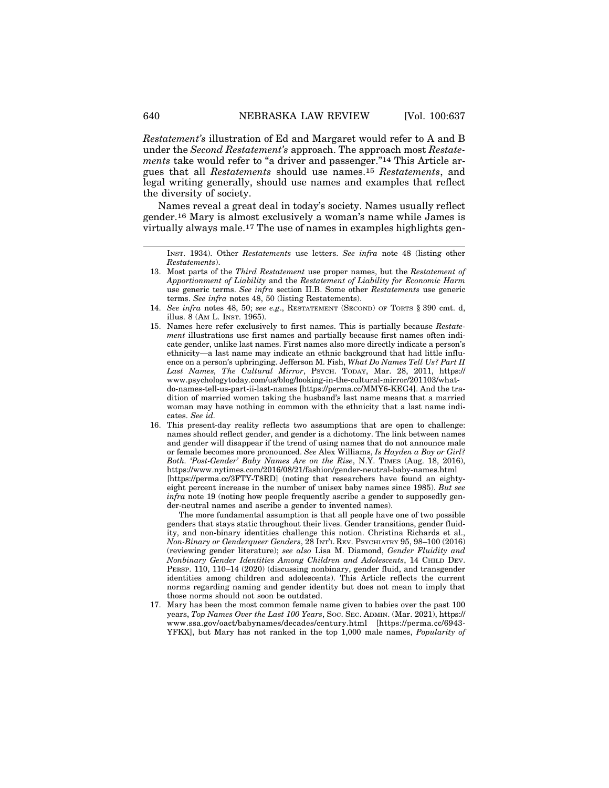*Restatement's* illustration of Ed and Margaret would refer to A and B under the *Second Restatement's* approach. The approach most *Restatements* take would refer to "a driver and passenger."14 This Article argues that all *Restatements* should use names.15 *Restatements*, and legal writing generally, should use names and examples that reflect the diversity of society.

Names reveal a great deal in today's society. Names usually reflect gender.16 Mary is almost exclusively a woman's name while James is virtually always male.17 The use of names in examples highlights gen-

- 14. *See infra* notes 48, 50; *see e.g*., RESTATEMENT (SECOND) OF TORTS § 390 cmt. d, illus. 8 (AM L. INST. 1965).
- 15. Names here refer exclusively to first names. This is partially because *Restatement* illustrations use first names and partially because first names often indicate gender, unlike last names. First names also more directly indicate a person's ethnicity—a last name may indicate an ethnic background that had little influence on a person's upbringing. Jefferson M. Fish, *What Do Names Tell Us? Part II* Last Names, The Cultural Mirror, PSYCH. TODAY, Mar. 28, 2011, https:// www.psychologytoday.com/us/blog/looking-in-the-cultural-mirror/201103/whatdo-names-tell-us-part-ii-last-names [https://perma.cc/MMY6-KEG4]. And the tradition of married women taking the husband's last name means that a married woman may have nothing in common with the ethnicity that a last name indicates. *See id.*
- 16. This present-day reality reflects two assumptions that are open to challenge: names should reflect gender, and gender is a dichotomy. The link between names and gender will disappear if the trend of using names that do not announce male or female becomes more pronounced. *See* Alex Williams, *Is Hayden a Boy or Girl? Both. 'Post-Gender' Baby Names Are on the Rise*, N.Y. TIMES (Aug. 18, 2016), https://www.nytimes.com/2016/08/21/fashion/gender-neutral-baby-names.html [https://perma.cc/3FTY-T8RD] (noting that researchers have found an eightyeight percent increase in the number of unisex baby names since 1985). *But see infra* note 19 (noting how people frequently ascribe a gender to supposedly gender-neutral names and ascribe a gender to invented names).

The more fundamental assumption is that all people have one of two possible genders that stays static throughout their lives. Gender transitions, gender fluidity, and non-binary identities challenge this notion. Christina Richards et al., *Non-Binary or Genderqueer Genders*, 28 INT'L REV. PSYCHIATRY 95, 98–100 (2016) (reviewing gender literature); *see also* Lisa M. Diamond, *Gender Fluidity and Nonbinary Gender Identities Among Children and Adolescents*, 14 CHILD DEV. PERSP. 110, 110–14 (2020) (discussing nonbinary, gender fluid, and transgender identities among children and adolescents). This Article reflects the current norms regarding naming and gender identity but does not mean to imply that those norms should not soon be outdated.

17. Mary has been the most common female name given to babies over the past 100 years, *Top Names Over the Last 100 Years*, SOC. SEC. ADMIN. (Mar. 2021), https:// www.ssa.gov/oact/babynames/decades/century.html [https://perma.cc/6943- YFKX], but Mary has not ranked in the top 1,000 male names, *Popularity of*

INST. 1934). Other *Restatements* use letters. *See infra* note 48 (listing other *Restatements*).

<sup>13.</sup> Most parts of the *Third Restatement* use proper names, but the *Restatement of Apportionment of Liability* and the *Restatement of Liability for Economic Harm* use generic terms. *See infra* section II.B. Some other *Restatements* use generic terms. *See infra* notes 48, 50 (listing Restatements).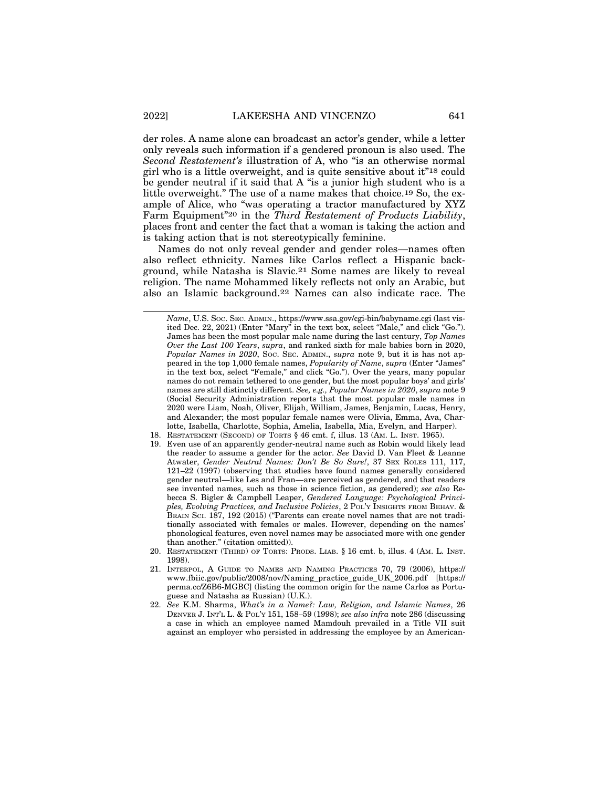der roles. A name alone can broadcast an actor's gender, while a letter only reveals such information if a gendered pronoun is also used. The *Second Restatement's* illustration of A, who "is an otherwise normal girl who is a little overweight, and is quite sensitive about it"18 could be gender neutral if it said that A "is a junior high student who is a little overweight." The use of a name makes that choice.19 So, the example of Alice, who "was operating a tractor manufactured by XYZ Farm Equipment"20 in the *Third Restatement of Products Liability*, places front and center the fact that a woman is taking the action and is taking action that is not stereotypically feminine.

Names do not only reveal gender and gender roles—names often also reflect ethnicity. Names like Carlos reflect a Hispanic background, while Natasha is Slavic.21 Some names are likely to reveal religion. The name Mohammed likely reflects not only an Arabic, but also an Islamic background.22 Names can also indicate race. The

- 18. RESTATEMENT (SECOND) OF TORTS § 46 cmt. f, illus. 13 (AM. L. INST. 1965).
- 19. Even use of an apparently gender-neutral name such as Robin would likely lead the reader to assume a gender for the actor. *See* David D. Van Fleet & Leanne Atwater, *Gender Neutral Names: Don't Be So Sure!*, 37 SEX ROLES 111, 117, 121–22 (1997) (observing that studies have found names generally considered gender neutral—like Les and Fran—are perceived as gendered, and that readers see invented names, such as those in science fiction, as gendered); *see also* Rebecca S. Bigler & Campbell Leaper, *Gendered Language: Psychological Principles, Evolving Practices, and Inclusive Policies*, 2 POL'Y INSIGHTS FROM BEHAV. & BRAIN SCI. 187, 192 (2015) ("Parents can create novel names that are not traditionally associated with females or males. However, depending on the names' phonological features, even novel names may be associated more with one gender than another." (citation omitted)).
- 20. RESTATEMENT (THIRD) OF TORTS: PRODS. LIAB. § 16 cmt. b, illus. 4 (AM. L. INST. 1998).
- 21. INTERPOL, A GUIDE TO NAMES AND NAMING PRACTICES 70, 79 (2006), https:// www.fbiic.gov/public/2008/nov/Naming\_practice\_guide\_UK\_2006.pdf [https:// perma.cc/Z6B6-MGBC] (listing the common origin for the name Carlos as Portuguese and Natasha as Russian) (U.K.).
- 22. *See* K.M. Sharma, *What's in a Name?: Law, Religion, and Islamic Names*, 26 DENVER J. INT'L L. & POL'Y 151, 158–59 (1998); *see also infra* note 286 (discussing a case in which an employee named Mamdouh prevailed in a Title VII suit against an employer who persisted in addressing the employee by an American-

*Name*, U.S. SOC. SEC. ADMIN., https://www.ssa.gov/cgi-bin/babyname.cgi (last visited Dec. 22, 2021) (Enter "Mary" in the text box, select "Male," and click "Go."). James has been the most popular male name during the last century, *Top Names Over the Last 100 Years*, *supra*, and ranked sixth for male babies born in 2020, *Popular Names in 2020*, Soc. SEC. ADMIN., *supra* note 9, but it is has not appeared in the top 1,000 female names, *Popularity of Name*, *supra* (Enter "James" in the text box, select "Female," and click "Go."). Over the years, many popular names do not remain tethered to one gender, but the most popular boys' and girls' names are still distinctly different. *See, e.g., Popular Names in 2020*, *supra* note 9 (Social Security Administration reports that the most popular male names in 2020 were Liam, Noah, Oliver, Elijah, William, James, Benjamin, Lucas, Henry, and Alexander; the most popular female names were Olivia, Emma, Ava, Charlotte, Isabella, Charlotte, Sophia, Amelia, Isabella, Mia, Evelyn, and Harper).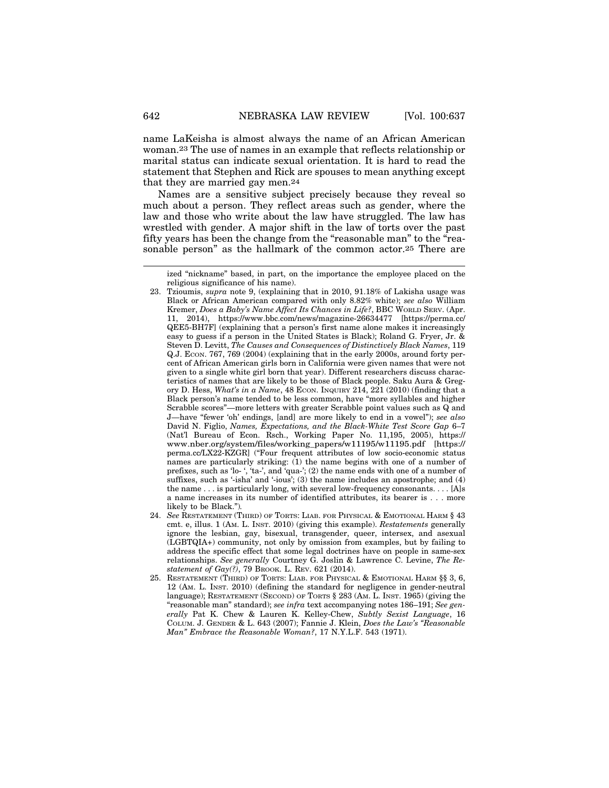name LaKeisha is almost always the name of an African American woman.23 The use of names in an example that reflects relationship or marital status can indicate sexual orientation. It is hard to read the statement that Stephen and Rick are spouses to mean anything except that they are married gay men.24

Names are a sensitive subject precisely because they reveal so much about a person. They reflect areas such as gender, where the law and those who write about the law have struggled. The law has wrestled with gender. A major shift in the law of torts over the past fifty years has been the change from the "reasonable man" to the "reasonable person" as the hallmark of the common actor.25 There are

- 24. *See* RESTATEMENT (THIRD) OF TORTS: LIAB. FOR PHYSICAL & EMOTIONAL HARM § 43 cmt. e, illus. 1 (AM. L. INST. 2010) (giving this example). *Restatements* generally ignore the lesbian, gay, bisexual, transgender, queer, intersex, and asexual (LGBTQIA+) community, not only by omission from examples, but by failing to address the specific effect that some legal doctrines have on people in same-sex relationships. *See generally* Courtney G. Joslin & Lawrence C. Levine, *The Restatement of Gay(?)*, 79 BROOK. L. REV. 621 (2014).
- 25. RESTATEMENT (THIRD) OF TORTS: LIAB. FOR PHYSICAL & EMOTIONAL HARM §§ 3, 6, 12 (AM. L. INST. 2010) (defining the standard for negligence in gender-neutral language); RESTATEMENT (SECOND) OF TORTS § 283 (AM. L. INST. 1965) (giving the "reasonable man" standard); *see infra* text accompanying notes 186–191; *See generally* Pat K. Chew & Lauren K. Kelley-Chew, *Subtly Sexist Language*, 16 COLUM. J. GENDER & L. 643 (2007); Fannie J. Klein, *Does the Law's "Reasonable Man" Embrace the Reasonable Woman?*, 17 N.Y.L.F. 543 (1971).

ized "nickname" based, in part, on the importance the employee placed on the religious significance of his name).

<sup>23.</sup> Tzioumis, *supra* note 9, (explaining that in 2010, 91.18% of Lakisha usage was Black or African American compared with only 8.82% white); *see also* William Kremer, *Does a Baby's Name Affect Its Chances in Life?*, BBC WORLD SERV. (Apr. 11, 2014), https://www.bbc.com/news/magazine-26634477 [https://perma.cc/ QEE5-BH7F] (explaining that a person's first name alone makes it increasingly easy to guess if a person in the United States is Black); Roland G. Fryer, Jr. & Steven D. Levitt, *The Causes and Consequences of Distinctively Black Names*, 119 Q.J. ECON. 767, 769 (2004) (explaining that in the early 2000s, around forty percent of African American girls born in California were given names that were not given to a single white girl born that year). Different researchers discuss characteristics of names that are likely to be those of Black people. Saku Aura & Gregory D. Hess, *What's in a Name*, 48 ECON. INQUIRY 214, 221 (2010) (finding that a Black person's name tended to be less common, have "more syllables and higher Scrabble scores"—more letters with greater Scrabble point values such as Q and J—have "fewer 'oh' endings, [and] are more likely to end in a vowel"); *see also* David N. Figlio, *Names, Expectations, and the Black-White Test Score Gap* 6–7 (Nat'l Bureau of Econ. Rsch., Working Paper No. 11,195, 2005), https:// www.nber.org/system/files/working\_papers/w11195/w11195.pdf [https:// perma.cc/LX22-KZGR] ("Four frequent attributes of low socio-economic status names are particularly striking: (1) the name begins with one of a number of prefixes, such as 'lo- ', 'ta-', and 'qua-'; (2) the name ends with one of a number of suffixes, such as '-isha' and '-ious'; (3) the name includes an apostrophe; and (4) the name . . . is particularly long, with several low-frequency consonants. . . . [A]s a name increases in its number of identified attributes, its bearer is . . . more likely to be Black.")*.*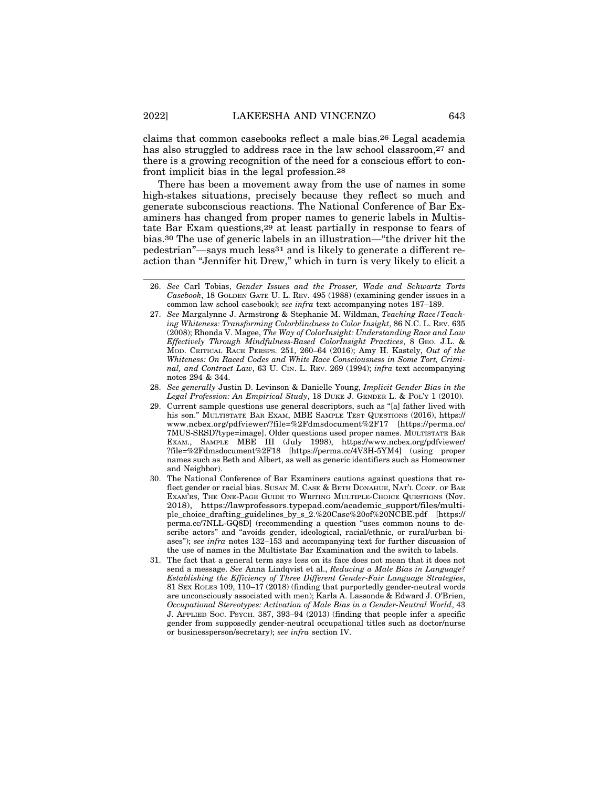claims that common casebooks reflect a male bias.26 Legal academia has also struggled to address race in the law school classroom,<sup>27</sup> and there is a growing recognition of the need for a conscious effort to confront implicit bias in the legal profession.28

There has been a movement away from the use of names in some high-stakes situations, precisely because they reflect so much and generate subconscious reactions. The National Conference of Bar Examiners has changed from proper names to generic labels in Multistate Bar Exam questions,29 at least partially in response to fears of bias.30 The use of generic labels in an illustration—"the driver hit the pedestrian"—says much less31 and is likely to generate a different reaction than "Jennifer hit Drew," which in turn is very likely to elicit a

<sup>26.</sup> *See* Carl Tobias, *Gender Issues and the Prosser, Wade and Schwartz Torts Casebook*, 18 GOLDEN GATE U. L. REV. 495 (1988) (examining gender issues in a common law school casebook); *see infra* text accompanying notes 187–189.

<sup>27.</sup> *See* Margalynne J. Armstrong & Stephanie M. Wildman, *Teaching Race/Teaching Whiteness: Transforming Colorblindness to Color Insight*, 86 N.C. L. REV. 635 (2008); Rhonda V. Magee, *The Way of ColorInsight: Understanding Race and Law Effectively Through Mindfulness-Based ColorInsight Practices*, 8 GEO. J.L. & MOD. CRITICAL RACE PERSPS. 251, 260–64 (2016); Amy H. Kastely, *Out of the Whiteness: On Raced Codes and White Race Consciousness in Some Tort, Criminal, and Contract Law*, 63 U. CIN. L. REV. 269 (1994); *infra* text accompanying notes 294 & 344.

<sup>28.</sup> *See generally* Justin D. Levinson & Danielle Young, *Implicit Gender Bias in the Legal Profession: An Empirical Study*, 18 DUKE J. GENDER L. & POL'Y 1 (2010).

<sup>29.</sup> Current sample questions use general descriptors, such as "[a] father lived with his son." MULTISTATE BAR EXAM, MBE SAMPLE TEST QUESTIONS (2016), https:// www.ncbex.org/pdfviewer/?file=%2Fdmsdocument%2F17 [https://perma.cc/ 7MUS-SRSD?type=image]. Older questions used proper names. MULTISTATE BAR EXAM., SAMPLE MBE III (July 1998), https://www.ncbex.org/pdfviewer/ ?file=%2Fdmsdocument%2F18 [https://perma.cc/4V3H-5YM4] (using proper names such as Beth and Albert, as well as generic identifiers such as Homeowner and Neighbor).

<sup>30.</sup> The National Conference of Bar Examiners cautions against questions that reflect gender or racial bias. SUSAN M. CASE & BETH DONAHUE, NAT'L CONF. OF BAR EXAM'RS, THE ONE-PAGE GUIDE TO WRITING MULTIPLE-CHOICE QUESTIONS (Nov. 2018), https://lawprofessors.typepad.com/academic\_support/files/multiple\_choice\_drafting\_guidelines\_by\_s\_2.%20Case%20of%20NCBE.pdf [https:// perma.cc/7NLL-GQ8D] (recommending a question "uses common nouns to describe actors" and "avoids gender, ideological, racial/ethnic, or rural/urban biases"); *see infra* notes 132–153 and accompanying text for further discussion of the use of names in the Multistate Bar Examination and the switch to labels.

<sup>31.</sup> The fact that a general term says less on its face does not mean that it does not send a message. *See* Anna Lindqvist et al., *Reducing a Male Bias in Language? Establishing the Efficiency of Three Different Gender-Fair Language Strategies*, 81 SEX ROLES 109, 110–17 (2018) (finding that purportedly gender-neutral words are unconsciously associated with men); Karla A. Lassonde & Edward J. O'Brien, *Occupational Stereotypes: Activation of Male Bias in a Gender-Neutral World*, 43 J. APPLIED SOC. PSYCH. 387, 393–94 (2013) (finding that people infer a specific gender from supposedly gender-neutral occupational titles such as doctor/nurse or businessperson/secretary); *see infra* section IV.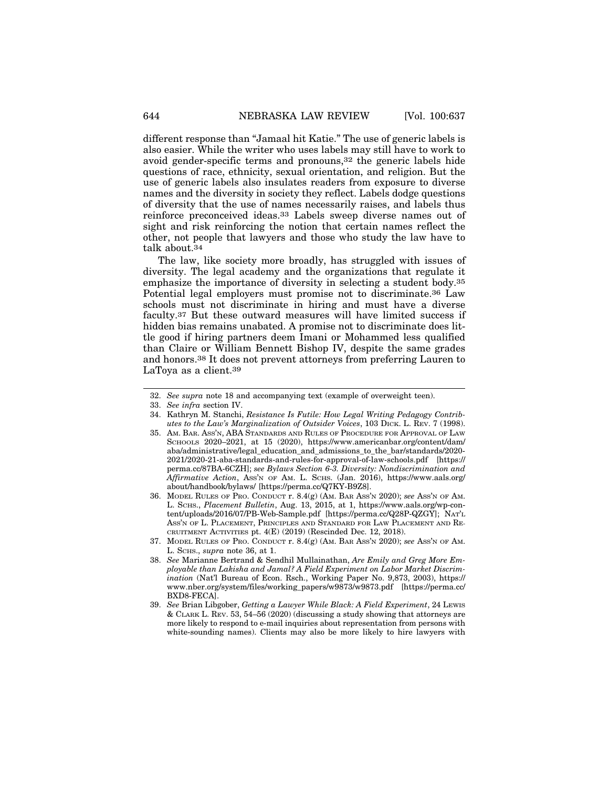different response than "Jamaal hit Katie." The use of generic labels is also easier. While the writer who uses labels may still have to work to avoid gender-specific terms and pronouns,32 the generic labels hide questions of race, ethnicity, sexual orientation, and religion. But the use of generic labels also insulates readers from exposure to diverse names and the diversity in society they reflect. Labels dodge questions of diversity that the use of names necessarily raises, and labels thus reinforce preconceived ideas.33 Labels sweep diverse names out of sight and risk reinforcing the notion that certain names reflect the other, not people that lawyers and those who study the law have to talk about.34

The law, like society more broadly, has struggled with issues of diversity. The legal academy and the organizations that regulate it emphasize the importance of diversity in selecting a student body.35 Potential legal employers must promise not to discriminate.36 Law schools must not discriminate in hiring and must have a diverse faculty.37 But these outward measures will have limited success if hidden bias remains unabated. A promise not to discriminate does little good if hiring partners deem Imani or Mohammed less qualified than Claire or William Bennett Bishop IV, despite the same grades and honors.38 It does not prevent attorneys from preferring Lauren to LaToya as a client.39

- 34. Kathryn M. Stanchi, *Resistance Is Futile: How Legal Writing Pedagogy Contributes to the Law's Marginalization of Outsider Voices*, 103 DICK. L. REV. 7 (1998).
- 35. AM. BAR. ASS'N, ABA STANDARDS AND RULES OF PROCEDURE FOR APPROVAL OF LAW SCHOOLS 2020–2021, at 15 (2020), https://www.americanbar.org/content/dam/ aba/administrative/legal\_education\_and\_admissions\_to\_the\_bar/standards/2020- 2021/2020-21-aba-standards-and-rules-for-approval-of-law-schools.pdf [https:// perma.cc/87BA-6CZH]; *see Bylaws Section 6-3. Diversity: Nondiscrimination and Affirmative Action*, ASS'N OF AM. L. SCHS. (Jan. 2016), https://www.aals.org/ about/handbook/bylaws/ [https://perma.cc/Q7KY-B9Z8].
- 36. MODEL RULES OF PRO. CONDUCT r. 8.4(g) (AM. BAR ASS'N 2020); *see* ASS'N OF AM. L. SCHS., *Placement Bulletin*, Aug. 13, 2015, at 1, https://www.aals.org/wp-content/uploads/2016/07/PB-Web-Sample.pdf [https://perma.cc/Q28P-QZGY]; NAT'L ASS'N OF L. PLACEMENT, PRINCIPLES AND STANDARD FOR LAW PLACEMENT AND RE-CRUITMENT ACTIVITIES pt. 4(E) (2019) (Rescinded Dec. 12, 2018).
- 37. MODEL RULES OF PRO. CONDUCT r. 8.4(g) (AM. BAR ASS'N 2020); *see* ASS'N OF AM. L. SCHS., *supra* note 36, at 1.
- 38. *See* Marianne Bertrand & Sendhil Mullainathan, *Are Emily and Greg More Employable than Lakisha and Jamal? A Field Experiment on Labor Market Discrimination* (Nat'l Bureau of Econ. Rsch., Working Paper No. 9,873, 2003), https:// www.nber.org/system/files/working\_papers/w9873/w9873.pdf [https://perma.cc/ BXD8-FECA].
- 39. *See* Brian Libgober, *Getting a Lawyer While Black: A Field Experiment*, 24 LEWIS & CLARK L. REV. 53, 54–56 (2020) (discussing a study showing that attorneys are more likely to respond to e-mail inquiries about representation from persons with white-sounding names). Clients may also be more likely to hire lawyers with

<sup>32.</sup> *See supra* note 18 and accompanying text (example of overweight teen).

<sup>33.</sup> *See infra* section IV.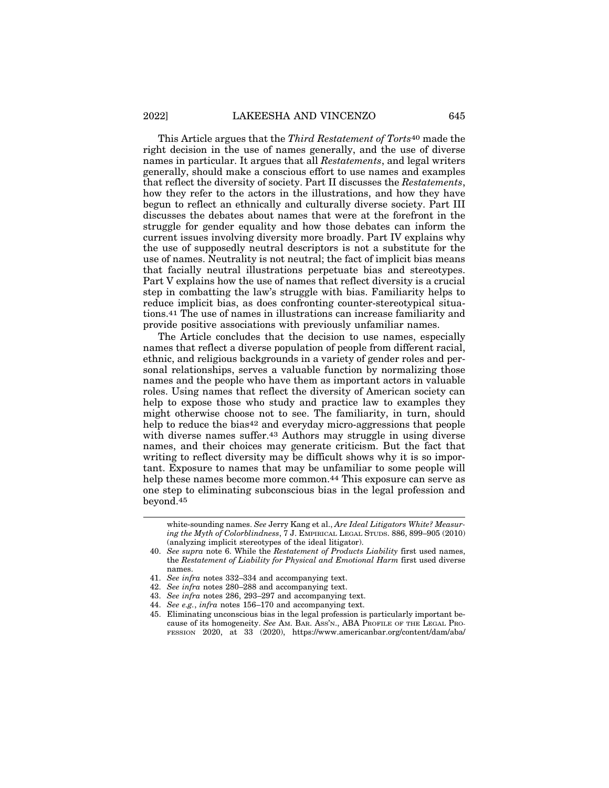This Article argues that the *Third Restatement of Torts*40 made the right decision in the use of names generally, and the use of diverse names in particular. It argues that all *Restatements*, and legal writers generally, should make a conscious effort to use names and examples that reflect the diversity of society. Part II discusses the *Restatements*, how they refer to the actors in the illustrations, and how they have begun to reflect an ethnically and culturally diverse society. Part III discusses the debates about names that were at the forefront in the struggle for gender equality and how those debates can inform the current issues involving diversity more broadly. Part IV explains why the use of supposedly neutral descriptors is not a substitute for the use of names. Neutrality is not neutral; the fact of implicit bias means that facially neutral illustrations perpetuate bias and stereotypes. Part V explains how the use of names that reflect diversity is a crucial step in combatting the law's struggle with bias. Familiarity helps to reduce implicit bias, as does confronting counter-stereotypical situations.41 The use of names in illustrations can increase familiarity and provide positive associations with previously unfamiliar names.

The Article concludes that the decision to use names, especially names that reflect a diverse population of people from different racial, ethnic, and religious backgrounds in a variety of gender roles and personal relationships, serves a valuable function by normalizing those names and the people who have them as important actors in valuable roles. Using names that reflect the diversity of American society can help to expose those who study and practice law to examples they might otherwise choose not to see. The familiarity, in turn, should help to reduce the bias<sup>42</sup> and everyday micro-aggressions that people with diverse names suffer.<sup>43</sup> Authors may struggle in using diverse names, and their choices may generate criticism. But the fact that writing to reflect diversity may be difficult shows why it is so important. Exposure to names that may be unfamiliar to some people will help these names become more common.<sup>44</sup> This exposure can serve as one step to eliminating subconscious bias in the legal profession and beyond.45

44. *See e.g.*, *infra* notes 156–170 and accompanying text.

white-sounding names. *See* Jerry Kang et al., *Are Ideal Litigators White? Measuring the Myth of Colorblindness*, 7 J. EMPIRICAL LEGAL STUDS. 886, 899–905 (2010) (analyzing implicit stereotypes of the ideal litigator).

<sup>40.</sup> *See supra* note 6. While the *Restatement of Products Liability* first used names, the *Restatement of Liability for Physical and Emotional Harm* first used diverse names.

<sup>41.</sup> *See infra* notes 332–334 and accompanying text.

<sup>42.</sup> *See infra* notes 280–288 and accompanying text.

<sup>43.</sup> *See infra* notes 286, 293–297 and accompanying text.

<sup>45.</sup> Eliminating unconscious bias in the legal profession is particularly important because of its homogeneity. *See* AM. BAR. ASS'N., ABA PROFILE OF THE LEGAL PRO-FESSION 2020, at 33 (2020), https://www.americanbar.org/content/dam/aba/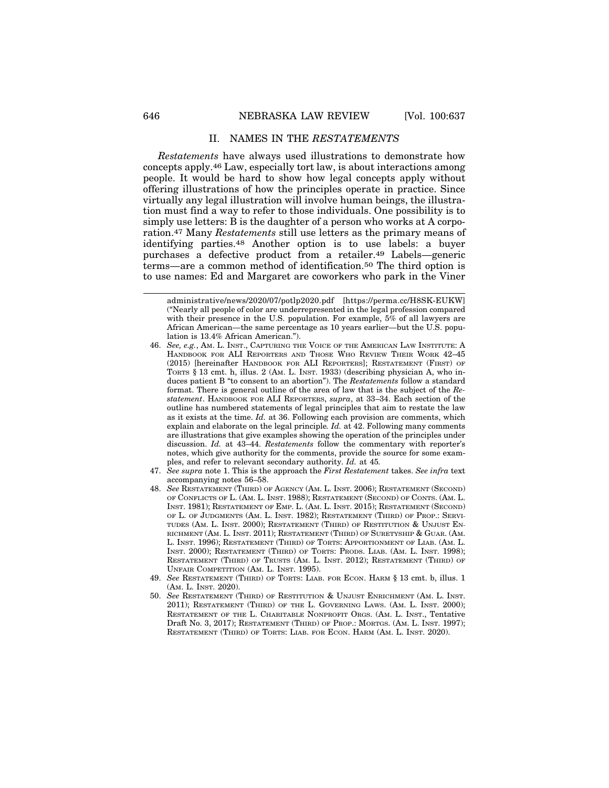#### II. NAMES IN THE *RESTATEMENTS*

*Restatements* have always used illustrations to demonstrate how concepts apply.46 Law, especially tort law, is about interactions among people. It would be hard to show how legal concepts apply without offering illustrations of how the principles operate in practice. Since virtually any legal illustration will involve human beings, the illustration must find a way to refer to those individuals. One possibility is to simply use letters: B is the daughter of a person who works at A corporation.47 Many *Restatements* still use letters as the primary means of identifying parties.48 Another option is to use labels: a buyer purchases a defective product from a retailer.49 Labels—generic terms—are a common method of identification.50 The third option is to use names: Ed and Margaret are coworkers who park in the Viner

- 47. *See supra* note 1. This is the approach the *First Restatement* takes. *See infra* text accompanying notes 56–58.
- 48. *See* RESTATEMENT (THIRD) OF AGENCY (AM. L. INST. 2006); RESTATEMENT (SECOND) OF CONFLICTS OF L. (AM. L. INST. 1988); RESTATEMENT (SECOND) OF CONTS. (AM. L. INST. 1981); RESTATEMENT OF EMP. L. (AM. L. INST. 2015); RESTATEMENT (SECOND) OF L. OF JUDGMENTS (AM. L. INST. 1982); RESTATEMENT (THIRD) OF PROP.: SERVI-TUDES (AM. L. INST. 2000); RESTATEMENT (THIRD) OF RESTITUTION & UNJUST EN-RICHMENT (AM. L. INST. 2011); RESTATEMENT (THIRD) OF SURETYSHIP & GUAR. (AM. L. INST. 1996); RESTATEMENT (THIRD) OF TORTS: APPORTIONMENT OF LIAB. (AM. L. INST. 2000); RESTATEMENT (THIRD) OF TORTS: PRODS. LIAB. (AM. L. INST. 1998); RESTATEMENT (THIRD) OF TRUSTS (AM. L. INST. 2012); RESTATEMENT (THIRD) OF UNFAIR COMPETITION (AM. L. INST. 1995).
- 49. *See* RESTATEMENT (THIRD) OF TORTS: LIAB. FOR ECON. HARM § 13 cmt. b, illus. 1 (AM. L. INST. 2020).
- 50. *See* RESTATEMENT (THIRD) OF RESTITUTION & UNJUST ENRICHMENT (AM. L. INST. 2011); RESTATEMENT (THIRD) OF THE L. GOVERNING LAWS. (AM. L. INST. 2000); RESTATEMENT OF THE L. CHARITABLE NONPROFIT ORGS. (AM. L. INST., Tentative Draft No. 3, 2017); RESTATEMENT (THIRD) OF PROP.: MORTGS. (AM. L. INST. 1997); RESTATEMENT (THIRD) OF TORTS: LIAB. FOR ECON. HARM (AM. L. INST. 2020).

administrative/news/2020/07/potlp2020.pdf [https://perma.cc/H8SK-EUKW] ("Nearly all people of color are underrepresented in the legal profession compared with their presence in the U.S. population. For example, 5% of all lawyers are African American—the same percentage as 10 years earlier—but the U.S. population is 13.4% African American.").

<sup>46.</sup> *See, e.g.*, AM. L. INST., CAPTURING THE VOICE OF THE AMERICAN LAW INSTITUTE: A HANDBOOK FOR ALI REPORTERS AND THOSE WHO REVIEW THEIR WORK 42–45 (2015) [hereinafter HANDBOOK FOR ALI REPORTERS]; RESTATEMENT (FIRST) OF TORTS § 13 cmt. h, illus. 2 (AM. L. INST. 1933) (describing physician A, who induces patient B "to consent to an abortion"). The *Restatements* follow a standard format. There is general outline of the area of law that is the subject of the *Restatement*. HANDBOOK FOR ALI REPORTERS, *supra*, at 33–34. Each section of the outline has numbered statements of legal principles that aim to restate the law as it exists at the time. *Id.* at 36. Following each provision are comments, which explain and elaborate on the legal principle*. Id.* at 42. Following many comments are illustrations that give examples showing the operation of the principles under discussion. *Id.* at 43–44. *Restatements* follow the commentary with reporter's notes, which give authority for the comments, provide the source for some examples, and refer to relevant secondary authority. *Id.* at 45*.*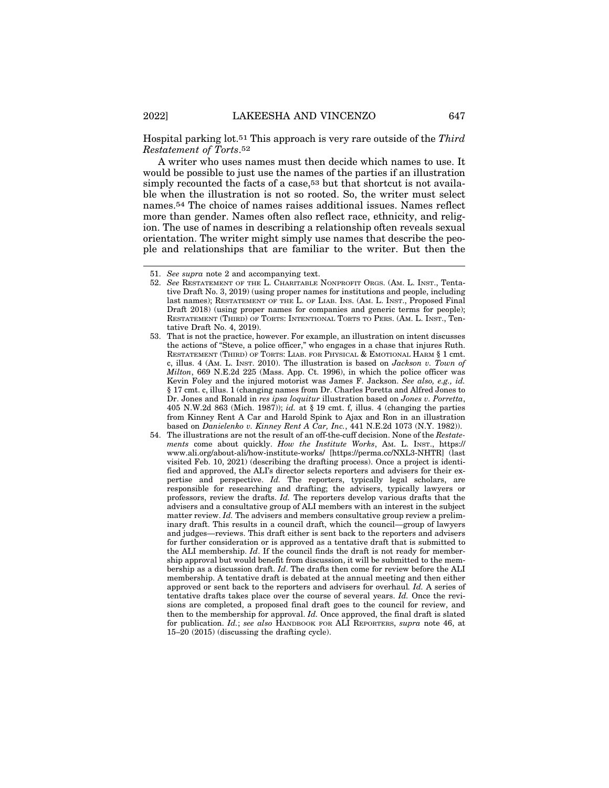Hospital parking lot.51 This approach is very rare outside of the *Third Restatement of Torts*.52

A writer who uses names must then decide which names to use. It would be possible to just use the names of the parties if an illustration simply recounted the facts of a case,53 but that shortcut is not available when the illustration is not so rooted. So, the writer must select names.54 The choice of names raises additional issues. Names reflect more than gender. Names often also reflect race, ethnicity, and religion. The use of names in describing a relationship often reveals sexual orientation. The writer might simply use names that describe the people and relationships that are familiar to the writer. But then the

<sup>51.</sup> *See supra* note 2 and accompanying text.

<sup>52.</sup> *See* RESTATEMENT OF THE L. CHARITABLE NONPROFIT ORGS. (AM. L. INST., Tentative Draft No. 3, 2019) (using proper names for institutions and people, including last names); RESTATEMENT OF THE L. OF LIAB. INS. (AM. L. INST., Proposed Final Draft 2018) (using proper names for companies and generic terms for people); RESTATEMENT (THIRD) OF TORTS: INTENTIONAL TORTS TO PERS. (AM. L. INST., Tentative Draft No. 4, 2019).

<sup>53.</sup> That is not the practice, however. For example, an illustration on intent discusses the actions of "Steve, a police officer," who engages in a chase that injures Ruth. RESTATEMENT (THIRD) OF TORTS: LIAB. FOR PHYSICAL & EMOTIONAL HARM § 1 cmt. c, illus. 4 (AM. L. INST. 2010). The illustration is based on *Jackson v. Town of Milton*, 669 N.E.2d 225 (Mass. App. Ct. 1996), in which the police officer was Kevin Foley and the injured motorist was James F. Jackson. *See also, e.g., id.* § 17 cmt. c, illus. 1 (changing names from Dr. Charles Poretta and Alfred Jones to Dr. Jones and Ronald in *res ipsa loquitur* illustration based on *Jones v. Porretta*, 405 N.W.2d 863 (Mich. 1987)); *id.* at § 19 cmt. f, illus. 4 (changing the parties from Kinney Rent A Car and Harold Spink to Ajax and Ron in an illustration based on *Danielenko v. Kinney Rent A Car, Inc.*, 441 N.E.2d 1073 (N.Y. 1982)).

<sup>54.</sup> The illustrations are not the result of an off-the-cuff decision. None of the *Restatements* come about quickly. *How the Institute Works*, AM. L. INST., https:// www.ali.org/about-ali/how-institute-works/ [https://perma.cc/NXL3-NHTR] (last visited Feb. 10, 2021) (describing the drafting process). Once a project is identified and approved, the ALI's director selects reporters and advisers for their expertise and perspective. *Id.* The reporters, typically legal scholars, are responsible for researching and drafting; the advisers, typically lawyers or professors, review the drafts. *Id.* The reporters develop various drafts that the advisers and a consultative group of ALI members with an interest in the subject matter review. *Id.* The advisers and members consultative group review a preliminary draft. This results in a council draft, which the council—group of lawyers and judges—reviews. This draft either is sent back to the reporters and advisers for further consideration or is approved as a tentative draft that is submitted to the ALI membership. *Id*. If the council finds the draft is not ready for membership approval but would benefit from discussion, it will be submitted to the membership as a discussion draft. *Id*. The drafts then come for review before the ALI membership. A tentative draft is debated at the annual meeting and then either approved or sent back to the reporters and advisers for overhaul*. Id.* A series of tentative drafts takes place over the course of several years. *Id.* Once the revisions are completed, a proposed final draft goes to the council for review, and then to the membership for approval. *Id.* Once approved, the final draft is slated for publication. *Id.*; *see also* HANDBOOK FOR ALI REPORTERS, *supra* note 46, at 15–20 (2015) (discussing the drafting cycle).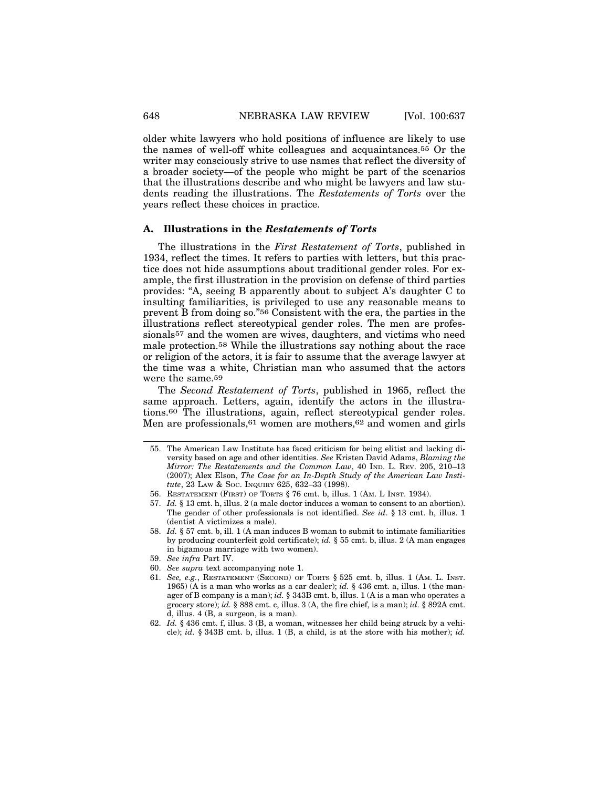older white lawyers who hold positions of influence are likely to use the names of well-off white colleagues and acquaintances.55 Or the writer may consciously strive to use names that reflect the diversity of a broader society—of the people who might be part of the scenarios that the illustrations describe and who might be lawyers and law students reading the illustrations. The *Restatements of Torts* over the years reflect these choices in practice.

#### **A. Illustrations in the** *Restatements of Torts*

The illustrations in the *First Restatement of Torts*, published in 1934, reflect the times. It refers to parties with letters, but this practice does not hide assumptions about traditional gender roles. For example, the first illustration in the provision on defense of third parties provides: "A, seeing B apparently about to subject A's daughter C to insulting familiarities, is privileged to use any reasonable means to prevent B from doing so."56 Consistent with the era, the parties in the illustrations reflect stereotypical gender roles. The men are professionals<sup>57</sup> and the women are wives, daughters, and victims who need male protection.58 While the illustrations say nothing about the race or religion of the actors, it is fair to assume that the average lawyer at the time was a white, Christian man who assumed that the actors were the same.59

The *Second Restatement of Torts*, published in 1965, reflect the same approach. Letters, again, identify the actors in the illustrations.60 The illustrations, again, reflect stereotypical gender roles. Men are professionals,<sup>61</sup> women are mothers,<sup>62</sup> and women and girls

- 57. *Id.* § 13 cmt. h, illus. 2 (a male doctor induces a woman to consent to an abortion). The gender of other professionals is not identified. *See id*. § 13 cmt. h, illus. 1 (dentist A victimizes a male).
- 58. *Id.* § 57 cmt. b, ill. 1 (A man induces B woman to submit to intimate familiarities by producing counterfeit gold certificate); *id.* § 55 cmt. b, illus. 2 (A man engages in bigamous marriage with two women).
- 59. *See infra* Part IV.
- 60. *See supra* text accompanying note 1.
- 61. *See, e.g.*, RESTATEMENT (SECOND) OF TORTS § 525 cmt. b, illus. 1 (AM. L. INST. 1965) (A is a man who works as a car dealer); *id.* § 436 cmt. a, illus. 1 (the manager of B company is a man); *id.* § 343B cmt. b, illus. 1 (A is a man who operates a grocery store); *id.* § 888 cmt. c, illus. 3 (A, the fire chief, is a man); *id.* § 892A cmt. d, illus. 4 (B, a surgeon, is a man).
- 62. *Id.* § 436 cmt. f, illus. 3 (B, a woman, witnesses her child being struck by a vehicle); *id.* § 343B cmt. b, illus. 1 (B, a child, is at the store with his mother); *id.*

<sup>55.</sup> The American Law Institute has faced criticism for being elitist and lacking diversity based on age and other identities. *See* Kristen David Adams, *Blaming the Mirror: The Restatements and the Common Law*, 40 IND. L. REV. 205, 210–13 (2007); Alex Elson, *The Case for an In-Depth Study of the American Law Institute*, 23 LAW & SOC. INQUIRY 625, 632–33 (1998).

<sup>56.</sup> RESTATEMENT (FIRST) OF TORTS § 76 cmt. b, illus. 1 (AM. L INST. 1934).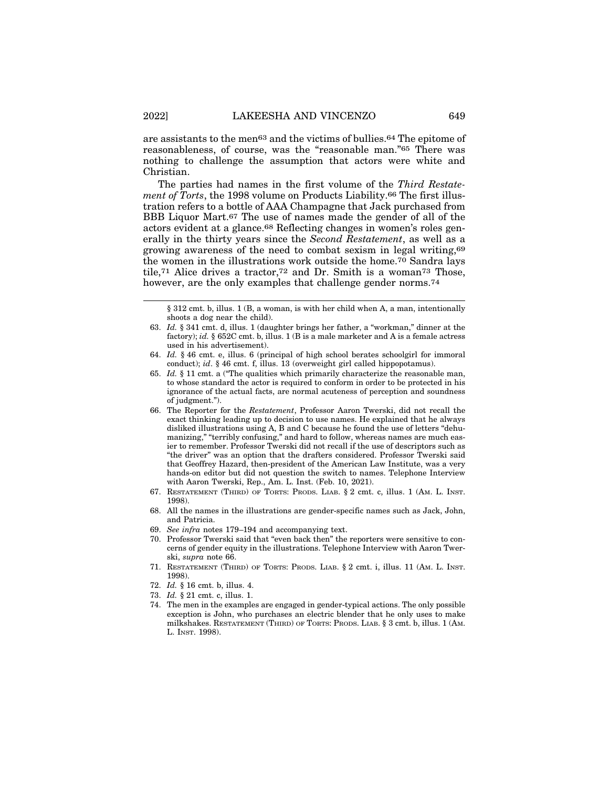are assistants to the men63 and the victims of bullies.64 The epitome of reasonableness, of course, was the "reasonable man."65 There was nothing to challenge the assumption that actors were white and Christian.

The parties had names in the first volume of the *Third Restatement of Torts*, the 1998 volume on Products Liability.66 The first illustration refers to a bottle of AAA Champagne that Jack purchased from BBB Liquor Mart.67 The use of names made the gender of all of the actors evident at a glance.68 Reflecting changes in women's roles generally in the thirty years since the *Second Restatement*, as well as a growing awareness of the need to combat sexism in legal writing,69 the women in the illustrations work outside the home.70 Sandra lays tile,71 Alice drives a tractor,72 and Dr. Smith is a woman73 Those, however, are the only examples that challenge gender norms.<sup>74</sup>

- 66. The Reporter for the *Restatement*, Professor Aaron Twerski, did not recall the exact thinking leading up to decision to use names. He explained that he always disliked illustrations using A, B and C because he found the use of letters "dehumanizing," "terribly confusing," and hard to follow, whereas names are much easier to remember. Professor Twerski did not recall if the use of descriptors such as "the driver" was an option that the drafters considered. Professor Twerski said that Geoffrey Hazard, then-president of the American Law Institute, was a very hands-on editor but did not question the switch to names. Telephone Interview with Aaron Twerski, Rep., Am. L. Inst. (Feb. 10, 2021).
- 67. RESTATEMENT (THIRD) OF TORTS: PRODS. LIAB. § 2 cmt. c, illus. 1 (AM. L. INST. 1998).
- 68. All the names in the illustrations are gender-specific names such as Jack, John, and Patricia.
- 69. *See infra* notes 179–194 and accompanying text.
- 70. Professor Twerski said that "even back then" the reporters were sensitive to concerns of gender equity in the illustrations. Telephone Interview with Aaron Twerski, *supra* note 66.
- 71. RESTATEMENT (THIRD) OF TORTS: PRODS. LIAB. § 2 cmt. i, illus. 11 (AM. L. INST. 1998).
- 72. *Id.* § 16 cmt. b, illus. 4.
- 73. *Id.* § 21 cmt. c, illus. 1.
- 74. The men in the examples are engaged in gender-typical actions. The only possible exception is John, who purchases an electric blender that he only uses to make milkshakes. RESTATEMENT (THIRD) OF TORTS: PRODS. LIAB. § 3 cmt. b, illus. 1 (AM. L. INST. 1998).

<sup>§ 312</sup> cmt. b, illus. 1 (B, a woman, is with her child when A, a man, intentionally shoots a dog near the child).

<sup>63.</sup> *Id.* § 341 cmt. d, illus. 1 (daughter brings her father, a "workman," dinner at the factory); *id.* § 652C cmt. b, illus. 1 (B is a male marketer and A is a female actress used in his advertisement).

<sup>64.</sup> *Id.* § 46 cmt. e, illus. 6 (principal of high school berates schoolgirl for immoral conduct); *id*. § 46 cmt. f, illus. 13 (overweight girl called hippopotamus).

<sup>65.</sup> *Id.* § 11 cmt. a ("The qualities which primarily characterize the reasonable man, to whose standard the actor is required to conform in order to be protected in his ignorance of the actual facts, are normal acuteness of perception and soundness of judgment.").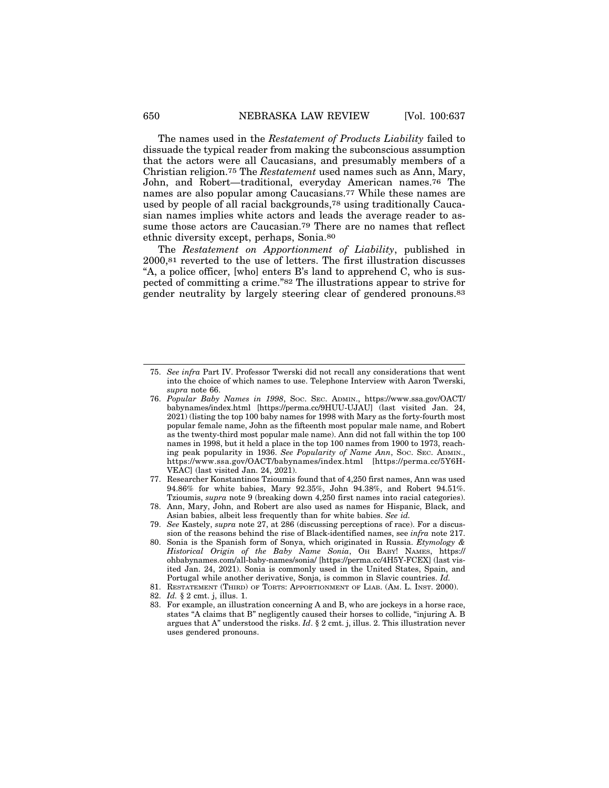The names used in the *Restatement of Products Liability* failed to dissuade the typical reader from making the subconscious assumption that the actors were all Caucasians, and presumably members of a Christian religion.75 The *Restatement* used names such as Ann, Mary, John, and Robert—traditional, everyday American names.76 The names are also popular among Caucasians.77 While these names are used by people of all racial backgrounds,78 using traditionally Caucasian names implies white actors and leads the average reader to assume those actors are Caucasian.79 There are no names that reflect ethnic diversity except, perhaps, Sonia.80

The *Restatement on Apportionment of Liability*, published in 2000,81 reverted to the use of letters. The first illustration discusses "A, a police officer, [who] enters B's land to apprehend C, who is suspected of committing a crime."82 The illustrations appear to strive for gender neutrality by largely steering clear of gendered pronouns.83

- 77. Researcher Konstantinos Tzioumis found that of 4,250 first names, Ann was used 94.86% for white babies, Mary 92.35%, John 94.38%, and Robert 94.51%. Tzioumis, *supra* note 9 (breaking down 4,250 first names into racial categories).
- 78. Ann, Mary, John, and Robert are also used as names for Hispanic, Black, and Asian babies, albeit less frequently than for white babies. *See id.*
- 79. *See* Kastely, *supra* note 27, at 286 (discussing perceptions of race). For a discussion of the reasons behind the rise of Black-identified names, see *infra* note 217.
- 80. Sonia is the Spanish form of Sonya, which originated in Russia. *Etymology & Historical Origin of the Baby Name Sonia*, OH BABY! NAMES, https:// ohbabynames.com/all-baby-names/sonia/ [https://perma.cc/4H5Y-FCEX] (last visited Jan. 24, 2021). Sonia is commonly used in the United States, Spain, and Portugal while another derivative, Sonja, is common in Slavic countries. *Id.*
- 81. RESTATEMENT (THIRD) OF TORTS: APPORTIONMENT OF LIAB. (AM. L. INST. 2000).
- 82. *Id.* § 2 cmt. j, illus. 1.
- 83. For example, an illustration concerning A and B, who are jockeys in a horse race, states "A claims that B" negligently caused their horses to collide, "injuring A. B argues that A" understood the risks. *Id*. § 2 cmt. j, illus. 2. This illustration never uses gendered pronouns.

<sup>75.</sup> *See infra* Part IV. Professor Twerski did not recall any considerations that went into the choice of which names to use. Telephone Interview with Aaron Twerski, *supra* note 66.

<sup>76.</sup> *Popular Baby Names in 1998*, SOC. SEC. ADMIN., https://www.ssa.gov/OACT/ babynames/index.html [https://perma.cc/9HUU-UJAU] (last visited Jan. 24, 2021) (listing the top 100 baby names for 1998 with Mary as the forty-fourth most popular female name, John as the fifteenth most popular male name, and Robert as the twenty-third most popular male name). Ann did not fall within the top 100 names in 1998, but it held a place in the top 100 names from 1900 to 1973, reaching peak popularity in 1936. *See Popularity of Name Ann*, SOC. SEC. ADMIN., https://www.ssa.gov/OACT/babynames/index.html [https://perma.cc/5Y6H-VEAC] (last visited Jan. 24, 2021).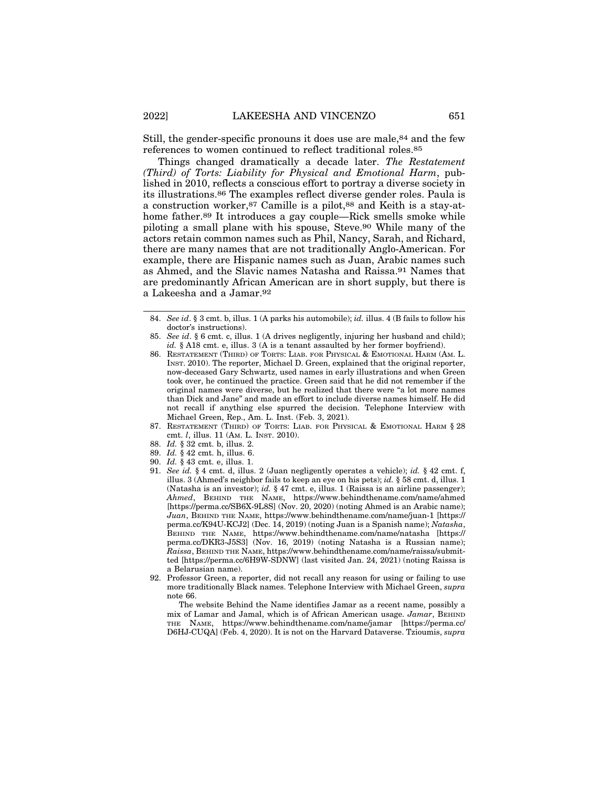Still, the gender-specific pronouns it does use are male,84 and the few references to women continued to reflect traditional roles.85

Things changed dramatically a decade later. *The Restatement (Third) of Torts: Liability for Physical and Emotional Harm*, published in 2010, reflects a conscious effort to portray a diverse society in its illustrations.86 The examples reflect diverse gender roles. Paula is a construction worker,87 Camille is a pilot,88 and Keith is a stay-athome father.89 It introduces a gay couple—Rick smells smoke while piloting a small plane with his spouse, Steve.90 While many of the actors retain common names such as Phil, Nancy, Sarah, and Richard, there are many names that are not traditionally Anglo-American. For example, there are Hispanic names such as Juan, Arabic names such as Ahmed, and the Slavic names Natasha and Raissa.91 Names that are predominantly African American are in short supply, but there is a Lakeesha and a Jamar.92

- 90. *Id.* § 43 cmt. e, illus. 1.
- 91. *See id.* § 4 cmt. d, illus. 2 (Juan negligently operates a vehicle); *id.* § 42 cmt. f, illus. 3 (Ahmed's neighbor fails to keep an eye on his pets); *id.* § 58 cmt. d, illus. 1 (Natasha is an investor); *id.* § 47 cmt. e, illus. 1 (Raissa is an airline passenger); *Ahmed*, BEHIND THE NAME, https://www.behindthename.com/name/ahmed [https://perma.cc/SB6X-9L8S] (Nov. 20, 2020) (noting Ahmed is an Arabic name); *Juan*, BEHIND THE NAME, https://www.behindthename.com/name/juan-1 [https:// perma.cc/K94U-KCJ2] (Dec. 14, 2019) (noting Juan is a Spanish name); *Natasha*, BEHIND THE NAME, https://www.behindthename.com/name/natasha [https:// perma.cc/DKR3-J5S3] (Nov. 16, 2019) (noting Natasha is a Russian name); *Raissa*, BEHIND THE NAME, https://www.behindthename.com/name/raissa/submitted [https://perma.cc/6H9W-SDNW] (last visited Jan. 24, 2021) (noting Raissa is a Belarusian name).
- 92. Professor Green, a reporter, did not recall any reason for using or failing to use more traditionally Black names. Telephone Interview with Michael Green, *supra* note 66.

The website Behind the Name identifies Jamar as a recent name, possibly a mix of Lamar and Jamal, which is of African American usage. *Jamar*, BEHIND THE NAME, https://www.behindthename.com/name/jamar [https://perma.cc/ D6HJ-CUQA] (Feb. 4, 2020). It is not on the Harvard Dataverse. Tzioumis, *supra*

<sup>84.</sup> *See id*. § 3 cmt. b, illus. 1 (A parks his automobile); *id.* illus. 4 (B fails to follow his doctor's instructions).

<sup>85.</sup> *See id*. § 6 cmt. c, illus. 1 (A drives negligently, injuring her husband and child); *id.* § A18 cmt. e, illus. 3 (A is a tenant assaulted by her former boyfriend).

<sup>86.</sup> RESTATEMENT (THIRD) OF TORTS: LIAB. FOR PHYSICAL & EMOTIONAL HARM (AM. L. INST. 2010). The reporter, Michael D. Green, explained that the original reporter, now-deceased Gary Schwartz, used names in early illustrations and when Green took over, he continued the practice. Green said that he did not remember if the original names were diverse, but he realized that there were "a lot more names than Dick and Jane" and made an effort to include diverse names himself. He did not recall if anything else spurred the decision. Telephone Interview with Michael Green, Rep., Am. L. Inst. (Feb. 3, 2021).

<sup>87.</sup> RESTATEMENT (THIRD) OF TORTS: LIAB. FOR PHYSICAL & EMOTIONAL HARM § 28 cmt. *l*, illus. 11 (AM. L. INST. 2010).

<sup>88.</sup> *Id.* § 32 cmt. b, illus. 2.

<sup>89.</sup> *Id.* § 42 cmt. h, illus. 6.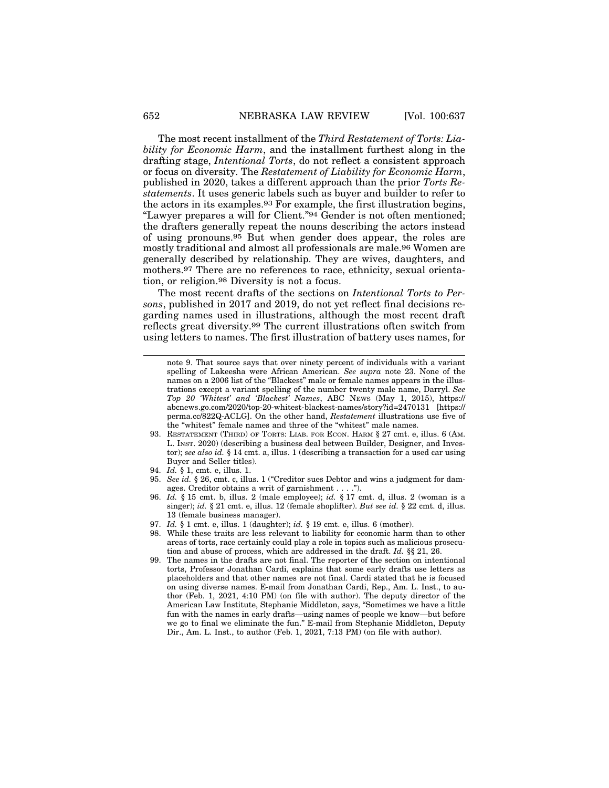The most recent installment of the *Third Restatement of Torts: Liability for Economic Harm*, and the installment furthest along in the drafting stage, *Intentional Torts*, do not reflect a consistent approach or focus on diversity. The *Restatement of Liability for Economic Harm*, published in 2020, takes a different approach than the prior *Torts Restatements*. It uses generic labels such as buyer and builder to refer to the actors in its examples.93 For example, the first illustration begins, "Lawyer prepares a will for Client."94 Gender is not often mentioned; the drafters generally repeat the nouns describing the actors instead of using pronouns.95 But when gender does appear, the roles are mostly traditional and almost all professionals are male.96 Women are generally described by relationship. They are wives, daughters, and mothers.97 There are no references to race, ethnicity, sexual orientation, or religion.98 Diversity is not a focus.

The most recent drafts of the sections on *Intentional Torts to Persons*, published in 2017 and 2019, do not yet reflect final decisions regarding names used in illustrations, although the most recent draft reflects great diversity.99 The current illustrations often switch from using letters to names. The first illustration of battery uses names, for

- 93. RESTATEMENT (THIRD) OF TORTS: LIAB. FOR ECON. HARM § 27 cmt. e, illus. 6 (AM. L. INST. 2020) (describing a business deal between Builder, Designer, and Investor); *see also id.* § 14 cmt. a, illus. 1 (describing a transaction for a used car using Buyer and Seller titles).
- 94. *Id.* § 1, cmt. e, illus. 1.
- 95. *See id.* § 26, cmt. c, illus. 1 ("Creditor sues Debtor and wins a judgment for damages. Creditor obtains a writ of garnishment . . . .").
- 96. *Id.* § 15 cmt. b, illus. 2 (male employee); *id.* § 17 cmt. d, illus. 2 (woman is a singer); *id.* § 21 cmt. e, illus. 12 (female shoplifter). *But see id.* § 22 cmt. d, illus. 13 (female business manager).
- 97. *Id.* § 1 cmt. e, illus. 1 (daughter); *id.* § 19 cmt. e, illus. 6 (mother).
- 98. While these traits are less relevant to liability for economic harm than to other areas of torts, race certainly could play a role in topics such as malicious prosecution and abuse of process, which are addressed in the draft. *Id.* §§ 21, 26.
- 99. The names in the drafts are not final. The reporter of the section on intentional torts, Professor Jonathan Cardi, explains that some early drafts use letters as placeholders and that other names are not final. Cardi stated that he is focused on using diverse names. E-mail from Jonathan Cardi, Rep., Am. L. Inst., to author (Feb. 1, 2021, 4:10 PM) (on file with author). The deputy director of the American Law Institute, Stephanie Middleton, says, "Sometimes we have a little fun with the names in early drafts—using names of people we know—but before we go to final we eliminate the fun." E-mail from Stephanie Middleton, Deputy Dir., Am. L. Inst., to author (Feb. 1, 2021, 7:13 PM) (on file with author).

note 9. That source says that over ninety percent of individuals with a variant spelling of Lakeesha were African American. *See supra* note 23. None of the names on a 2006 list of the "Blackest" male or female names appears in the illustrations except a variant spelling of the number twenty male name, Darryl. *See Top 20 'Whitest' and 'Blackest' Names*, ABC NEWS (May 1, 2015), https:// abcnews.go.com/2020/top-20-whitest-blackest-names/story?id=2470131 [https:// perma.cc/822Q-ACLG]. On the other hand, *Restatement* illustrations use five of the "whitest" female names and three of the "whitest" male names.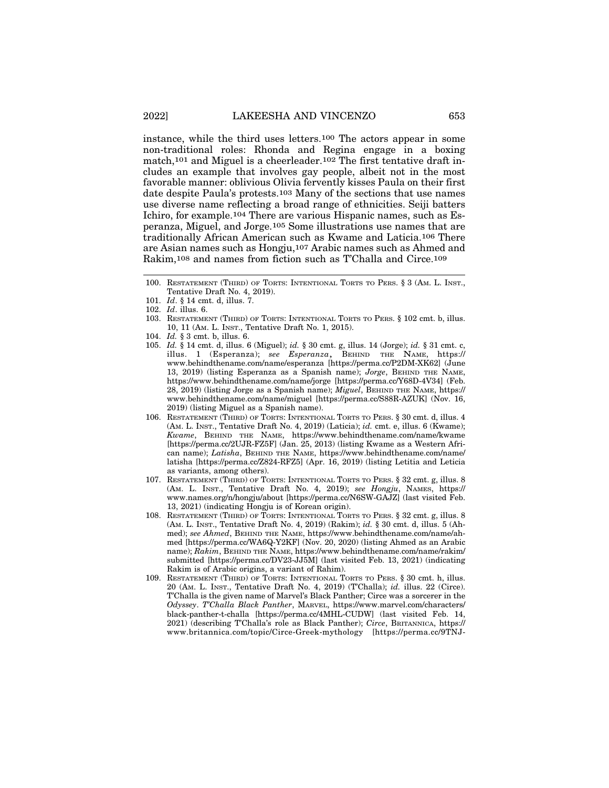instance, while the third uses letters.100 The actors appear in some non-traditional roles: Rhonda and Regina engage in a boxing match,101 and Miguel is a cheerleader.102 The first tentative draft includes an example that involves gay people, albeit not in the most favorable manner: oblivious Olivia fervently kisses Paula on their first date despite Paula's protests.103 Many of the sections that use names use diverse name reflecting a broad range of ethnicities. Seiji batters Ichiro, for example.104 There are various Hispanic names, such as Esperanza, Miguel, and Jorge.105 Some illustrations use names that are traditionally African American such as Kwame and Laticia.106 There are Asian names such as Hongju,107 Arabic names such as Ahmed and Rakim,108 and names from fiction such as T'Challa and Circe.109

- 103. RESTATEMENT (THIRD) OF TORTS: INTENTIONAL TORTS TO PERS. § 102 cmt. b, illus. 10, 11 (AM. L. INST., Tentative Draft No. 1, 2015).
- 104. *Id.* § 3 cmt. b, illus. 6.
- 105. *Id.* § 14 cmt. d, illus. 6 (Miguel); *id.* § 30 cmt. g, illus. 14 (Jorge); *id.* § 31 cmt. c, illus. 1 (Esperanza); *see Esperanza*, BEHIND THE NAME, https:// www.behindthename.com/name/esperanza [https://perma.cc/P2DM-XK62] (June 13, 2019) (listing Esperanza as a Spanish name); *Jorge*, BEHIND THE NAME, https://www.behindthename.com/name/jorge [https://perma.cc/Y68D-4V34] (Feb. 28, 2019) (listing Jorge as a Spanish name); *Miguel*, BEHIND THE NAME, https:// www.behindthename.com/name/miguel [https://perma.cc/S88R-AZUK] (Nov. 16, 2019) (listing Miguel as a Spanish name).
- 106. RESTATEMENT (THIRD) OF TORTS: INTENTIONAL TORTS TO PERS. § 30 cmt. d, illus. 4 (AM. L. INST., Tentative Draft No. 4, 2019) (Laticia); *id.* cmt. e, illus. 6 (Kwame); *Kwame*, BEHIND THE NAME, https://www.behindthename.com/name/kwame [https://perma.cc/2UJR-FZ5F] (Jan. 25, 2013) (listing Kwame as a Western African name); *Latisha*, BEHIND THE NAME, https://www.behindthename.com/name/ latisha [https://perma.cc/Z824-RFZ5] (Apr. 16, 2019) (listing Letitia and Leticia as variants, among others).
- 107. RESTATEMENT (THIRD) OF TORTS: INTENTIONAL TORTS TO PERS. § 32 cmt. g, illus. 8 (AM. L. INST., Tentative Draft No. 4, 2019); *see Hongju*, NAMES, https:// www.names.org/n/hongju/about [https://perma.cc/N6SW-GAJZ] (last visited Feb. 13, 2021) (indicating Hongju is of Korean origin).
- 108. RESTATEMENT (THIRD) OF TORTS: INTENTIONAL TORTS TO PERS. § 32 cmt. g, illus. 8 (AM. L. INST., Tentative Draft No. 4, 2019) (Rakim); *id.* § 30 cmt. d, illus. 5 (Ahmed); *see Ahmed*, BEHIND THE NAME, https://www.behindthename.com/name/ahmed [https://perma.cc/WA6Q-Y2KF] (Nov. 20, 2020) (listing Ahmed as an Arabic name); *Rakim*, BEHIND THE NAME, https://www.behindthename.com/name/rakim/ submitted [https://perma.cc/DV23-JJ5M] (last visited Feb. 13, 2021) (indicating Rakim is of Arabic origins, a variant of Rahim).
- 109. RESTATEMENT (THIRD) OF TORTS: INTENTIONAL TORTS TO PERS. § 30 cmt. h, illus. 20 (AM. L. INST., Tentative Draft No. 4, 2019) (T'Challa); *id.* illus. 22 (Circe). T'Challa is the given name of Marvel's Black Panther; Circe was a sorcerer in the *Odyssey*. *T'Challa Black Panther*, MARVEL, https://www.marvel.com/characters/ black-panther-t-challa [https://perma.cc/4MHL-CUDW] (last visited Feb. 14, 2021) (describing T'Challa's role as Black Panther); *Circe*, BRITANNICA, https:// www.britannica.com/topic/Circe-Greek-mythology [https://perma.cc/9TNJ-

<sup>100.</sup> RESTATEMENT (THIRD) OF TORTS: INTENTIONAL TORTS TO PERS. § 3 (AM. L. INST., Tentative Draft No. 4, 2019).

<sup>101.</sup> *Id*. § 14 cmt. d, illus. 7.

<sup>102.</sup> *Id*. illus. 6.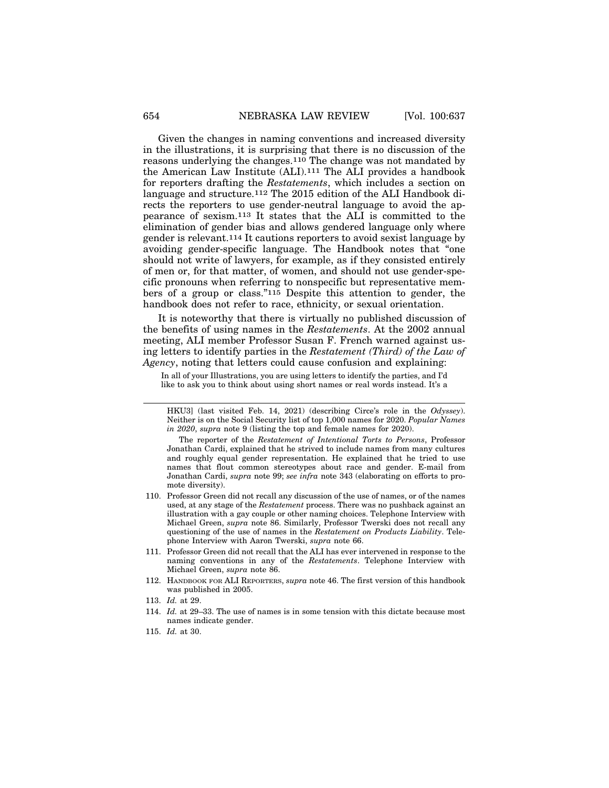Given the changes in naming conventions and increased diversity in the illustrations, it is surprising that there is no discussion of the reasons underlying the changes.110 The change was not mandated by the American Law Institute (ALI).111 The ALI provides a handbook for reporters drafting the *Restatements*, which includes a section on language and structure.112 The 2015 edition of the ALI Handbook directs the reporters to use gender-neutral language to avoid the appearance of sexism.113 It states that the ALI is committed to the elimination of gender bias and allows gendered language only where gender is relevant.114 It cautions reporters to avoid sexist language by avoiding gender-specific language. The Handbook notes that "one should not write of lawyers, for example, as if they consisted entirely of men or, for that matter, of women, and should not use gender-specific pronouns when referring to nonspecific but representative members of a group or class."115 Despite this attention to gender, the handbook does not refer to race, ethnicity, or sexual orientation.

It is noteworthy that there is virtually no published discussion of the benefits of using names in the *Restatements*. At the 2002 annual meeting, ALI member Professor Susan F. French warned against using letters to identify parties in the *Restatement (Third) of the Law of Agency*, noting that letters could cause confusion and explaining:

In all of your Illustrations, you are using letters to identify the parties, and I'd like to ask you to think about using short names or real words instead. It's a

- 110. Professor Green did not recall any discussion of the use of names, or of the names used, at any stage of the *Restatement* process. There was no pushback against an illustration with a gay couple or other naming choices. Telephone Interview with Michael Green, *supra* note 86. Similarly, Professor Twerski does not recall any questioning of the use of names in the *Restatement on Products Liability*. Telephone Interview with Aaron Twerski, *supra* note 66.
- 111. Professor Green did not recall that the ALI has ever intervened in response to the naming conventions in any of the *Restatements*. Telephone Interview with Michael Green, *supra* note 86.
- 112. HANDBOOK FOR ALI REPORTERS, *supra* note 46. The first version of this handbook was published in 2005.
- 113. *Id.* at 29.
- 114. *Id.* at 29–33. The use of names is in some tension with this dictate because most names indicate gender.
- 115. *Id.* at 30.

HKU3] (last visited Feb. 14, 2021) (describing Circe's role in the *Odyssey*). Neither is on the Social Security list of top 1,000 names for 2020. *Popular Names in 2020*, *supra* note 9 (listing the top and female names for 2020).

The reporter of the *Restatement of Intentional Torts to Persons*, Professor Jonathan Cardi, explained that he strived to include names from many cultures and roughly equal gender representation. He explained that he tried to use names that flout common stereotypes about race and gender. E-mail from Jonathan Cardi, *supra* note 99; *see infra* note 343 (elaborating on efforts to promote diversity).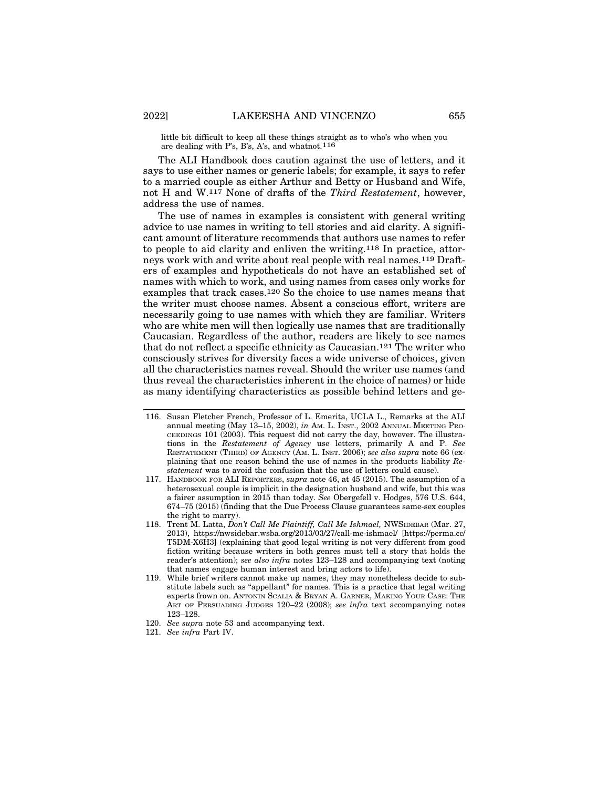little bit difficult to keep all these things straight as to who's who when you are dealing with P's, B's, A's, and whatnot.116

The ALI Handbook does caution against the use of letters, and it says to use either names or generic labels; for example, it says to refer to a married couple as either Arthur and Betty or Husband and Wife, not H and W.117 None of drafts of the *Third Restatement*, however, address the use of names.

The use of names in examples is consistent with general writing advice to use names in writing to tell stories and aid clarity. A significant amount of literature recommends that authors use names to refer to people to aid clarity and enliven the writing.118 In practice, attorneys work with and write about real people with real names.119 Drafters of examples and hypotheticals do not have an established set of names with which to work, and using names from cases only works for examples that track cases.120 So the choice to use names means that the writer must choose names. Absent a conscious effort, writers are necessarily going to use names with which they are familiar. Writers who are white men will then logically use names that are traditionally Caucasian. Regardless of the author, readers are likely to see names that do not reflect a specific ethnicity as Caucasian.121 The writer who consciously strives for diversity faces a wide universe of choices, given all the characteristics names reveal. Should the writer use names (and thus reveal the characteristics inherent in the choice of names) or hide as many identifying characteristics as possible behind letters and ge-

- 116. Susan Fletcher French, Professor of L. Emerita, UCLA L., Remarks at the ALI annual meeting (May 13–15, 2002), *in* AM. L. INST., 2002 ANNUAL MEETING PRO-CEEDINGS 101 (2003). This request did not carry the day, however. The illustrations in the *Restatement of Agency* use letters, primarily A and P. *See* RESTATEMENT (THIRD) OF AGENCY (AM. L. INST. 2006); *see also supra* note 66 (explaining that one reason behind the use of names in the products liability *Restatement* was to avoid the confusion that the use of letters could cause).
- 117. HANDBOOK FOR ALI REPORTERS, *supra* note 46, at 45 (2015). The assumption of a heterosexual couple is implicit in the designation husband and wife, but this was a fairer assumption in 2015 than today. *See* Obergefell v. Hodges, 576 U.S. 644, 674–75 (2015) (finding that the Due Process Clause guarantees same-sex couples the right to marry).
- 118. Trent M. Latta, *Don't Call Me Plaintiff, Call Me Ishmael,* NWSIDEBAR (Mar. 27, 2013), https://nwsidebar.wsba.org/2013/03/27/call-me-ishmael/ [https://perma.cc/ T5DM-X6H3] (explaining that good legal writing is not very different from good fiction writing because writers in both genres must tell a story that holds the reader's attention); *see also infra* notes 123–128 and accompanying text (noting that names engage human interest and bring actors to life).
- 119. While brief writers cannot make up names, they may nonetheless decide to substitute labels such as "appellant" for names. This is a practice that legal writing experts frown on. ANTONIN SCALIA & BRYAN A. GARNER, MAKING YOUR CASE: THE ART OF PERSUADING JUDGES 120–22 (2008); *see infra* text accompanying notes 123–128.
- 120. *See supra* note 53 and accompanying text.
- 121. *See infra* Part IV.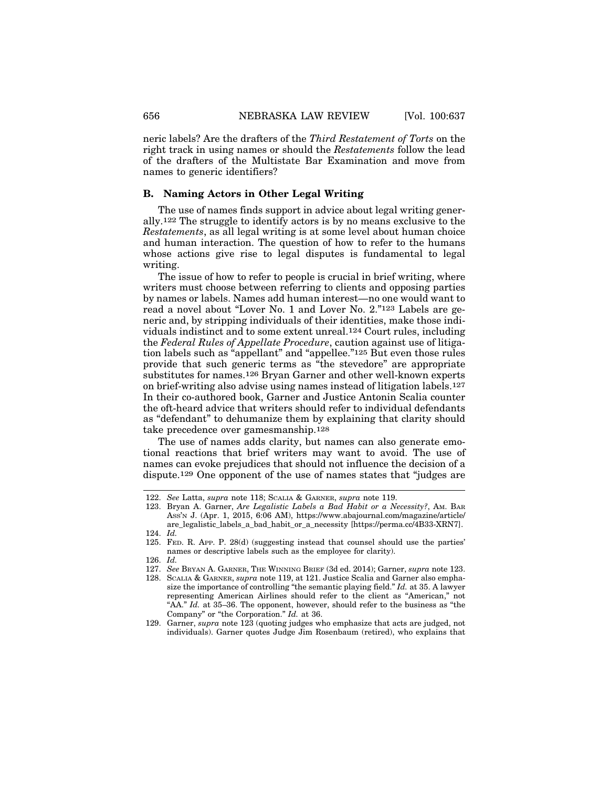neric labels? Are the drafters of the *Third Restatement of Torts* on the right track in using names or should the *Restatements* follow the lead of the drafters of the Multistate Bar Examination and move from names to generic identifiers?

#### **B. Naming Actors in Other Legal Writing**

The use of names finds support in advice about legal writing generally.122 The struggle to identify actors is by no means exclusive to the *Restatements*, as all legal writing is at some level about human choice and human interaction. The question of how to refer to the humans whose actions give rise to legal disputes is fundamental to legal writing.

The issue of how to refer to people is crucial in brief writing, where writers must choose between referring to clients and opposing parties by names or labels. Names add human interest—no one would want to read a novel about "Lover No. 1 and Lover No. 2."123 Labels are generic and, by stripping individuals of their identities, make those individuals indistinct and to some extent unreal.124 Court rules, including the *Federal Rules of Appellate Procedure*, caution against use of litigation labels such as "appellant" and "appellee."125 But even those rules provide that such generic terms as "the stevedore" are appropriate substitutes for names.126 Bryan Garner and other well-known experts on brief-writing also advise using names instead of litigation labels.127 In their co-authored book, Garner and Justice Antonin Scalia counter the oft-heard advice that writers should refer to individual defendants as "defendant" to dehumanize them by explaining that clarity should take precedence over gamesmanship.128

The use of names adds clarity, but names can also generate emotional reactions that brief writers may want to avoid. The use of names can evoke prejudices that should not influence the decision of a dispute.129 One opponent of the use of names states that "judges are

<sup>122.</sup> *See* Latta, *supra* note 118; SCALIA & GARNER, *supra* note 119.

<sup>123.</sup> Bryan A. Garner, *Are Legalistic Labels a Bad Habit or a Necessity?*, AM. BAR ASS'N J. (Apr. 1, 2015, 6:06 AM), https://www.abajournal.com/magazine/article/ are\_legalistic\_labels\_a\_bad\_habit\_or\_a\_necessity [https://perma.cc/4B33-XRN7]. 124. *Id.*

<sup>125.</sup> FED. R. APP. P. 28(d) (suggesting instead that counsel should use the parties' names or descriptive labels such as the employee for clarity).

<sup>126.</sup> *Id.*

<sup>127.</sup> *See* BRYAN A. GARNER, THE WINNING BRIEF (3d ed. 2014); Garner, *supra* note 123.

<sup>128.</sup> SCALIA & GARNER, *supra* note 119, at 121. Justice Scalia and Garner also emphasize the importance of controlling "the semantic playing field." *Id.* at 35. A lawyer representing American Airlines should refer to the client as "American," not "AA." *Id.* at 35–36. The opponent, however, should refer to the business as "the Company" or "the Corporation." *Id.* at 36.

<sup>129.</sup> Garner, *supra* note 123 (quoting judges who emphasize that acts are judged, not individuals). Garner quotes Judge Jim Rosenbaum (retired), who explains that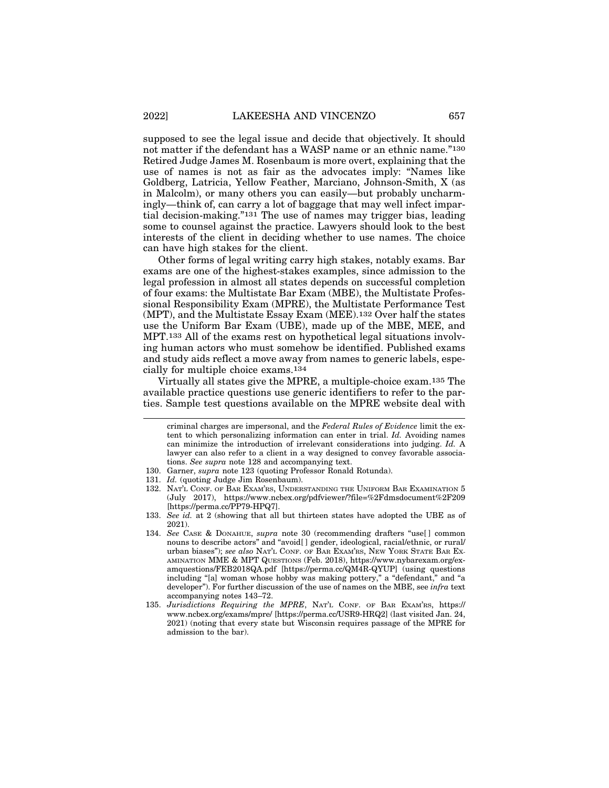supposed to see the legal issue and decide that objectively. It should not matter if the defendant has a WASP name or an ethnic name."<sup>130</sup> Retired Judge James M. Rosenbaum is more overt, explaining that the use of names is not as fair as the advocates imply: "Names like Goldberg, Latricia, Yellow Feather, Marciano, Johnson-Smith, X (as in Malcolm), or many others you can easily—but probably uncharmingly—think of, can carry a lot of baggage that may well infect impartial decision-making."131 The use of names may trigger bias, leading some to counsel against the practice. Lawyers should look to the best interests of the client in deciding whether to use names. The choice can have high stakes for the client.

Other forms of legal writing carry high stakes, notably exams. Bar exams are one of the highest-stakes examples, since admission to the legal profession in almost all states depends on successful completion of four exams: the Multistate Bar Exam (MBE), the Multistate Professional Responsibility Exam (MPRE), the Multistate Performance Test (MPT), and the Multistate Essay Exam (MEE).132 Over half the states use the Uniform Bar Exam (UBE), made up of the MBE, MEE, and MPT.133 All of the exams rest on hypothetical legal situations involving human actors who must somehow be identified. Published exams and study aids reflect a move away from names to generic labels, especially for multiple choice exams.134

Virtually all states give the MPRE, a multiple-choice exam.135 The available practice questions use generic identifiers to refer to the parties. Sample test questions available on the MPRE website deal with

criminal charges are impersonal, and the *Federal Rules of Evidence* limit the extent to which personalizing information can enter in trial. *Id.* Avoiding names can minimize the introduction of irrelevant considerations into judging. *Id.* A lawyer can also refer to a client in a way designed to convey favorable associations. *See supra* note 128 and accompanying text.

<sup>130.</sup> Garner, *supra* note 123 (quoting Professor Ronald Rotunda).

<sup>131.</sup> *Id.* (quoting Judge Jim Rosenbaum).

<sup>132.</sup> NAT'L CONF. OF BAR EXAM'RS, UNDERSTANDING THE UNIFORM BAR EXAMINATION 5 (July 2017), https://www.ncbex.org/pdfviewer/?file=%2Fdmsdocument%2F209 [https://perma.cc/PP79-HPQ7].

<sup>133.</sup> *See id.* at 2 (showing that all but thirteen states have adopted the UBE as of 2021).

<sup>134.</sup> *See* CASE & DONAHUE, *supra* note 30 (recommending drafters "use[ ] common nouns to describe actors" and "avoid[ ] gender, ideological, racial/ethnic, or rural/ urban biases"); *see also* NAT'L CONF. OF BAR EXAM'RS, NEW YORK STATE BAR EX-AMINATION MME & MPT QUESTIONS (Feb. 2018), https://www.nybarexam.org/examquestions/FEB2018QA.pdf [https://perma.cc/QM4R-QYUP] (using questions including "[a] woman whose hobby was making pottery," a "defendant," and "a developer"). For further discussion of the use of names on the MBE, see *infra* text accompanying notes 143–72.

<sup>135.</sup> *Jurisdictions Requiring the MPRE*, NAT'L CONF. OF BAR EXAM'RS, https:// www.ncbex.org/exams/mpre/ [https://perma.cc/USR9-HRQ2] (last visited Jan. 24, 2021) (noting that every state but Wisconsin requires passage of the MPRE for admission to the bar).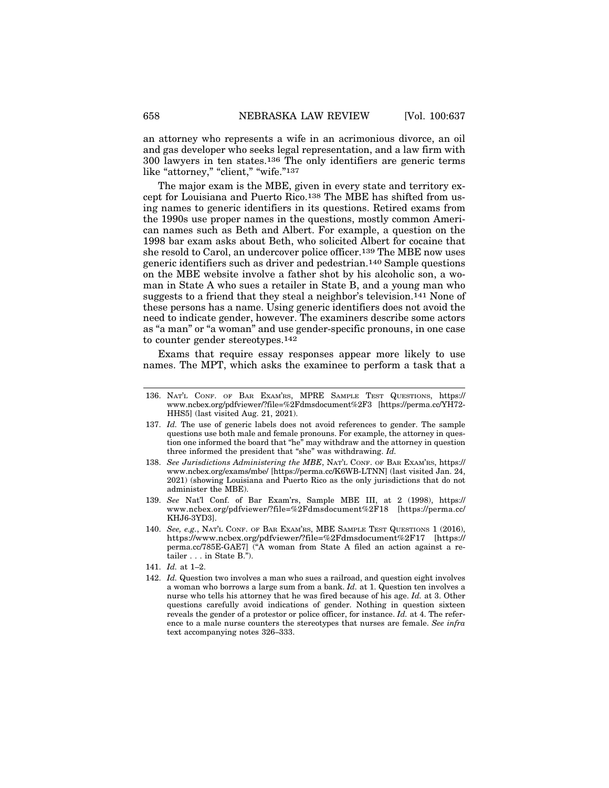an attorney who represents a wife in an acrimonious divorce, an oil and gas developer who seeks legal representation, and a law firm with 300 lawyers in ten states.136 The only identifiers are generic terms like "attorney," "client," "wife."137

The major exam is the MBE, given in every state and territory except for Louisiana and Puerto Rico.138 The MBE has shifted from using names to generic identifiers in its questions. Retired exams from the 1990s use proper names in the questions, mostly common American names such as Beth and Albert. For example, a question on the 1998 bar exam asks about Beth, who solicited Albert for cocaine that she resold to Carol, an undercover police officer.139 The MBE now uses generic identifiers such as driver and pedestrian.140 Sample questions on the MBE website involve a father shot by his alcoholic son, a woman in State A who sues a retailer in State B, and a young man who suggests to a friend that they steal a neighbor's television.141 None of these persons has a name. Using generic identifiers does not avoid the need to indicate gender, however. The examiners describe some actors as "a man" or "a woman" and use gender-specific pronouns, in one case to counter gender stereotypes.142

Exams that require essay responses appear more likely to use names. The MPT, which asks the examinee to perform a task that a

- 137. *Id.* The use of generic labels does not avoid references to gender. The sample questions use both male and female pronouns. For example, the attorney in question one informed the board that "he" may withdraw and the attorney in question three informed the president that "she" was withdrawing. *Id.*
- 138. *See Jurisdictions Administering the MBE*, NAT'L CONF. OF BAR EXAM'RS, https:// www.ncbex.org/exams/mbe/ [https://perma.cc/K6WB-LTNN] (last visited Jan. 24, 2021) (showing Louisiana and Puerto Rico as the only jurisdictions that do not administer the MBE).
- 139. *See* Nat'l Conf. of Bar Exam'rs, Sample MBE III, at 2 (1998), https:// www.ncbex.org/pdfviewer/?file=%2Fdmsdocument%2F18 [https://perma.cc/ KHJ6-3YD3].
- 140. *See, e.g.*, NAT'L CONF. OF BAR EXAM'RS, MBE SAMPLE TEST QUESTIONS 1 (2016), https://www.ncbex.org/pdfviewer/?file=%2Fdmsdocument%2F17 [https:// perma.cc/785E-GAE7] ("A woman from State A filed an action against a retailer . . . in State B.").
- 141. *Id.* at 1–2.
- 142. *Id.* Question two involves a man who sues a railroad, and question eight involves a woman who borrows a large sum from a bank. *Id.* at 1. Question ten involves a nurse who tells his attorney that he was fired because of his age. *Id.* at 3. Other questions carefully avoid indications of gender. Nothing in question sixteen reveals the gender of a protestor or police officer, for instance. *Id.* at 4. The reference to a male nurse counters the stereotypes that nurses are female. *See infra* text accompanying notes 326–333.

<sup>136.</sup> NAT'L CONF. OF BAR EXAM'RS, MPRE SAMPLE TEST QUESTIONS, https:// www.ncbex.org/pdfviewer/?file=%2Fdmsdocument%2F3 [https://perma.cc/YH72- HHS5] (last visited Aug. 21, 2021).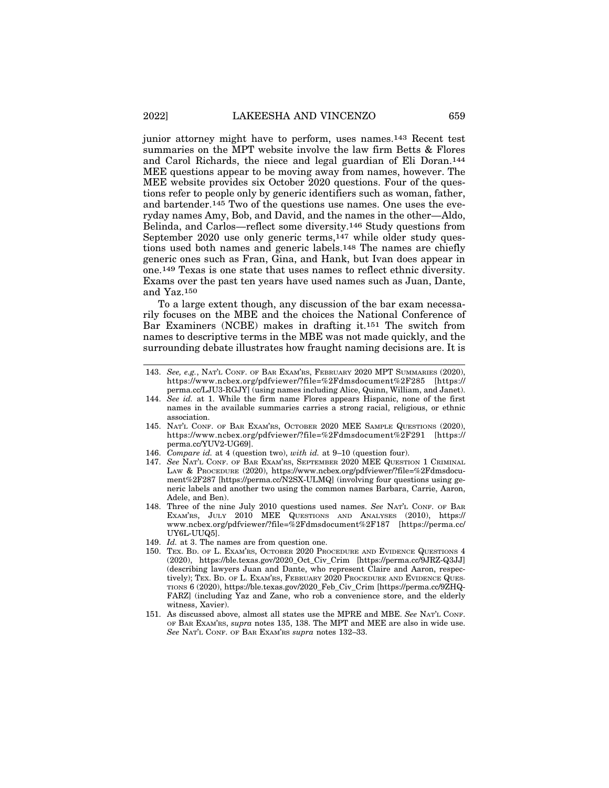junior attorney might have to perform, uses names.143 Recent test summaries on the MPT website involve the law firm Betts & Flores and Carol Richards, the niece and legal guardian of Eli Doran.144 MEE questions appear to be moving away from names, however. The MEE website provides six October 2020 questions. Four of the questions refer to people only by generic identifiers such as woman, father, and bartender.145 Two of the questions use names. One uses the everyday names Amy, Bob, and David, and the names in the other—Aldo, Belinda, and Carlos—reflect some diversity.146 Study questions from September 2020 use only generic terms,147 while older study questions used both names and generic labels.148 The names are chiefly generic ones such as Fran, Gina, and Hank, but Ivan does appear in one.149 Texas is one state that uses names to reflect ethnic diversity. Exams over the past ten years have used names such as Juan, Dante, and Yaz.150

To a large extent though, any discussion of the bar exam necessarily focuses on the MBE and the choices the National Conference of Bar Examiners (NCBE) makes in drafting it.151 The switch from names to descriptive terms in the MBE was not made quickly, and the surrounding debate illustrates how fraught naming decisions are. It is

- 144. *See id.* at 1. While the firm name Flores appears Hispanic, none of the first names in the available summaries carries a strong racial, religious, or ethnic association.
- 145. NAT'L CONF. OF BAR EXAM'RS, OCTOBER 2020 MEE SAMPLE QUESTIONS (2020), https://www.ncbex.org/pdfviewer/?file=%2Fdmsdocument%2F291 [https:// perma.cc/YUV2-UG69].
- 146. *Compare id.* at 4 (question two), *with id.* at 9–10 (question four).
- 147. *See* NAT'L CONF. OF BAR EXAM'RS, SEPTEMBER 2020 MEE QUESTION 1 CRIMINAL LAW & PROCEDURE (2020), https://www.ncbex.org/pdfviewer/?file=%2Fdmsdocument%2F287 [https://perma.cc/N2SX-ULMQ] (involving four questions using generic labels and another two using the common names Barbara, Carrie, Aaron, Adele, and Ben).
- 148. Three of the nine July 2010 questions used names. *See* NAT'L CONF. OF BAR EXAM'RS, JULY 2010 MEE QUESTIONS AND ANALYSES (2010), https:// www.ncbex.org/pdfviewer/?file=%2Fdmsdocument%2F187 [https://perma.cc/ UY6L-UUQ5].
- 149. *Id.* at 3. The names are from question one.
- 150. TEX. BD. OF L. EXAM'RS, OCTOBER 2020 PROCEDURE AND EVIDENCE QUESTIONS 4 (2020), https://ble.texas.gov/2020\_Oct\_Civ\_Crim [https://perma.cc/9JRZ-Q3JJ] (describing lawyers Juan and Dante, who represent Claire and Aaron, respectively); TEX. BD. OF L. EXAM'RS, FEBRUARY 2020 PROCEDURE AND EVIDENCE QUES-TIONS 6 (2020), https://ble.texas.gov/2020\_Feb\_Civ\_Crim [https://perma.cc/9ZHQ-FARZ] (including Yaz and Zane, who rob a convenience store, and the elderly witness, Xavier).
- 151. As discussed above, almost all states use the MPRE and MBE. *See* NAT'L CONF. OF BAR EXAM'RS, *supra* notes 135, 138. The MPT and MEE are also in wide use. *See* NAT'L CONF. OF BAR EXAM'RS *supra* notes 132–33.

<sup>143.</sup> *See, e.g.*, NAT'L CONF. OF BAR EXAM'RS, FEBRUARY 2020 MPT SUMMARIES (2020), https://www.ncbex.org/pdfviewer/?file=%2Fdmsdocument%2F285 [https:// perma.cc/LJU3-RGJY] (using names including Alice, Quinn, William, and Janet).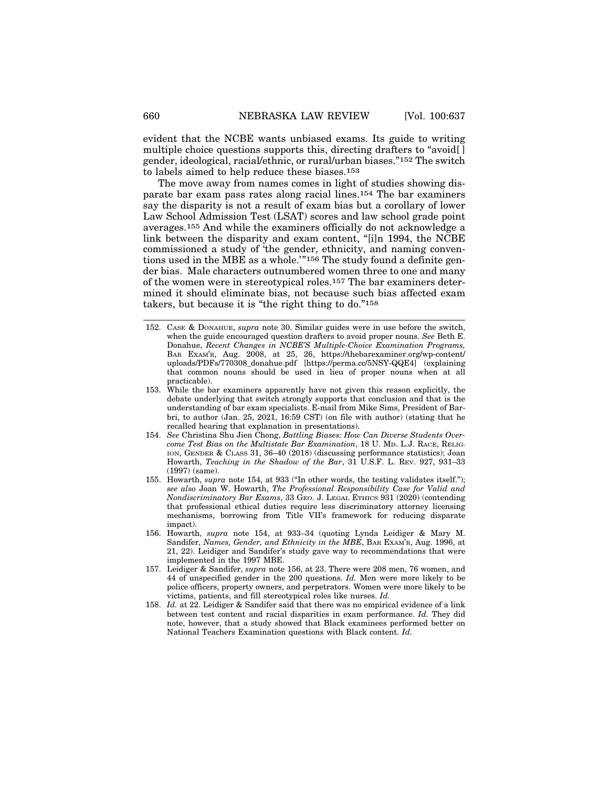evident that the NCBE wants unbiased exams. Its guide to writing multiple choice questions supports this, directing drafters to "avoid[ ] gender, ideological, racial/ethnic, or rural/urban biases."152 The switch to labels aimed to help reduce these biases.153

The move away from names comes in light of studies showing disparate bar exam pass rates along racial lines.154 The bar examiners say the disparity is not a result of exam bias but a corollary of lower Law School Admission Test (LSAT) scores and law school grade point averages.155 And while the examiners officially do not acknowledge a link between the disparity and exam content, "[i]n 1994, the NCBE commissioned a study of 'the gender, ethnicity, and naming conventions used in the MBE as a whole.'"156 The study found a definite gender bias. Male characters outnumbered women three to one and many of the women were in stereotypical roles.157 The bar examiners determined it should eliminate bias, not because such bias affected exam takers, but because it is "the right thing to do."158

- 153. While the bar examiners apparently have not given this reason explicitly, the debate underlying that switch strongly supports that conclusion and that is the understanding of bar exam specialists. E-mail from Mike Sims, President of Barbri, to author (Jan. 25, 2021, 16:59 CST) (on file with author) (stating that he recalled hearing that explanation in presentations).
- 154. *See* Christina Shu Jien Chong, *Battling Biases: How Can Diverse Students Overcome Test Bias on the Multistate Bar Examination*, 18 U. MD. L.J. RACE, RELIG-ION, GENDER & CLASS 31, 36–40 (2018) (discussing performance statistics); Joan Howarth, *Teaching in the Shadow of the Bar*, 31 U.S.F. L. REV. 927, 931–33 (1997) (same).
- 155. Howarth, *supra* note 154, at 933 ("In other words, the testing validates itself."); *see also* Joan W. Howarth, *The Professional Responsibility Case for Valid and Nondiscriminatory Bar Exams*, 33 GEO. J. LEGAL ETHICS 931 (2020) (contending that professional ethical duties require less discriminatory attorney licensing mechanisms, borrowing from Title VII's framework for reducing disparate impact).
- 156. Howarth, *supra* note 154, at 933–34 (quoting Lynda Leidiger & Mary M. Sandifer, *Names, Gender, and Ethnicity in the MBE*, BAR EXAM'R, Aug. 1996, at 21, 22). Leidiger and Sandifer's study gave way to recommendations that were implemented in the 1997 MBE.
- 157. Leidiger & Sandifer, *supra* note 156, at 23. There were 208 men, 76 women, and 44 of unspecified gender in the 200 questions. *Id.* Men were more likely to be police officers, property owners, and perpetrators. Women were more likely to be victims, patients, and fill stereotypical roles like nurses. *Id.*
- 158. *Id.* at 22. Leidiger & Sandifer said that there was no empirical evidence of a link between test content and racial disparities in exam performance. *Id.* They did note, however, that a study showed that Black examinees performed better on National Teachers Examination questions with Black content. *Id.*

<sup>152.</sup> CASE & DONAHUE, *supra* note 30. Similar guides were in use before the switch, when the guide encouraged question drafters to avoid proper nouns. *See* Beth E. Donahue, *Recent Changes in NCBE'S Multiple-Choice Examination Programs,* BAR EXAM'R, Aug. 2008, at 25, 26, https://thebarexaminer.org/wp-content/ uploads/PDFs/770308\_donahue.pdf [https://perma.cc/5NSY-QQE4] (explaining that common nouns should be used in lieu of proper nouns when at all practicable).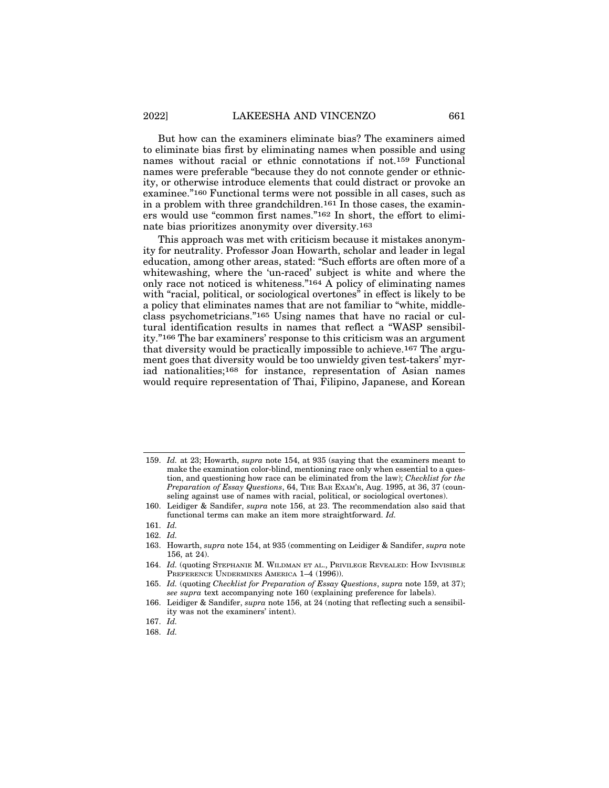But how can the examiners eliminate bias? The examiners aimed to eliminate bias first by eliminating names when possible and using names without racial or ethnic connotations if not.159 Functional names were preferable "because they do not connote gender or ethnicity, or otherwise introduce elements that could distract or provoke an examinee."160 Functional terms were not possible in all cases, such as in a problem with three grandchildren.161 In those cases, the examiners would use "common first names."162 In short, the effort to eliminate bias prioritizes anonymity over diversity.163

This approach was met with criticism because it mistakes anonymity for neutrality. Professor Joan Howarth, scholar and leader in legal education, among other areas, stated: "Such efforts are often more of a whitewashing, where the 'un-raced' subject is white and where the only race not noticed is whiteness."164 A policy of eliminating names with "racial, political, or sociological overtones" in effect is likely to be a policy that eliminates names that are not familiar to "white, middleclass psychometricians."165 Using names that have no racial or cultural identification results in names that reflect a "WASP sensibility."166 The bar examiners' response to this criticism was an argument that diversity would be practically impossible to achieve.167 The argument goes that diversity would be too unwieldy given test-takers' myriad nationalities;168 for instance, representation of Asian names would require representation of Thai, Filipino, Japanese, and Korean

168. *Id.*

<sup>159.</sup> *Id.* at 23; Howarth, *supra* note 154, at 935 (saying that the examiners meant to make the examination color-blind, mentioning race only when essential to a question, and questioning how race can be eliminated from the law); *Checklist for the Preparation of Essay Questions*, 64, THE BAR EXAM'R, Aug. 1995, at 36, 37 (counseling against use of names with racial, political, or sociological overtones).

<sup>160.</sup> Leidiger & Sandifer, *supra* note 156, at 23. The recommendation also said that functional terms can make an item more straightforward. *Id.*

<sup>161.</sup> *Id.*

<sup>162.</sup> *Id.*

<sup>163.</sup> Howarth, *supra* note 154, at 935 (commenting on Leidiger & Sandifer, *supra* note 156, at 24).

<sup>164.</sup> *Id.* (quoting STEPHANIE M. WILDMAN ET AL., PRIVILEGE REVEALED: HOW INVISIBLE PREFERENCE UNDERMINES AMERICA 1-4 (1996)).

<sup>165.</sup> *Id.* (quoting *Checklist for Preparation of Essay Questions*, *supra* note 159, at 37); *see supra* text accompanying note 160 (explaining preference for labels).

<sup>166.</sup> Leidiger & Sandifer, *supra* note 156, at 24 (noting that reflecting such a sensibility was not the examiners' intent).

<sup>167.</sup> *Id.*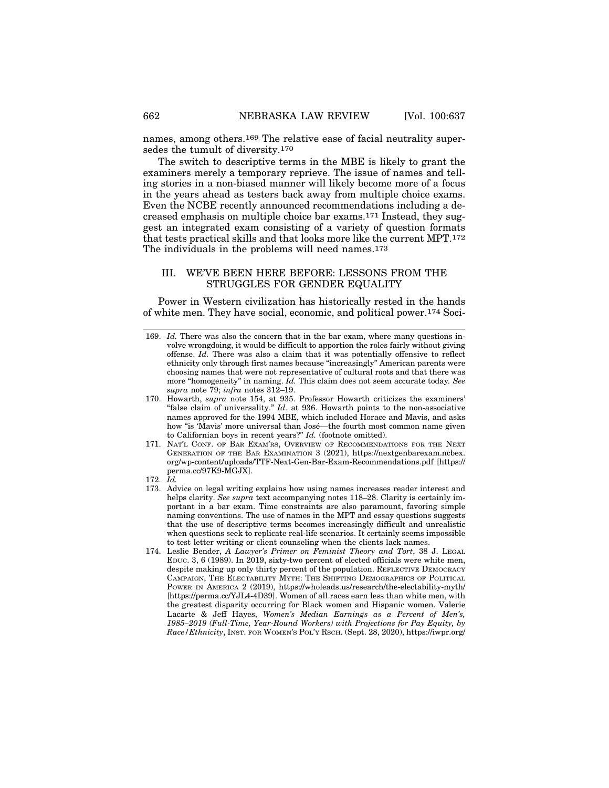names, among others.169 The relative ease of facial neutrality supersedes the tumult of diversity.170

The switch to descriptive terms in the MBE is likely to grant the examiners merely a temporary reprieve. The issue of names and telling stories in a non-biased manner will likely become more of a focus in the years ahead as testers back away from multiple choice exams. Even the NCBE recently announced recommendations including a decreased emphasis on multiple choice bar exams.171 Instead, they suggest an integrated exam consisting of a variety of question formats that tests practical skills and that looks more like the current MPT.172 The individuals in the problems will need names.<sup>173</sup>

#### III. WE'VE BEEN HERE BEFORE: LESSONS FROM THE STRUGGLES FOR GENDER EQUALITY

Power in Western civilization has historically rested in the hands of white men. They have social, economic, and political power.174 Soci-

- 170. Howarth, *supra* note 154, at 935. Professor Howarth criticizes the examiners' "false claim of universality." *Id.* at 936. Howarth points to the non-associative names approved for the 1994 MBE, which included Horace and Mavis, and asks how "is 'Mavis' more universal than José—the fourth most common name given to Californian boys in recent years?" *Id.* (footnote omitted).
- 171. NAT'L CONF. OF BAR EXAM'RS, OVERVIEW OF RECOMMENDATIONS FOR THE NEXT GENERATION OF THE BAR EXAMINATION 3 (2021), https://nextgenbarexam.ncbex. org/wp-content/uploads/TTF-Next-Gen-Bar-Exam-Recommendations.pdf [https:// perma.cc/97K9-MGJX].
- 172. *Id.*
- 173. Advice on legal writing explains how using names increases reader interest and helps clarity. *See supra* text accompanying notes 118–28. Clarity is certainly important in a bar exam. Time constraints are also paramount, favoring simple naming conventions. The use of names in the MPT and essay questions suggests that the use of descriptive terms becomes increasingly difficult and unrealistic when questions seek to replicate real-life scenarios. It certainly seems impossible to test letter writing or client counseling when the clients lack names.
- 174. Leslie Bender, *A Lawyer's Primer on Feminist Theory and Tort*, 38 J. LEGAL EDUC. 3, 6 (1989). In 2019, sixty-two percent of elected officials were white men, despite making up only thirty percent of the population. REFLECTIVE DEMOCRACY CAMPAIGN, THE ELECTABILITY MYTH: THE SHIFTING DEMOGRAPHICS OF POLITICAL POWER IN AMERICA 2 (2019), https://wholeads.us/research/the-electability-myth/ [https://perma.cc/YJL4-4D39]. Women of all races earn less than white men, with the greatest disparity occurring for Black women and Hispanic women. Valerie Lacarte & Jeff Hayes, *Women's Median Earnings as a Percent of Men's, 1985–2019 (Full-Time, Year-Round Workers) with Projections for Pay Equity, by Race/Ethnicity*, INST. FOR WOMEN'S POL'Y RSCH. (Sept. 28, 2020), https://iwpr.org/

<sup>169.</sup> *Id.* There was also the concern that in the bar exam, where many questions involve wrongdoing, it would be difficult to apportion the roles fairly without giving offense. *Id.* There was also a claim that it was potentially offensive to reflect ethnicity only through first names because "increasingly" American parents were choosing names that were not representative of cultural roots and that there was more "homogeneity" in naming. *Id.* This claim does not seem accurate today*. See supra* note 79; *infra* notes 312–19.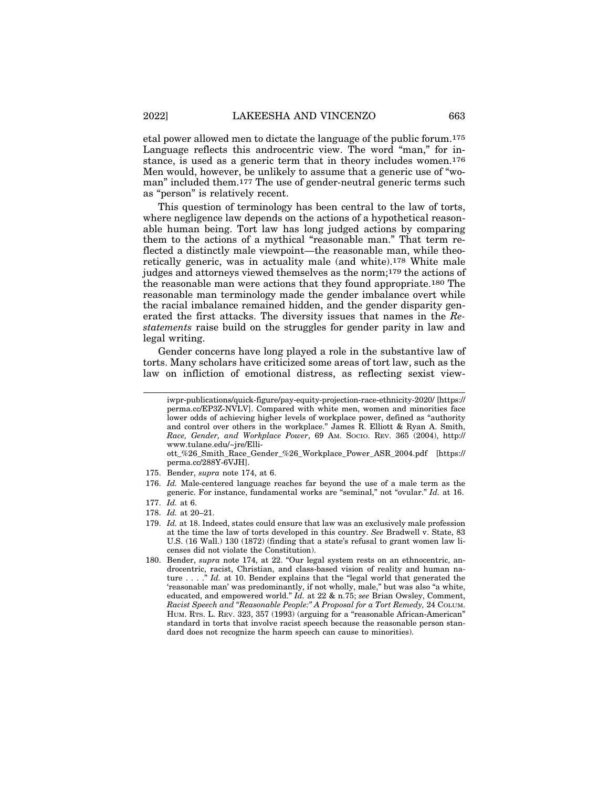etal power allowed men to dictate the language of the public forum.175 Language reflects this androcentric view. The word "man," for instance, is used as a generic term that in theory includes women.176 Men would, however, be unlikely to assume that a generic use of "woman" included them.177 The use of gender-neutral generic terms such as "person" is relatively recent.

This question of terminology has been central to the law of torts, where negligence law depends on the actions of a hypothetical reasonable human being. Tort law has long judged actions by comparing them to the actions of a mythical "reasonable man." That term reflected a distinctly male viewpoint—the reasonable man, while theoretically generic, was in actuality male (and white).178 White male judges and attorneys viewed themselves as the norm;179 the actions of the reasonable man were actions that they found appropriate.180 The reasonable man terminology made the gender imbalance overt while the racial imbalance remained hidden, and the gender disparity generated the first attacks. The diversity issues that names in the *Restatements* raise build on the struggles for gender parity in law and legal writing.

Gender concerns have long played a role in the substantive law of torts. Many scholars have criticized some areas of tort law, such as the law on infliction of emotional distress, as reflecting sexist view-

ott\_%26\_Smith\_Race\_Gender\_%26\_Workplace\_Power\_ASR\_2004.pdf [https:// perma.cc/288Y-6VJH].

- 175. Bender, *supra* note 174, at 6.
- 176. *Id.* Male-centered language reaches far beyond the use of a male term as the generic. For instance, fundamental works are "seminal," not "ovular." *Id.* at 16.

- 178. *Id.* at 20–21.
- 179. *Id.* at 18. Indeed, states could ensure that law was an exclusively male profession at the time the law of torts developed in this country. *See* Bradwell v. State, 83 U.S. (16 Wall.) 130 (1872) (finding that a state's refusal to grant women law licenses did not violate the Constitution).
- 180. Bender, *supra* note 174, at 22. "Our legal system rests on an ethnocentric, androcentric, racist, Christian, and class-based vision of reality and human nature . . . ." *Id.* at 10. Bender explains that the "legal world that generated the 'reasonable man' was predominantly, if not wholly, male," but was also "a white, educated, and empowered world." *Id.* at 22 & n.75; *see* Brian Owsley, Comment, *Racist Speech and "Reasonable People:" A Proposal for a Tort Remedy,* 24 COLUM. HUM. RTS. L. REV. 323, 357 (1993) (arguing for a "reasonable African-American" standard in torts that involve racist speech because the reasonable person standard does not recognize the harm speech can cause to minorities).

iwpr-publications/quick-figure/pay-equity-projection-race-ethnicity-2020/ [https:// perma.cc/EP3Z-NVLV]. Compared with white men, women and minorities face lower odds of achieving higher levels of workplace power, defined as "authority and control over others in the workplace." James R. Elliott & Ryan A. Smith, *Race, Gender, and Workplace Power*, 69 AM. SOCIO. REV. 365 (2004), http:// www.tulane.edu/~jre/Elli-

<sup>177.</sup> *Id.* at 6.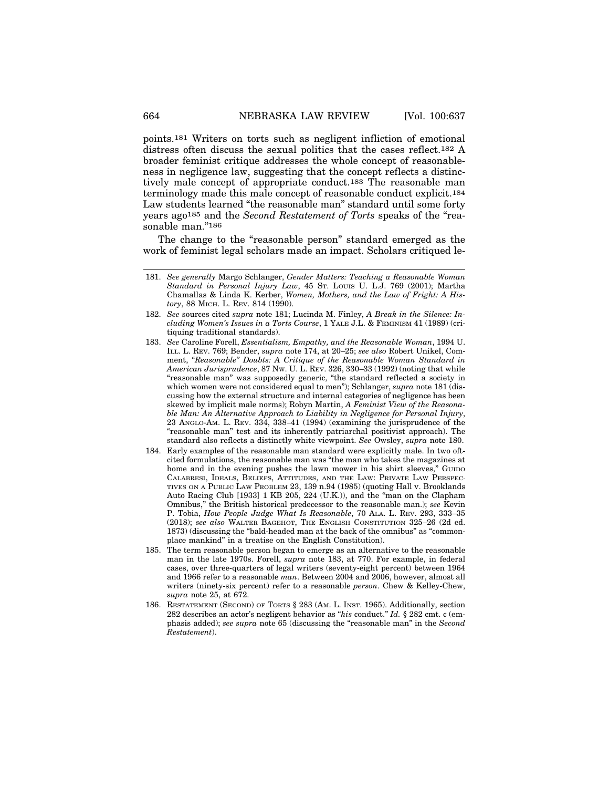points.181 Writers on torts such as negligent infliction of emotional distress often discuss the sexual politics that the cases reflect.182 A broader feminist critique addresses the whole concept of reasonableness in negligence law, suggesting that the concept reflects a distinctively male concept of appropriate conduct.183 The reasonable man terminology made this male concept of reasonable conduct explicit.184 Law students learned "the reasonable man" standard until some forty years ago185 and the *Second Restatement of Torts* speaks of the "reasonable man."<sup>186</sup>

The change to the "reasonable person" standard emerged as the work of feminist legal scholars made an impact. Scholars critiqued le-

- 183. *See* Caroline Forell, *Essentialism, Empathy, and the Reasonable Woman*, 1994 U. ILL. L. REV. 769; Bender, *supra* note 174, at 20–25; *see also* Robert Unikel, Comment, *"Reasonable" Doubts: A Critique of the Reasonable Woman Standard in American Jurisprudence*, 87 NW. U. L. REV. 326, 330–33 (1992) (noting that while "reasonable man" was supposedly generic, "the standard reflected a society in which women were not considered equal to men"); Schlanger, *supra* note 181 (discussing how the external structure and internal categories of negligence has been skewed by implicit male norms); Robyn Martin, *A Feminist View of the Reasonable Man: An Alternative Approach to Liability in Negligence for Personal Injury*, 23 ANGLO-AM. L. REV. 334, 338–41 (1994) (examining the jurisprudence of the "reasonable man" test and its inherently patriarchal positivist approach). The standard also reflects a distinctly white viewpoint. *See* Owsley, *supra* note 180.
- 184. Early examples of the reasonable man standard were explicitly male. In two oftcited formulations, the reasonable man was "the man who takes the magazines at home and in the evening pushes the lawn mower in his shirt sleeves," GUIDO CALABRESI, IDEALS, BELIEFS, ATTITUDES, AND THE LAW: PRIVATE LAW PERSPEC-TIVES ON A PUBLIC LAW PROBLEM 23, 139 n.94 (1985) (quoting Hall v. Brooklands Auto Racing Club [1933] 1 KB 205, 224 (U.K.)), and the "man on the Clapham Omnibus," the British historical predecessor to the reasonable man.); *see* Kevin P. Tobia, *How People Judge What Is Reasonable*, 70 ALA. L. REV. 293, 333–35 (2018); *see also* WALTER BAGEHOT, THE ENGLISH CONSTITUTION 325–26 (2d ed. 1873) (discussing the "bald-headed man at the back of the omnibus" as "commonplace mankind" in a treatise on the English Constitution).
- 185. The term reasonable person began to emerge as an alternative to the reasonable man in the late 1970s. Forell, *supra* note 183, at 770. For example, in federal cases, over three-quarters of legal writers (seventy-eight percent) between 1964 and 1966 refer to a reasonable *man*. Between 2004 and 2006, however, almost all writers (ninety-six percent) refer to a reasonable *person*. Chew & Kelley-Chew, *supra* note 25, at 672.
- 186. RESTATEMENT (SECOND) OF TORTS § 283 (AM. L. INST. 1965). Additionally, section 282 describes an actor's negligent behavior as "*his* conduct." *Id.* § 282 cmt. c (emphasis added); *see supra* note 65 (discussing the "reasonable man" in the *Second Restatement*).

<sup>181.</sup> *See generally* Margo Schlanger, *Gender Matters: Teaching a Reasonable Woman Standard in Personal Injury Law*, 45 ST. LOUIS U. L.J. 769 (2001); Martha Chamallas & Linda K. Kerber, *Women, Mothers, and the Law of Fright: A History*, 88 MICH. L. REV. 814 (1990).

<sup>182.</sup> *See* sources cited *supra* note 181; Lucinda M. Finley, *A Break in the Silence: Including Women's Issues in a Torts Course*, 1 YALE J.L. & FEMINISM 41 (1989) (critiquing traditional standards).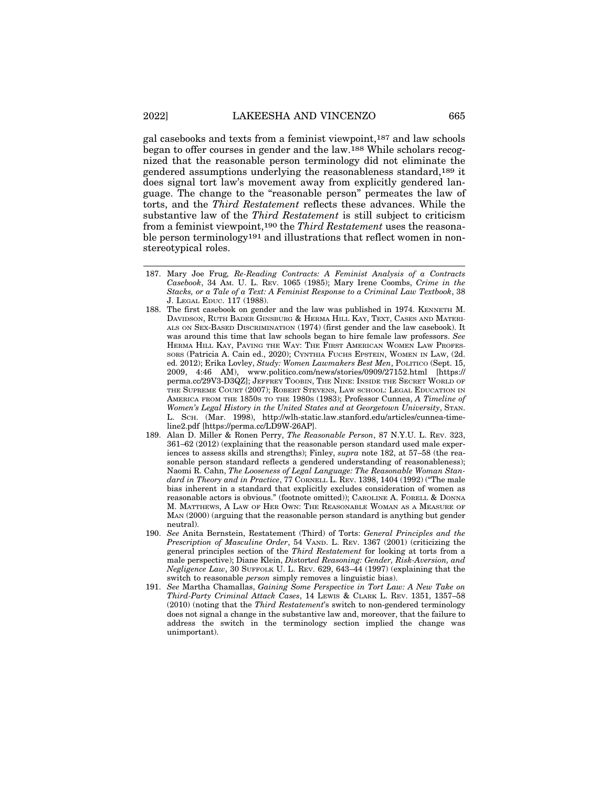gal casebooks and texts from a feminist viewpoint,187 and law schools began to offer courses in gender and the law.188 While scholars recognized that the reasonable person terminology did not eliminate the gendered assumptions underlying the reasonableness standard,189 it does signal tort law's movement away from explicitly gendered language. The change to the "reasonable person" permeates the law of torts, and the *Third Restatement* reflects these advances. While the substantive law of the *Third Restatement* is still subject to criticism from a feminist viewpoint,190 the *Third Restatement* uses the reasonable person terminology191 and illustrations that reflect women in nonstereotypical roles.

- 188. The first casebook on gender and the law was published in 1974. KENNETH M. DAVIDSON, RUTH BADER GINSBURG & HERMA HILL KAY, TEXT, CASES AND MATERI-ALS ON SEX-BASED DISCRIMINATION (1974) (first gender and the law casebook). It was around this time that law schools began to hire female law professors. *See* HERMA HILL KAY, PAVING THE WAY: THE FIRST AMERICAN WOMEN LAW PROFES-SORS (Patricia A. Cain ed., 2020); CYNTHIA FUCHS EPSTEIN, WOMEN IN LAW, (2d. ed. 2012); Erika Lovley, *Study: Women Lawmakers Best Men*, POLITICO (Sept. 15, 2009, 4:46 AM), www.politico.com/news/stories/0909/27152.html [https:// perma.cc/29V3-D3QZ]; JEFFREY TOOBIN, THE NINE: INSIDE THE SECRET WORLD OF THE SUPREME COURT (2007); ROBERT STEVENS, LAW SCHOOL: LEGAL EDUCATION IN AMERICA FROM THE 1850S TO THE 1980S (1983); Professor Cunnea, *A Timeline of Women's Legal History in the United States and at Georgetown University*, STAN. L. SCH. (Mar. 1998), http://wlh-static.law.stanford.edu/articles/cunnea-timeline2.pdf [https://perma.cc/LD9W-26AP].
- 189. Alan D. Miller & Ronen Perry, *The Reasonable Person*, 87 N.Y.U. L. REV. 323, 361–62 (2012) (explaining that the reasonable person standard used male experiences to assess skills and strengths); Finley, *supra* note 182, at 57–58 (the reasonable person standard reflects a gendered understanding of reasonableness); Naomi R. Cahn, *The Looseness of Legal Language: The Reasonable Woman Standard in Theory and in Practice*, 77 CORNELL L. REV. 1398, 1404 (1992) ("The male bias inherent in a standard that explicitly excludes consideration of women as reasonable actors is obvious." (footnote omitted)); CAROLINE A. FORELL & DONNA M. MATTHEWS, A LAW OF HER OWN: THE REASONABLE WOMAN AS A MEASURE OF MAN (2000) (arguing that the reasonable person standard is anything but gender neutral).
- 190. *See* Anita Bernstein, Restatement (Third) of Torts: *General Principles and the Prescription of Masculine Order*, 54 VAND. L. REV. 1367 (2001) (criticizing the general principles section of the *Third Restatement* for looking at torts from a male perspective); Diane Klein, *Dis*tort*ed Reasoning: Gender, Risk-Aversion, and Negligence Law*, 30 SUFFOLK U. L. REV. 629, 643–44 (1997) (explaining that the switch to reasonable *person* simply removes a linguistic bias).
- 191. *See* Martha Chamallas, *Gaining Some Perspective in Tort Law: A New Take on Third-Party Criminal Attack Cases*, 14 LEWIS & CLARK L. REV. 1351, 1357–58 (2010) (noting that the *Third Restatement*'s switch to non-gendered terminology does not signal a change in the substantive law and, moreover, that the failure to address the switch in the terminology section implied the change was unimportant).

<sup>187.</sup> Mary Joe Frug*, Re-Reading Contracts: A Feminist Analysis of a Contracts Casebook*, 34 AM. U. L. REV. 1065 (1985); Mary Irene Coombs, *Crime in the Stacks, or a Tale of a Text: A Feminist Response to a Criminal Law Textbook*, 38 J. LEGAL EDUC. 117 (1988).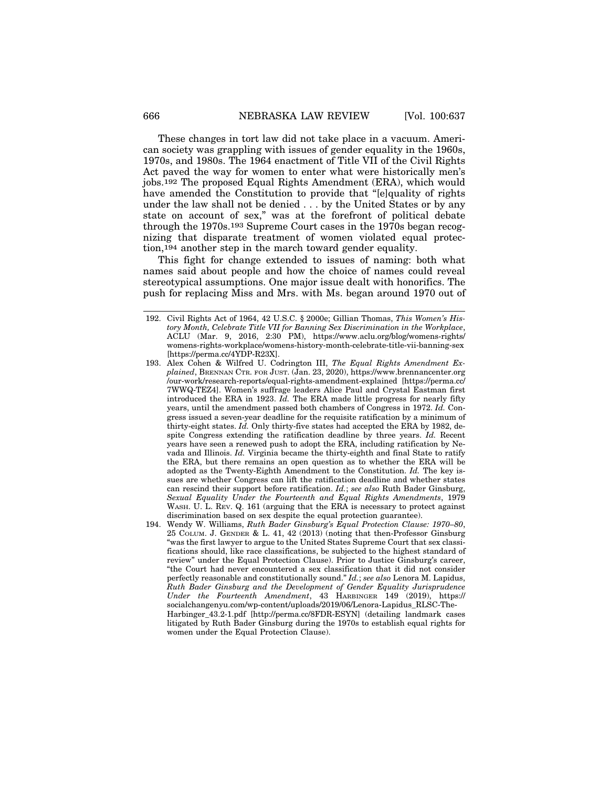These changes in tort law did not take place in a vacuum. American society was grappling with issues of gender equality in the 1960s, 1970s, and 1980s. The 1964 enactment of Title VII of the Civil Rights Act paved the way for women to enter what were historically men's jobs.192 The proposed Equal Rights Amendment (ERA), which would have amended the Constitution to provide that "[e]quality of rights under the law shall not be denied . . . by the United States or by any state on account of sex," was at the forefront of political debate through the 1970s.193 Supreme Court cases in the 1970s began recognizing that disparate treatment of women violated equal protection,194 another step in the march toward gender equality.

This fight for change extended to issues of naming: both what names said about people and how the choice of names could reveal stereotypical assumptions. One major issue dealt with honorifics. The push for replacing Miss and Mrs. with Ms. began around 1970 out of

<sup>192.</sup> Civil Rights Act of 1964, 42 U.S.C. § 2000e; Gillian Thomas, *This Women's History Month, Celebrate Title VII for Banning Sex Discrimination in the Workplace*, ACLU (Mar. 9, 2016, 2:30 PM), https://www.aclu.org/blog/womens-rights/ womens-rights-workplace/womens-history-month-celebrate-title-vii-banning-sex [https://perma.cc/4YDP-R23X].

<sup>193.</sup> Alex Cohen & Wilfred U. Codrington III, *The Equal Rights Amendment Explained*, BRENNAN CTR. FOR JUST. (Jan. 23, 2020), https://www.brennancenter.org /our-work/research-reports/equal-rights-amendment-explained [https://perma.cc/ 7WWQ-TEZ4]. Women's suffrage leaders Alice Paul and Crystal Eastman first introduced the ERA in 1923. *Id.* The ERA made little progress for nearly fifty years, until the amendment passed both chambers of Congress in 1972. *Id.* Congress issued a seven-year deadline for the requisite ratification by a minimum of thirty-eight states. *Id.* Only thirty-five states had accepted the ERA by 1982, despite Congress extending the ratification deadline by three years. *Id.* Recent years have seen a renewed push to adopt the ERA, including ratification by Nevada and Illinois. *Id.* Virginia became the thirty-eighth and final State to ratify the ERA, but there remains an open question as to whether the ERA will be adopted as the Twenty-Eighth Amendment to the Constitution. *Id.* The key issues are whether Congress can lift the ratification deadline and whether states can rescind their support before ratification. *Id.*; *see also* Ruth Bader Ginsburg, *Sexual Equality Under the Fourteenth and Equal Rights Amendments*, 1979 WASH. U. L. REV. Q. 161 (arguing that the ERA is necessary to protect against discrimination based on sex despite the equal protection guarantee).

<sup>194.</sup> Wendy W. Williams, *Ruth Bader Ginsburg's Equal Protection Clause: 1970–80*, 25 COLUM. J. GENDER & L. 41, 42 (2013) (noting that then-Professor Ginsburg "was the first lawyer to argue to the United States Supreme Court that sex classifications should, like race classifications, be subjected to the highest standard of review" under the Equal Protection Clause). Prior to Justice Ginsburg's career, "the Court had never encountered a sex classification that it did not consider perfectly reasonable and constitutionally sound." *Id.*; *see also* Lenora M. Lapidus, *Ruth Bader Ginsburg and the Development of Gender Equality Jurisprudence Under the Fourteenth Amendment*, 43 HARBINGER 149 (2019), https:// socialchangenyu.com/wp-content/uploads/2019/06/Lenora-Lapidus\_RLSC-The-Harbinger\_43.2-1.pdf [http://perma.cc/8FDR-ESYN] (detailing landmark cases litigated by Ruth Bader Ginsburg during the 1970s to establish equal rights for women under the Equal Protection Clause).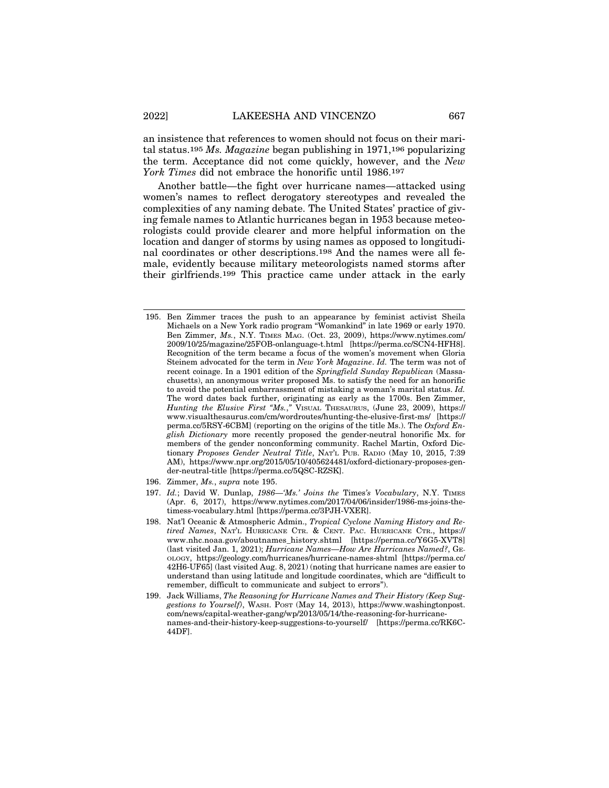an insistence that references to women should not focus on their marital status.195 *Ms. Magazine* began publishing in 1971,196 popularizing the term. Acceptance did not come quickly, however, and the *New York Times* did not embrace the honorific until 1986.197

Another battle—the fight over hurricane names—attacked using women's names to reflect derogatory stereotypes and revealed the complexities of any naming debate. The United States' practice of giving female names to Atlantic hurricanes began in 1953 because meteorologists could provide clearer and more helpful information on the location and danger of storms by using names as opposed to longitudinal coordinates or other descriptions.198 And the names were all female, evidently because military meteorologists named storms after their girlfriends.199 This practice came under attack in the early

- 196. Zimmer, *Ms.*, *supra* note 195.
- 197. *Id.*; David W. Dunlap, *1986—'Ms.' Joins the* Times*'s Vocabulary*, N.Y. TIMES (Apr. 6, 2017), https://www.nytimes.com/2017/04/06/insider/1986-ms-joins-thetimess-vocabulary.html [https://perma.cc/3PJH-VXER].
- 198. Nat'l Oceanic & Atmospheric Admin., *Tropical Cyclone Naming History and Retired Names*, NAT'L HURRICANE CTR. & CENT. PAC. HURRICANE CTR., https:// www.nhc.noaa.gov/aboutnames\_history.shtml [https://perma.cc/Y6G5-XVT8] (last visited Jan. 1, 2021); *Hurricane Names—How Are Hurricanes Named?*, GE-OLOGY, https://geology.com/hurricanes/hurricane-names-shtml [https://perma.cc/ 42H6-UF65] (last visited Aug. 8, 2021) (noting that hurricane names are easier to understand than using latitude and longitude coordinates, which are "difficult to remember, difficult to communicate and subject to errors").
- 199. Jack Williams, *The Reasoning for Hurricane Names and Their History (Keep Suggestions to Yourself)*, WASH. POST (May 14, 2013), https://www.washingtonpost. com/news/capital-weather-gang/wp/2013/05/14/the-reasoning-for-hurricanenames-and-their-history-keep-suggestions-to-yourself/ [https://perma.cc/RK6C-44DF].

<sup>195.</sup> Ben Zimmer traces the push to an appearance by feminist activist Sheila Michaels on a New York radio program "Womankind" in late 1969 or early 1970. Ben Zimmer, *Ms.*, N.Y. TIMES MAG. (Oct. 23, 2009), https://www.nytimes.com/ 2009/10/25/magazine/25FOB-onlanguage-t.html [https://perma.cc/SCN4-HFH8]. Recognition of the term became a focus of the women's movement when Gloria Steinem advocated for the term in *New York Magazine*. *Id.* The term was not of recent coinage. In a 1901 edition of the *Springfield Sunday Republican* (Massachusetts), an anonymous writer proposed Ms. to satisfy the need for an honorific to avoid the potential embarrassment of mistaking a woman's marital status. *Id.* The word dates back further, originating as early as the 1700s. Ben Zimmer, *Hunting the Elusive First "Ms.,"* VISUAL THESAURUS, (June 23, 2009), https:// www.visualthesaurus.com/cm/wordroutes/hunting-the-elusive-first-ms/ [https:// perma.cc/5RSY-6CBM] (reporting on the origins of the title Ms.). The *Oxford English Dictionary* more recently proposed the gender-neutral honorific Mx. for members of the gender nonconforming community. Rachel Martin, Oxford Dictionary *Proposes Gender Neutral Title*, NAT'L PUB. RADIO (May 10, 2015, 7:39 AM), https://www.npr.org/2015/05/10/405624481/oxford-dictionary-proposes-gender-neutral-title [https://perma.cc/5QSC-RZSK].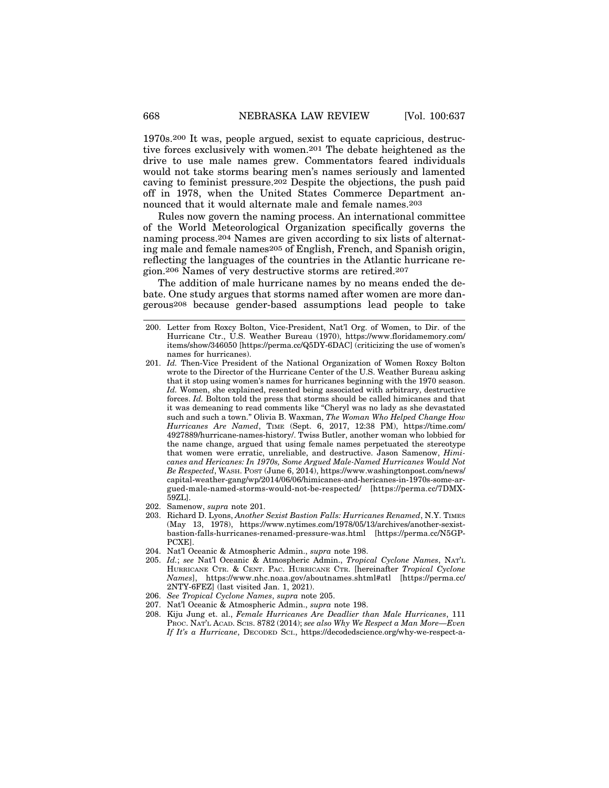1970s.200 It was, people argued, sexist to equate capricious, destructive forces exclusively with women.201 The debate heightened as the drive to use male names grew. Commentators feared individuals would not take storms bearing men's names seriously and lamented caving to feminist pressure.202 Despite the objections, the push paid off in 1978, when the United States Commerce Department announced that it would alternate male and female names.203

Rules now govern the naming process. An international committee of the World Meteorological Organization specifically governs the naming process.204 Names are given according to six lists of alternating male and female names205 of English, French, and Spanish origin, reflecting the languages of the countries in the Atlantic hurricane region.206 Names of very destructive storms are retired.207

The addition of male hurricane names by no means ended the debate. One study argues that storms named after women are more dangerous208 because gender-based assumptions lead people to take

- 202. Samenow, *supra* note 201.
- 203. Richard D. Lyons, *Another Sexist Bastion Falls: Hurricanes Renamed*, N.Y. TIMES (May 13, 1978), https://www.nytimes.com/1978/05/13/archives/another-sexistbastion-falls-hurricanes-renamed-pressure-was.html [https://perma.cc/N5GP-PCXE].
- 204. Nat'l Oceanic & Atmospheric Admin., *supra* note 198.
- 205. *Id.*; *see* Nat'l Oceanic & Atmospheric Admin., *Tropical Cyclone Names*, NAT'L HURRICANE CTR. & CENT. PAC. HURRICANE CTR. [hereinafter *Tropical Cyclone Names*], https://www.nhc.noaa.gov/aboutnames.shtml#atl [https://perma.cc/ 2NTY-6FEZ] (last visited Jan. 1, 2021).
- 206. *See Tropical Cyclone Names*, *supra* note 205.
- 207. Nat'l Oceanic & Atmospheric Admin., *supra* note 198.
- 208. Kiju Jung et. al., *Female Hurricanes Are Deadlier than Male Hurricanes*, 111 PROC. NAT'L ACAD. SCIS. 8782 (2014); *see also Why We Respect a Man More—Even If It's a Hurricane*, DECODED SCI., https://decodedscience.org/why-we-respect-a-

<sup>200.</sup> Letter from Roxcy Bolton, Vice-President, Nat'l Org. of Women, to Dir. of the Hurricane Ctr., U.S. Weather Bureau (1970), https://www.floridamemory.com/ items/show/346050 [https://perma.cc/Q5DY-6DAC] (criticizing the use of women's names for hurricanes).

<sup>201.</sup> *Id.* Then-Vice President of the National Organization of Women Roxcy Bolton wrote to the Director of the Hurricane Center of the U.S. Weather Bureau asking that it stop using women's names for hurricanes beginning with the 1970 season. *Id.* Women, she explained, resented being associated with arbitrary, destructive forces. *Id.* Bolton told the press that storms should be called himicanes and that it was demeaning to read comments like "Cheryl was no lady as she devastated such and such a town." Olivia B. Waxman, *The Woman Who Helped Change How Hurricanes Are Named*, TIME (Sept. 6, 2017, 12:38 PM), https://time.com/ 4927889/hurricane-names-history/. Twiss Butler, another woman who lobbied for the name change, argued that using female names perpetuated the stereotype that women were erratic, unreliable, and destructive. Jason Samenow, *Himicanes and Hericanes: In 1970s, Some Argued Male-Named Hurricanes Would Not Be Respected*, WASH. POST (June 6, 2014), https://www.washingtonpost.com/news/ capital-weather-gang/wp/2014/06/06/himicanes-and-hericanes-in-1970s-some-argued-male-named-storms-would-not-be-respected/ [https://perma.cc/7DMX-59ZL].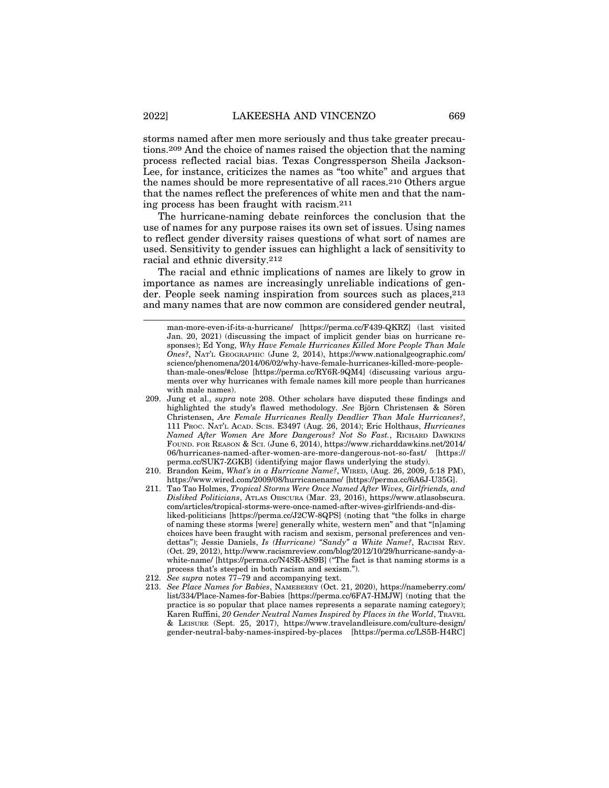storms named after men more seriously and thus take greater precautions.209 And the choice of names raised the objection that the naming process reflected racial bias. Texas Congressperson Sheila Jackson-Lee, for instance, criticizes the names as "too white" and argues that the names should be more representative of all races.210 Others argue that the names reflect the preferences of white men and that the naming process has been fraught with racism.211

The hurricane-naming debate reinforces the conclusion that the use of names for any purpose raises its own set of issues. Using names to reflect gender diversity raises questions of what sort of names are used. Sensitivity to gender issues can highlight a lack of sensitivity to racial and ethnic diversity.212

The racial and ethnic implications of names are likely to grow in importance as names are increasingly unreliable indications of gender. People seek naming inspiration from sources such as places,  $2^{13}$ and many names that are now common are considered gender neutral,

man-more-even-if-its-a-hurricane/ [https://perma.cc/F439-QKRZ] (last visited Jan. 20, 2021) (discussing the impact of implicit gender bias on hurricane responses); Ed Yong, *Why Have Female Hurricanes Killed More People Than Male Ones?*, NAT'L GEOGRAPHIC (June 2, 2014), https://www.nationalgeographic.com/ science/phenomena/2014/06/02/why-have-female-hurricanes-killed-more-peoplethan-male-ones/#close [https://perma.cc/RY6R-9QM4] (discussing various arguments over why hurricanes with female names kill more people than hurricanes with male names).

<sup>209.</sup> Jung et al., *supra* note 208. Other scholars have disputed these findings and highlighted the study's flawed methodology. See Björn Christensen & Sören Christensen, *Are Female Hurricanes Really Deadlier Than Male Hurricanes?*, 111 PROC. NAT'L ACAD. SCIS. E3497 (Aug. 26, 2014); Eric Holthaus, *Hurricanes Named After Women Are More Dangerous? Not So Fast.*, RICHARD DAWKINS FOUND. FOR REASON & SCI. (June 6, 2014), https://www.richarddawkins.net/2014/ 06/hurricanes-named-after-women-are-more-dangerous-not-so-fast/ [https:// perma.cc/SUK7-ZGKB] (identifying major flaws underlying the study).

<sup>210.</sup> Brandon Keim, *What's in a Hurricane Name?*, WIRED, (Aug. 26, 2009, 5:18 PM), https://www.wired.com/2009/08/hurricanename/ [https://perma.cc/6A6J-U35G].

<sup>211.</sup> Tao Tao Holmes, *Tropical Storms Were Once Named After Wives, Girlfriends, and Disliked Politicians*, ATLAS OBSCURA (Mar. 23, 2016), https://www.atlasobscura. com/articles/tropical-storms-were-once-named-after-wives-girlfriends-and-disliked-politicians [https://perma.cc/J2CW-8QPS] (noting that "the folks in charge of naming these storms [were] generally white, western men" and that "[n]aming choices have been fraught with racism and sexism, personal preferences and vendettas"); Jessie Daniels, *Is (Hurricane) "Sandy" a White Name?*, RACISM REV. (Oct. 29, 2012), http://www.racismreview.com/blog/2012/10/29/hurricane-sandy-awhite-name/ [https://perma.cc/N4SR-AS9B] ("The fact is that naming storms is a process that's steeped in both racism and sexism.").

<sup>212.</sup> *See supra* notes 77–79 and accompanying text.

<sup>213.</sup> *See Place Names for Babies*, NAMEBERRY (Oct. 21, 2020), https://nameberry.com/ list/334/Place-Names-for-Babies [https://perma.cc/6FA7-HMJW] (noting that the practice is so popular that place names represents a separate naming category); Karen Ruffini, *20 Gender Neutral Names Inspired by Places in the World*, TRAVEL & LEISURE (Sept. 25, 2017), https://www.travelandleisure.com/culture-design/ gender-neutral-baby-names-inspired-by-places [https://perma.cc/LS5B-H4RC]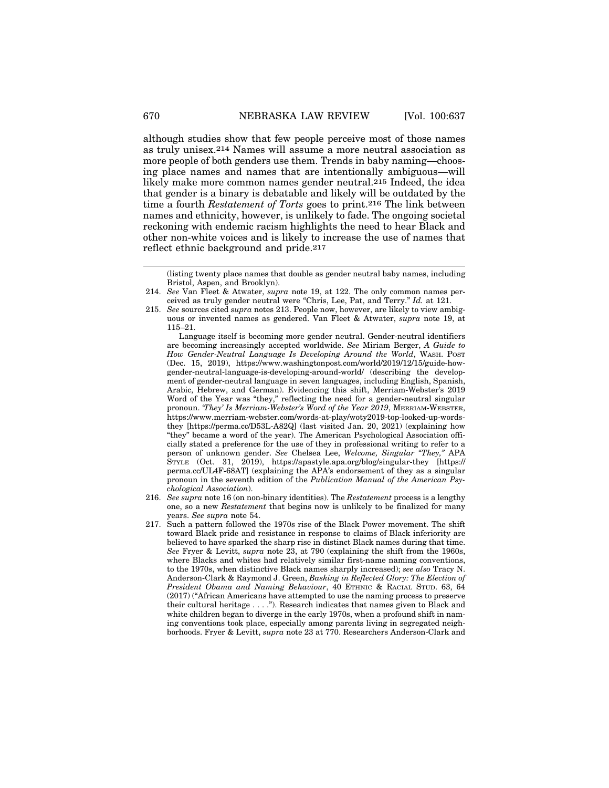although studies show that few people perceive most of those names as truly unisex.214 Names will assume a more neutral association as more people of both genders use them. Trends in baby naming—choosing place names and names that are intentionally ambiguous—will likely make more common names gender neutral.215 Indeed, the idea that gender is a binary is debatable and likely will be outdated by the time a fourth *Restatement of Torts* goes to print.216 The link between names and ethnicity, however, is unlikely to fade. The ongoing societal reckoning with endemic racism highlights the need to hear Black and other non-white voices and is likely to increase the use of names that reflect ethnic background and pride.217

Language itself is becoming more gender neutral. Gender-neutral identifiers are becoming increasingly accepted worldwide. *See* Miriam Berger, *A Guide to How Gender-Neutral Language Is Developing Around the World*, WASH. POST (Dec. 15, 2019), https://www.washingtonpost.com/world/2019/12/15/guide-howgender-neutral-language-is-developing-around-world/ (describing the development of gender-neutral language in seven languages, including English, Spanish, Arabic, Hebrew, and German). Evidencing this shift, Merriam-Webster's 2019 Word of the Year was "they," reflecting the need for a gender-neutral singular pronoun. *'They' Is Merriam-Webster's Word of the Year 2019*, MERRIAM-WEBSTER, https://www.merriam-webster.com/words-at-play/woty2019-top-looked-up-wordsthey [https://perma.cc/D53L-A82Q] (last visited Jan. 20, 2021) (explaining how "they" became a word of the year). The American Psychological Association officially stated a preference for the use of they in professional writing to refer to a person of unknown gender. *See* Chelsea Lee, *Welcome, Singular "They,"* APA STYLE (Oct. 31, 2019), https://apastyle.apa.org/blog/singular-they [https:// perma.cc/UL4F-68AT] (explaining the APA's endorsement of they as a singular pronoun in the seventh edition of the *Publication Manual of the American Psychological Association*).

- 216. *See supra* note 16 (on non-binary identities). The *Restatement* process is a lengthy one, so a new *Restatement* that begins now is unlikely to be finalized for many years. *See supra* note 54.
- 217. Such a pattern followed the 1970s rise of the Black Power movement. The shift toward Black pride and resistance in response to claims of Black inferiority are believed to have sparked the sharp rise in distinct Black names during that time. *See* Fryer & Levitt, *supra* note 23, at 790 (explaining the shift from the 1960s, where Blacks and whites had relatively similar first-name naming conventions, to the 1970s, when distinctive Black names sharply increased); *see also* Tracy N. Anderson-Clark & Raymond J. Green, *Basking in Reflected Glory: The Election of President Obama and Naming Behaviour*, 40 ETHNIC & RACIAL STUD. 63, 64 (2017) ("African Americans have attempted to use the naming process to preserve their cultural heritage . . . ."). Research indicates that names given to Black and white children began to diverge in the early 1970s, when a profound shift in naming conventions took place, especially among parents living in segregated neighborhoods. Fryer & Levitt, *supra* note 23 at 770. Researchers Anderson-Clark and

<sup>(</sup>listing twenty place names that double as gender neutral baby names, including Bristol, Aspen, and Brooklyn).

<sup>214.</sup> *See* Van Fleet & Atwater, *supra* note 19, at 122. The only common names perceived as truly gender neutral were "Chris, Lee, Pat, and Terry." *Id.* at 121.

<sup>215.</sup> *See* sources cited *supra* notes 213. People now, however, are likely to view ambiguous or invented names as gendered. Van Fleet & Atwater, *supra* note 19, at 115–21.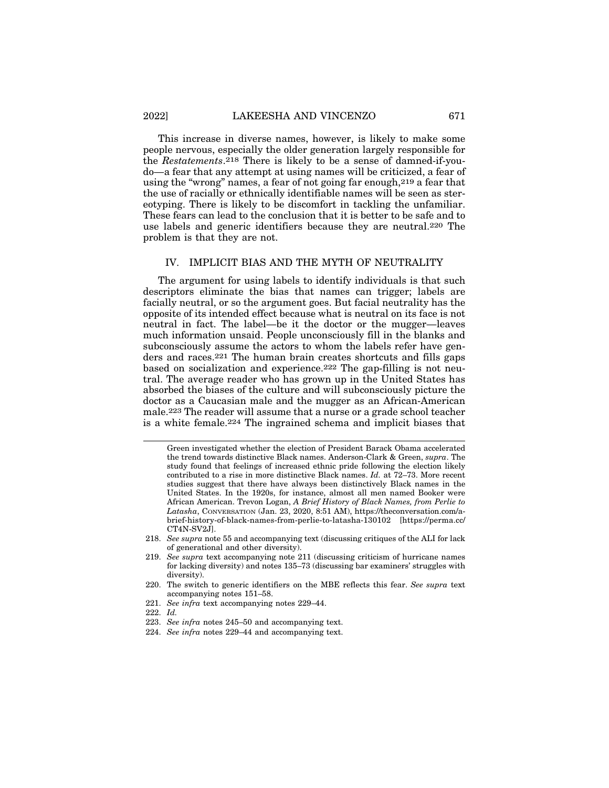This increase in diverse names, however, is likely to make some people nervous, especially the older generation largely responsible for the *Restatements*.218 There is likely to be a sense of damned-if-youdo—a fear that any attempt at using names will be criticized, a fear of using the "wrong" names, a fear of not going far enough,219 a fear that the use of racially or ethnically identifiable names will be seen as stereotyping. There is likely to be discomfort in tackling the unfamiliar. These fears can lead to the conclusion that it is better to be safe and to use labels and generic identifiers because they are neutral.220 The problem is that they are not.

#### IV. IMPLICIT BIAS AND THE MYTH OF NEUTRALITY

The argument for using labels to identify individuals is that such descriptors eliminate the bias that names can trigger; labels are facially neutral, or so the argument goes. But facial neutrality has the opposite of its intended effect because what is neutral on its face is not neutral in fact. The label—be it the doctor or the mugger—leaves much information unsaid. People unconsciously fill in the blanks and subconsciously assume the actors to whom the labels refer have genders and races.221 The human brain creates shortcuts and fills gaps based on socialization and experience.222 The gap-filling is not neutral. The average reader who has grown up in the United States has absorbed the biases of the culture and will subconsciously picture the doctor as a Caucasian male and the mugger as an African-American male.223 The reader will assume that a nurse or a grade school teacher is a white female.224 The ingrained schema and implicit biases that

Green investigated whether the election of President Barack Obama accelerated the trend towards distinctive Black names. Anderson-Clark & Green, *supra*. The study found that feelings of increased ethnic pride following the election likely contributed to a rise in more distinctive Black names. *Id.* at 72–73. More recent studies suggest that there have always been distinctively Black names in the United States. In the 1920s, for instance, almost all men named Booker were African American. Trevon Logan, *A Brief History of Black Names, from Perlie to Latasha*, CONVERSATION (Jan. 23, 2020, 8:51 AM), https://theconversation.com/abrief-history-of-black-names-from-perlie-to-latasha-130102 [https://perma.cc/ CT4N-SV2J].

<sup>218.</sup> *See supra* note 55 and accompanying text (discussing critiques of the ALI for lack of generational and other diversity).

<sup>219.</sup> *See supra* text accompanying note 211 (discussing criticism of hurricane names for lacking diversity) and notes 135–73 (discussing bar examiners' struggles with diversity).

<sup>220.</sup> The switch to generic identifiers on the MBE reflects this fear. *See supra* text accompanying notes 151–58.

<sup>221.</sup> *See infra* text accompanying notes 229–44.

<sup>222.</sup> *Id.*

<sup>223.</sup> *See infra* notes 245–50 and accompanying text.

<sup>224.</sup> *See infra* notes 229–44 and accompanying text.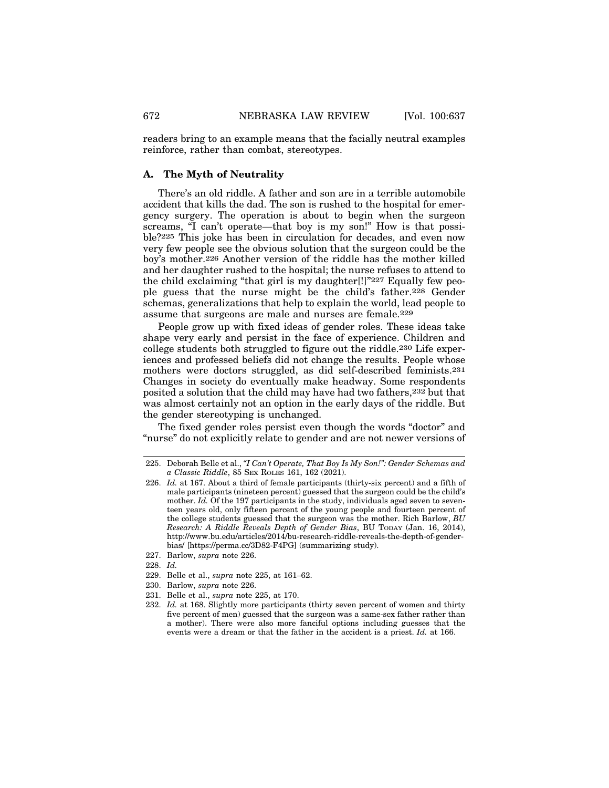readers bring to an example means that the facially neutral examples reinforce, rather than combat, stereotypes.

#### **A. The Myth of Neutrality**

There's an old riddle. A father and son are in a terrible automobile accident that kills the dad. The son is rushed to the hospital for emergency surgery. The operation is about to begin when the surgeon screams, "I can't operate—that boy is my son!" How is that possible?225 This joke has been in circulation for decades, and even now very few people see the obvious solution that the surgeon could be the boy's mother.226 Another version of the riddle has the mother killed and her daughter rushed to the hospital; the nurse refuses to attend to the child exclaiming "that girl is my daughter[!]"227 Equally few people guess that the nurse might be the child's father.228 Gender schemas, generalizations that help to explain the world, lead people to assume that surgeons are male and nurses are female.229

People grow up with fixed ideas of gender roles. These ideas take shape very early and persist in the face of experience. Children and college students both struggled to figure out the riddle.230 Life experiences and professed beliefs did not change the results. People whose mothers were doctors struggled, as did self-described feminists.231 Changes in society do eventually make headway. Some respondents posited a solution that the child may have had two fathers,232 but that was almost certainly not an option in the early days of the riddle. But the gender stereotyping is unchanged.

The fixed gender roles persist even though the words "doctor" and "nurse" do not explicitly relate to gender and are not newer versions of

- 229. Belle et al., *supra* note 225, at 161–62.
- 230. Barlow, *supra* note 226.
- 231. Belle et al., *supra* note 225, at 170.
- 232. *Id.* at 168. Slightly more participants (thirty seven percent of women and thirty five percent of men) guessed that the surgeon was a same-sex father rather than a mother). There were also more fanciful options including guesses that the events were a dream or that the father in the accident is a priest. *Id.* at 166.

<sup>225.</sup> Deborah Belle et al., *"I Can't Operate, That Boy Is My Son!": Gender Schemas and a Classic Riddle*, 85 SEX ROLES 161, 162 (2021).

<sup>226.</sup> *Id.* at 167. About a third of female participants (thirty-six percent) and a fifth of male participants (nineteen percent) guessed that the surgeon could be the child's mother. *Id.* Of the 197 participants in the study, individuals aged seven to seventeen years old, only fifteen percent of the young people and fourteen percent of the college students guessed that the surgeon was the mother. Rich Barlow, *BU Research: A Riddle Reveals Depth of Gender Bias*, BU TODAY (Jan. 16, 2014), http://www.bu.edu/articles/2014/bu-research-riddle-reveals-the-depth-of-genderbias/ [https://perma.cc/3D82-F4PG] (summarizing study).

<sup>227.</sup> Barlow, *supra* note 226.

<sup>228.</sup> *Id.*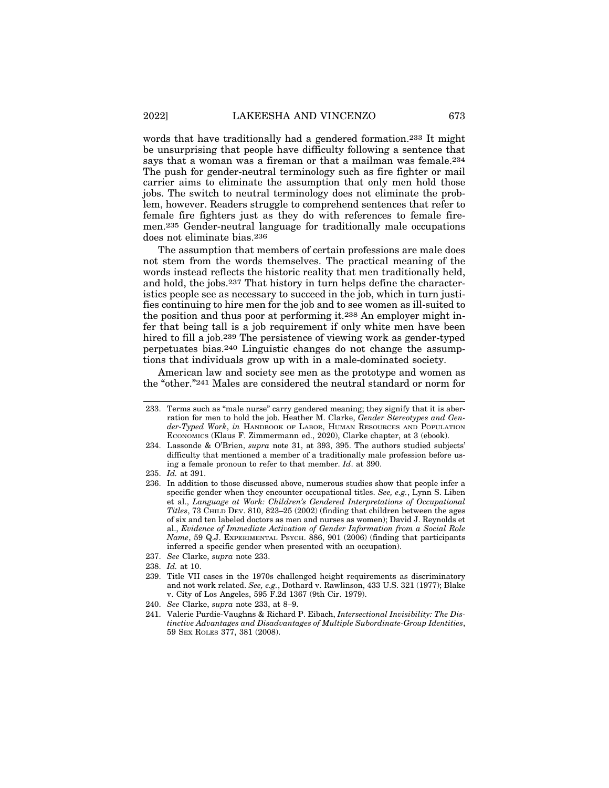words that have traditionally had a gendered formation.233 It might be unsurprising that people have difficulty following a sentence that says that a woman was a fireman or that a mailman was female.234 The push for gender-neutral terminology such as fire fighter or mail carrier aims to eliminate the assumption that only men hold those jobs. The switch to neutral terminology does not eliminate the problem, however. Readers struggle to comprehend sentences that refer to female fire fighters just as they do with references to female firemen.235 Gender-neutral language for traditionally male occupations does not eliminate bias.236

The assumption that members of certain professions are male does not stem from the words themselves. The practical meaning of the words instead reflects the historic reality that men traditionally held, and hold, the jobs.237 That history in turn helps define the characteristics people see as necessary to succeed in the job, which in turn justifies continuing to hire men for the job and to see women as ill-suited to the position and thus poor at performing it.238 An employer might infer that being tall is a job requirement if only white men have been hired to fill a job.239 The persistence of viewing work as gender-typed perpetuates bias.240 Linguistic changes do not change the assumptions that individuals grow up with in a male-dominated society.

American law and society see men as the prototype and women as the "other."241 Males are considered the neutral standard or norm for

<sup>233.</sup> Terms such as "male nurse" carry gendered meaning; they signify that it is aberration for men to hold the job. Heather M. Clarke, *Gender Stereotypes and Gender-Typed Work*, *in* HANDBOOK OF LABOR, HUMAN RESOURCES AND POPULATION ECONOMICS (Klaus F. Zimmermann ed., 2020), Clarke chapter, at 3 (ebook).

<sup>234.</sup> Lassonde & O'Brien, *supra* note 31, at 393, 395. The authors studied subjects' difficulty that mentioned a member of a traditionally male profession before using a female pronoun to refer to that member. *Id*. at 390.

<sup>235.</sup> *Id.* at 391.

<sup>236.</sup> In addition to those discussed above, numerous studies show that people infer a specific gender when they encounter occupational titles. *See, e.g.*, Lynn S. Liben et al., *Language at Work: Children's Gendered Interpretations of Occupational Titles*, 73 CHILD DEV. 810, 823–25 (2002) (finding that children between the ages of six and ten labeled doctors as men and nurses as women); David J. Reynolds et al., *Evidence of Immediate Activation of Gender Information from a Social Role Name*, 59 Q.J. EXPERIMENTAL PSYCH. 886, 901 (2006) (finding that participants inferred a specific gender when presented with an occupation).

<sup>237.</sup> *See* Clarke, *supra* note 233.

<sup>238.</sup> *Id.* at 10.

<sup>239.</sup> Title VII cases in the 1970s challenged height requirements as discriminatory and not work related. *See, e.g.*, Dothard v. Rawlinson, 433 U.S. 321 (1977); Blake v. City of Los Angeles, 595 F.2d 1367 (9th Cir. 1979).

<sup>240.</sup> *See* Clarke, *supra* note 233, at 8–9.

<sup>241.</sup> Valerie Purdie-Vaughns & Richard P. Eibach, *Intersectional Invisibility: The Distinctive Advantages and Disadvantages of Multiple Subordinate-Group Identities*, 59 SEX ROLES 377, 381 (2008).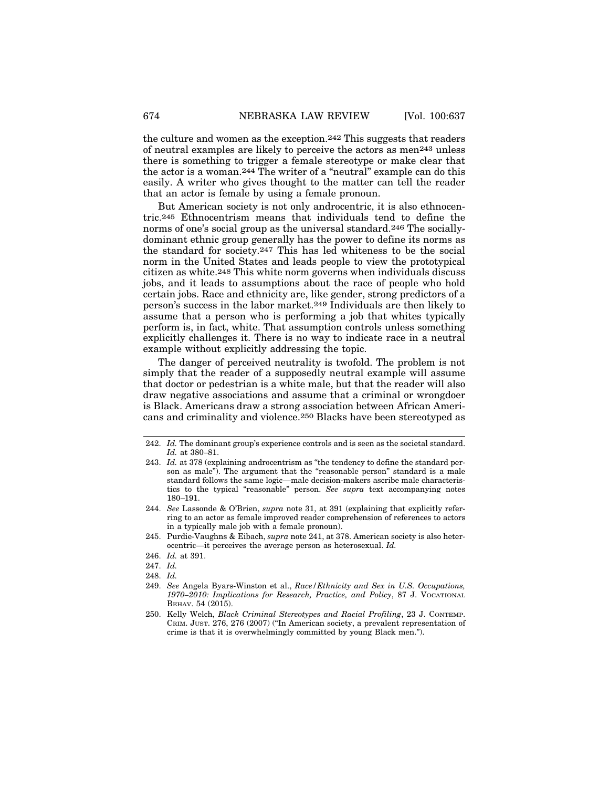the culture and women as the exception.242 This suggests that readers of neutral examples are likely to perceive the actors as men243 unless there is something to trigger a female stereotype or make clear that the actor is a woman.244 The writer of a "neutral" example can do this easily. A writer who gives thought to the matter can tell the reader that an actor is female by using a female pronoun.

But American society is not only androcentric, it is also ethnocentric.245 Ethnocentrism means that individuals tend to define the norms of one's social group as the universal standard.246 The sociallydominant ethnic group generally has the power to define its norms as the standard for society.247 This has led whiteness to be the social norm in the United States and leads people to view the prototypical citizen as white.248 This white norm governs when individuals discuss jobs, and it leads to assumptions about the race of people who hold certain jobs. Race and ethnicity are, like gender, strong predictors of a person's success in the labor market.249 Individuals are then likely to assume that a person who is performing a job that whites typically perform is, in fact, white. That assumption controls unless something explicitly challenges it. There is no way to indicate race in a neutral example without explicitly addressing the topic.

The danger of perceived neutrality is twofold. The problem is not simply that the reader of a supposedly neutral example will assume that doctor or pedestrian is a white male, but that the reader will also draw negative associations and assume that a criminal or wrongdoer is Black. Americans draw a strong association between African Americans and criminality and violence.250 Blacks have been stereotyped as

<sup>242.</sup> *Id.* The dominant group's experience controls and is seen as the societal standard. *Id.* at 380–81.

<sup>243.</sup> *Id.* at 378 (explaining androcentrism as "the tendency to define the standard person as male"). The argument that the "reasonable person" standard is a male standard follows the same logic—male decision-makers ascribe male characteristics to the typical "reasonable" person. *See supra* text accompanying notes 180–191.

<sup>244.</sup> *See* Lassonde & O'Brien, *supra* note 31, at 391 (explaining that explicitly referring to an actor as female improved reader comprehension of references to actors in a typically male job with a female pronoun).

<sup>245.</sup> Purdie-Vaughns & Eibach, *supra* note 241, at 378. American society is also heterocentric—it perceives the average person as heterosexual. *Id.*

<sup>246.</sup> *Id.* at 391.

<sup>247.</sup> *Id.*

<sup>248.</sup> *Id.*

<sup>249.</sup> *See* Angela Byars-Winston et al., *Race/Ethnicity and Sex in U.S. Occupations, 1970–2010: Implications for Research, Practice, and Policy*, 87 J. VOCATIONAL BEHAV. 54 (2015).

<sup>250.</sup> Kelly Welch, *Black Criminal Stereotypes and Racial Profiling*, 23 J. CONTEMP. CRIM. JUST. 276, 276 (2007) ("In American society, a prevalent representation of crime is that it is overwhelmingly committed by young Black men.").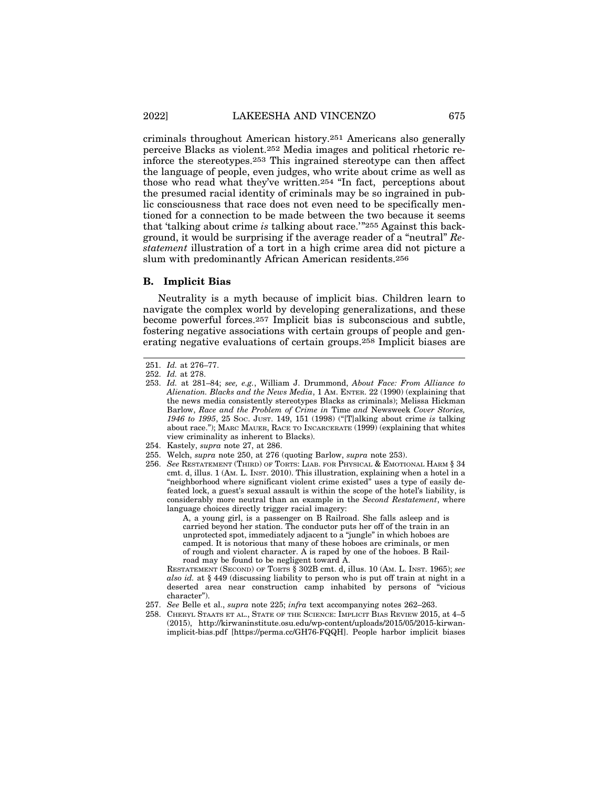criminals throughout American history.251 Americans also generally perceive Blacks as violent.252 Media images and political rhetoric reinforce the stereotypes.253 This ingrained stereotype can then affect the language of people, even judges, who write about crime as well as those who read what they've written.254 "In fact, perceptions about the presumed racial identity of criminals may be so ingrained in public consciousness that race does not even need to be specifically mentioned for a connection to be made between the two because it seems that 'talking about crime *is* talking about race.'"255 Against this background, it would be surprising if the average reader of a "neutral" *Restatement* illustration of a tort in a high crime area did not picture a slum with predominantly African American residents.256

#### **B. Implicit Bias**

Neutrality is a myth because of implicit bias. Children learn to navigate the complex world by developing generalizations, and these become powerful forces.257 Implicit bias is subconscious and subtle, fostering negative associations with certain groups of people and generating negative evaluations of certain groups.258 Implicit biases are

A, a young girl, is a passenger on B Railroad. She falls asleep and is carried beyond her station. The conductor puts her off of the train in an unprotected spot, immediately adjacent to a "jungle" in which hoboes are camped. It is notorious that many of these hoboes are criminals, or men of rough and violent character. A is raped by one of the hoboes. B Railroad may be found to be negligent toward A.

RESTATEMENT (SECOND) OF TORTS § 302B cmt. d, illus. 10 (AM. L. INST. 1965); *see also id.* at § 449 (discussing liability to person who is put off train at night in a deserted area near construction camp inhabited by persons of "vicious character").

<sup>251.</sup> *Id.* at 276–77.

<sup>252.</sup> *Id.* at 278.

<sup>253.</sup> *Id.* at 281–84; *see, e.g.*, William J. Drummond, *About Face: From Alliance to Alienation. Blacks and the News Media*, 1 AM. ENTER. 22 (1990) (explaining that the news media consistently stereotypes Blacks as criminals); Melissa Hickman Barlow, *Race and the Problem of Crime in* Time *and* Newsweek *Cover Stories, 1946 to 1995*, 25 SOC. JUST. 149, 151 (1998) ("[T]alking about crime *is* talking about race."); MARC MAUER, RACE TO INCARCERATE (1999) (explaining that whites view criminality as inherent to Blacks).

<sup>254.</sup> Kastely, *supra* note 27, at 286.

<sup>255.</sup> Welch, *supra* note 250, at 276 (quoting Barlow, *supra* note 253).

<sup>256.</sup> *See* RESTATEMENT (THIRD) OF TORTS: LIAB. FOR PHYSICAL & EMOTIONAL HARM § 34 cmt. d, illus. 1 (AM. L. INST. 2010). This illustration, explaining when a hotel in a "neighborhood where significant violent crime existed" uses a type of easily defeated lock, a guest's sexual assault is within the scope of the hotel's liability, is considerably more neutral than an example in the *Second Restatement*, where language choices directly trigger racial imagery:

<sup>257.</sup> *See* Belle et al., *supra* note 225; *infra* text accompanying notes 262–263.

<sup>258.</sup> CHERYL STAATS ET AL., STATE OF THE SCIENCE: IMPLICIT BIAS REVIEW 2015, at 4–5 (2015), http://kirwaninstitute.osu.edu/wp-content/uploads/2015/05/2015-kirwanimplicit-bias.pdf [https://perma.cc/GH76-FQQH]. People harbor implicit biases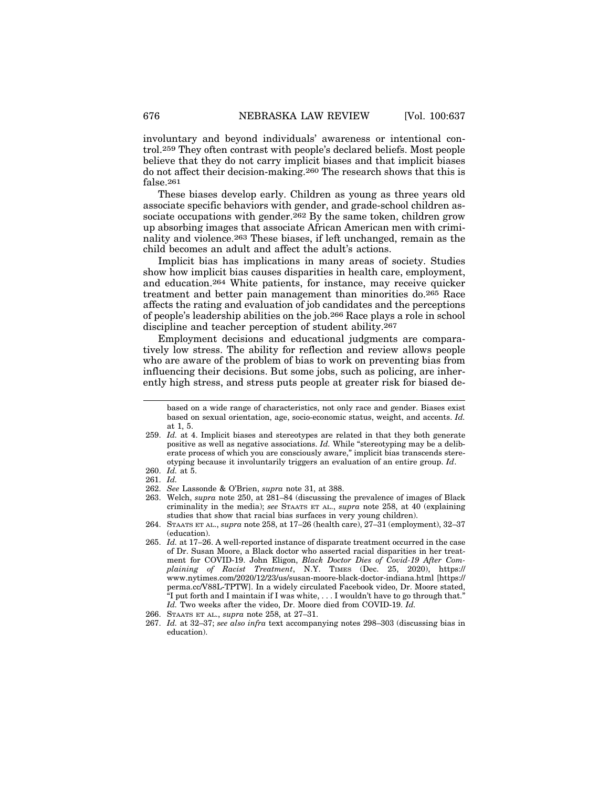involuntary and beyond individuals' awareness or intentional control.259 They often contrast with people's declared beliefs. Most people believe that they do not carry implicit biases and that implicit biases do not affect their decision-making.260 The research shows that this is false.261

These biases develop early. Children as young as three years old associate specific behaviors with gender, and grade-school children associate occupations with gender.<sup>262</sup> By the same token, children grow up absorbing images that associate African American men with criminality and violence.263 These biases, if left unchanged, remain as the child becomes an adult and affect the adult's actions.

Implicit bias has implications in many areas of society. Studies show how implicit bias causes disparities in health care, employment, and education.264 White patients, for instance, may receive quicker treatment and better pain management than minorities do.265 Race affects the rating and evaluation of job candidates and the perceptions of people's leadership abilities on the job.266 Race plays a role in school discipline and teacher perception of student ability.267

Employment decisions and educational judgments are comparatively low stress. The ability for reflection and review allows people who are aware of the problem of bias to work on preventing bias from influencing their decisions. But some jobs, such as policing, are inherently high stress, and stress puts people at greater risk for biased de-

263. Welch, *supra* note 250, at 281–84 (discussing the prevalence of images of Black criminality in the media); *see* STAATS ET AL., *supra* note 258, at 40 (explaining studies that show that racial bias surfaces in very young children).

based on a wide range of characteristics, not only race and gender. Biases exist based on sexual orientation, age, socio-economic status, weight, and accents. *Id.* at 1, 5.

<sup>259.</sup> *Id.* at 4. Implicit biases and stereotypes are related in that they both generate positive as well as negative associations. *Id.* While "stereotyping may be a deliberate process of which you are consciously aware," implicit bias transcends stereotyping because it involuntarily triggers an evaluation of an entire group. *Id*.

<sup>260.</sup> *Id.* at 5.

<sup>261.</sup> *Id.*

<sup>262.</sup> *See* Lassonde & O'Brien, *supra* note 31, at 388.

<sup>264.</sup> STAATS ET AL., *supra* note 258, at 17–26 (health care), 27–31 (employment), 32–37 (education).

<sup>265.</sup> *Id.* at 17–26. A well-reported instance of disparate treatment occurred in the case of Dr. Susan Moore, a Black doctor who asserted racial disparities in her treatment for COVID-19. John Eligon, *Black Doctor Dies of Covid-19 After Complaining of Racist Treatment*, N.Y. TIMES (Dec. 25, 2020), https:// www.nytimes.com/2020/12/23/us/susan-moore-black-doctor-indiana.html [https:// perma.cc/V88L-TPTW]. In a widely circulated Facebook video, Dr. Moore stated,  $\mathrm{``I}$  put forth and I maintain if I was white, . . . I wouldn't have to go through that." *Id.* Two weeks after the video, Dr. Moore died from COVID-19. *Id.*

<sup>266.</sup> STAATS ET AL., *supra* note 258, at 27–31.

<sup>267.</sup> *Id.* at 32–37; *see also infra* text accompanying notes 298–303 (discussing bias in education).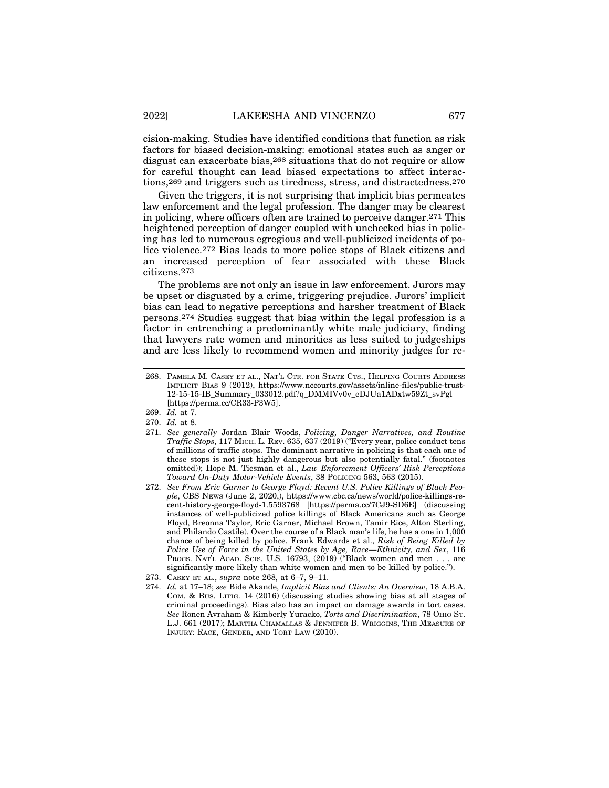cision-making. Studies have identified conditions that function as risk factors for biased decision-making: emotional states such as anger or disgust can exacerbate bias,<sup>268</sup> situations that do not require or allow for careful thought can lead biased expectations to affect interactions,269 and triggers such as tiredness, stress, and distractedness.270

Given the triggers, it is not surprising that implicit bias permeates law enforcement and the legal profession. The danger may be clearest in policing, where officers often are trained to perceive danger.271 This heightened perception of danger coupled with unchecked bias in policing has led to numerous egregious and well-publicized incidents of police violence.272 Bias leads to more police stops of Black citizens and an increased perception of fear associated with these Black citizens.273

The problems are not only an issue in law enforcement. Jurors may be upset or disgusted by a crime, triggering prejudice. Jurors' implicit bias can lead to negative perceptions and harsher treatment of Black persons.274 Studies suggest that bias within the legal profession is a factor in entrenching a predominantly white male judiciary, finding that lawyers rate women and minorities as less suited to judgeships and are less likely to recommend women and minority judges for re-

<sup>268.</sup> PAMELA M. CASEY ET AL., NAT'L CTR. FOR STATE CTS., HELPING COURTS ADDRESS IMPLICIT BIAS 9 (2012), https://www.nccourts.gov/assets/inline-files/public-trust-12-15-15-IB\_Summary\_033012.pdf?q\_DMMIVv0v\_eDJUa1ADxtw59Zt\_svPgl [https://perma.cc/CR33-P3W5].

<sup>269.</sup> *Id.* at 7.

<sup>270.</sup> *Id.* at 8.

<sup>271.</sup> *See generally* Jordan Blair Woods, *Policing, Danger Narratives, and Routine Traffic Stops*, 117 MICH. L. REV. 635, 637 (2019) ("Every year, police conduct tens of millions of traffic stops. The dominant narrative in policing is that each one of these stops is not just highly dangerous but also potentially fatal." (footnotes omitted)); Hope M. Tiesman et al., *Law Enforcement Officers' Risk Perceptions Toward On-Duty Motor-Vehicle Events*, 38 POLICING 563, 563 (2015).

<sup>272.</sup> *See From Eric Garner to George Floyd: Recent U.S. Police Killings of Black People*, CBS NEWS (June 2, 2020,), https://www.cbc.ca/news/world/police-killings-recent-history-george-floyd-1.5593768 [https://perma.cc/7CJ9-SD6E] (discussing instances of well-publicized police killings of Black Americans such as George Floyd, Breonna Taylor, Eric Garner, Michael Brown, Tamir Rice, Alton Sterling, and Philando Castile). Over the course of a Black man's life, he has a one in 1,000 chance of being killed by police. Frank Edwards et al., *Risk of Being Killed by Police Use of Force in the United States by Age, Race—Ethnicity, and Sex*, 116 PROCS. NAT'L ACAD. SCIS. U.S. 16793,  $(2019)$  ("Black women and men . . . are significantly more likely than white women and men to be killed by police.").

<sup>273.</sup> CASEY ET AL., *supra* note 268, at 6–7, 9–11.

<sup>274.</sup> *Id.* at 17–18; *see* Bide Akande, *Implicit Bias and Clients; An Overview*, 18 A.B.A. COM. & BUS. LITIG. 14 (2016) (discussing studies showing bias at all stages of criminal proceedings). Bias also has an impact on damage awards in tort cases. *See* Ronen Avraham & Kimberly Yuracko, *Torts and Discrimination*, 78 OHIO ST. L.J. 661 (2017); MARTHA CHAMALLAS & JENNIFER B. WRIGGINS, THE MEASURE OF INJURY: RACE, GENDER, AND TORT LAW (2010).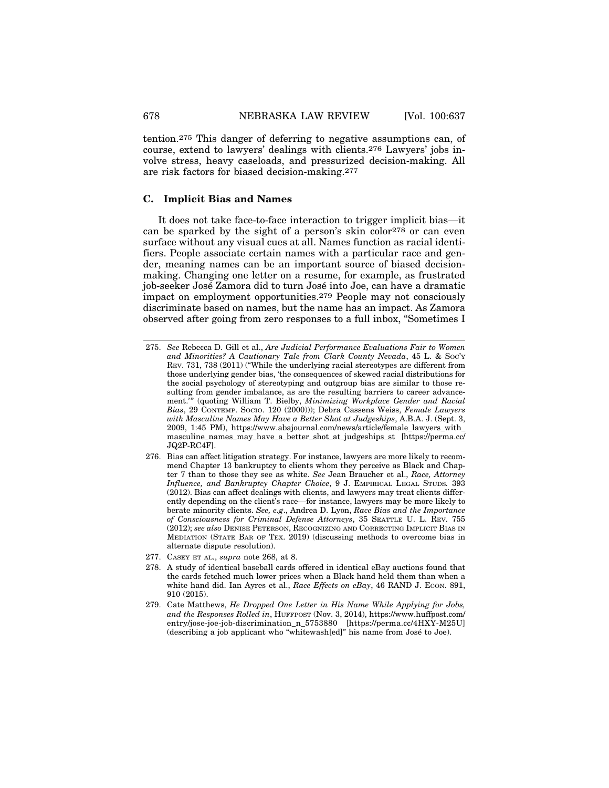tention.275 This danger of deferring to negative assumptions can, of course, extend to lawyers' dealings with clients.276 Lawyers' jobs involve stress, heavy caseloads, and pressurized decision-making. All are risk factors for biased decision-making.277

#### **C. Implicit Bias and Names**

It does not take face-to-face interaction to trigger implicit bias—it can be sparked by the sight of a person's skin color278 or can even surface without any visual cues at all. Names function as racial identifiers. People associate certain names with a particular race and gender, meaning names can be an important source of biased decisionmaking. Changing one letter on a resume, for example, as frustrated job-seeker José Zamora did to turn José into Joe, can have a dramatic impact on employment opportunities.279 People may not consciously discriminate based on names, but the name has an impact. As Zamora observed after going from zero responses to a full inbox, "Sometimes I

- 278. A study of identical baseball cards offered in identical eBay auctions found that the cards fetched much lower prices when a Black hand held them than when a white hand did. Ian Ayres et al., *Race Effects on eBay*, 46 RAND J. ECON. 891, 910 (2015).
- 279. Cate Matthews, *He Dropped One Letter in His Name While Applying for Jobs, and the Responses Rolled in*, HUFFPOST (Nov. 3, 2014), https://www.huffpost.com/ entry/jose-joe-job-discrimination\_n\_5753880 [https://perma.cc/4HXY-M25U] (describing a job applicant who "whitewash[ed]" his name from José to Joe).

<sup>275.</sup> *See* Rebecca D. Gill et al., *Are Judicial Performance Evaluations Fair to Women and Minorities? A Cautionary Tale from Clark County Nevada*, 45 L. & SOC'Y REV. 731, 738 (2011) ("While the underlying racial stereotypes are different from those underlying gender bias, 'the consequences of skewed racial distributions for the social psychology of stereotyping and outgroup bias are similar to those resulting from gender imbalance, as are the resulting barriers to career advancement.'" (quoting William T. Bielby, *Minimizing Workplace Gender and Racial Bias*, 29 CONTEMP. SOCIO. 120 (2000))); Debra Cassens Weiss, *Female Lawyers with Masculine Names May Have a Better Shot at Judgeships*, A.B.A. J. (Sept. 3, 2009, 1:45 PM), https://www.abajournal.com/news/article/female\_lawyers\_with\_ masculine\_names\_may\_have\_a\_better\_shot\_at\_judgeships\_st [https://perma.cc/ JQ2P-RC4F].

<sup>276.</sup> Bias can affect litigation strategy. For instance, lawyers are more likely to recommend Chapter 13 bankruptcy to clients whom they perceive as Black and Chapter 7 than to those they see as white. *See* Jean Braucher et al., *Race, Attorney Influence, and Bankruptcy Chapter Choice*, 9 J. EMPIRICAL LEGAL STUDS*.* 393 (2012). Bias can affect dealings with clients, and lawyers may treat clients differently depending on the client's race—for instance, lawyers may be more likely to berate minority clients. *See, e.g*., Andrea D. Lyon, *Race Bias and the Importance of Consciousness for Criminal Defense Attorneys*, 35 SEATTLE U. L. REV. 755 (2012); *see also* DENISE PETERSON, RECOGNIZING AND CORRECTING IMPLICIT BIAS IN MEDIATION (STATE BAR OF TEX. 2019) (discussing methods to overcome bias in alternate dispute resolution).

<sup>277.</sup> CASEY ET AL., *supra* note 268, at 8.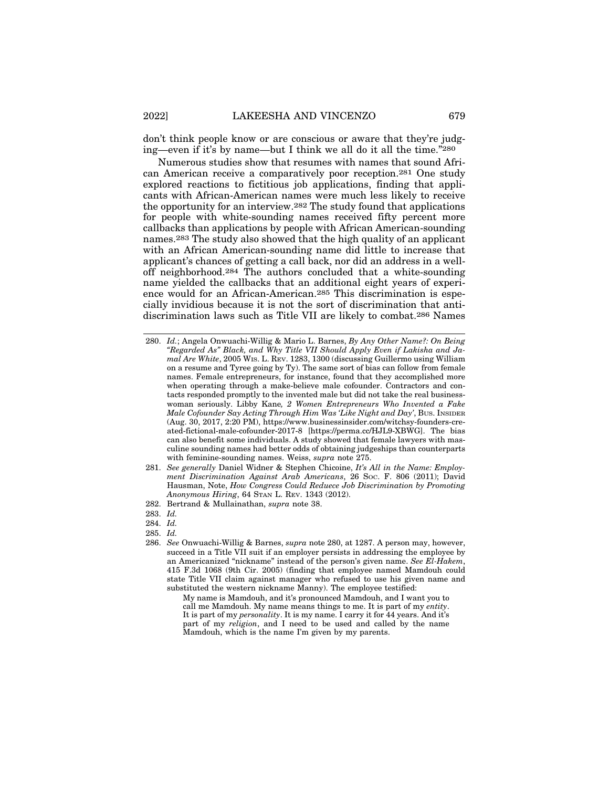don't think people know or are conscious or aware that they're judging—even if it's by name—but I think we all do it all the time."280

Numerous studies show that resumes with names that sound African American receive a comparatively poor reception.281 One study explored reactions to fictitious job applications, finding that applicants with African-American names were much less likely to receive the opportunity for an interview.282 The study found that applications for people with white-sounding names received fifty percent more callbacks than applications by people with African American-sounding names.283 The study also showed that the high quality of an applicant with an African American-sounding name did little to increase that applicant's chances of getting a call back, nor did an address in a welloff neighborhood.284 The authors concluded that a white-sounding name yielded the callbacks that an additional eight years of experience would for an African-American.285 This discrimination is especially invidious because it is not the sort of discrimination that antidiscrimination laws such as Title VII are likely to combat.286 Names

My name is Mamdouh, and it's pronounced Mamdouh, and I want you to call me Mamdouh. My name means things to me. It is part of my *entity*. It is part of my *personality*. It is my name. I carry it for 44 years. And it's part of my *religion*, and I need to be used and called by the name Mamdouh, which is the name I'm given by my parents.

<sup>280.</sup> *Id.*; Angela Onwuachi-Willig & Mario L. Barnes, *By Any Other Name?: On Being "Regarded As" Black, and Why Title VII Should Apply Even if Lakisha and Jamal Are White*, 2005 WIS. L. REV. 1283, 1300 (discussing Guillermo using William on a resume and Tyree going by Ty). The same sort of bias can follow from female names. Female entrepreneurs, for instance, found that they accomplished more when operating through a make-believe male cofounder. Contractors and contacts responded promptly to the invented male but did not take the real businesswoman seriously. Libby Kane*, 2 Women Entrepreneurs Who Invented a Fake Male Cofounder Say Acting Through Him Was 'Like Night and Day'*, BUS. INSIDER (Aug. 30, 2017, 2:20 PM), https://www.businessinsider.com/witchsy-founders-created-fictional-male-cofounder-2017-8 [https://perma.cc/HJL9-XBWG]. The bias can also benefit some individuals. A study showed that female lawyers with masculine sounding names had better odds of obtaining judgeships than counterparts with feminine-sounding names. Weiss, *supra* note 275.

<sup>281.</sup> *See generally* Daniel Widner & Stephen Chicoine, *It's All in the Name: Employment Discrimination Against Arab Americans*, 26 Soc. F. 806 (2011); David Hausman, Note, *How Congress Could Reduece Job Discrimination by Promoting Anonymous Hiring*, 64 STAN L. REV. 1343 (2012).

<sup>282.</sup> Bertrand & Mullainathan, *supra* note 38.

<sup>283.</sup> *Id.*

<sup>284.</sup> *Id.*

<sup>285.</sup> *Id.*

<sup>286.</sup> *See* Onwuachi-Willig & Barnes, *supra* note 280, at 1287. A person may, however, succeed in a Title VII suit if an employer persists in addressing the employee by an Americanized "nickname" instead of the person's given name. *See El-Hakem*, 415 F.3d 1068 (9th Cir. 2005) (finding that employee named Mamdouh could state Title VII claim against manager who refused to use his given name and substituted the western nickname Manny). The employee testified: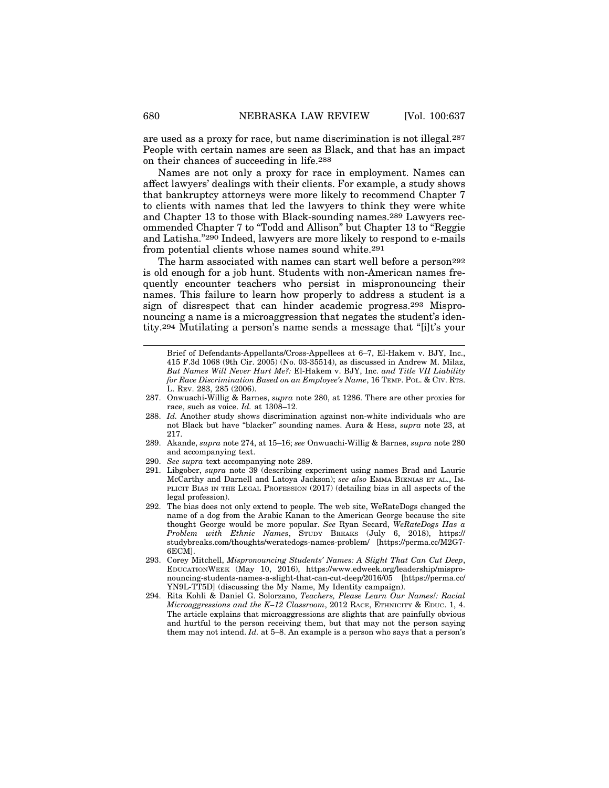are used as a proxy for race, but name discrimination is not illegal.287 People with certain names are seen as Black, and that has an impact on their chances of succeeding in life.288

Names are not only a proxy for race in employment. Names can affect lawyers' dealings with their clients. For example, a study shows that bankruptcy attorneys were more likely to recommend Chapter 7 to clients with names that led the lawyers to think they were white and Chapter 13 to those with Black-sounding names.289 Lawyers recommended Chapter 7 to "Todd and Allison" but Chapter 13 to "Reggie and Latisha."290 Indeed, lawyers are more likely to respond to e-mails from potential clients whose names sound white.291

The harm associated with names can start well before a person<sup>292</sup> is old enough for a job hunt. Students with non-American names frequently encounter teachers who persist in mispronouncing their names. This failure to learn how properly to address a student is a sign of disrespect that can hinder academic progress.293 Mispronouncing a name is a microaggression that negates the student's identity.294 Mutilating a person's name sends a message that "[i]t's your

- 290. *See supra* text accompanying note 289.
- 291. Libgober, *supra* note 39 (describing experiment using names Brad and Laurie McCarthy and Darnell and Latoya Jackson); *see also* EMMA BIENIAS ET AL., IM-PLICIT BIAS IN THE LEGAL PROFESSION (2017) (detailing bias in all aspects of the legal profession).
- 292. The bias does not only extend to people. The web site, WeRateDogs changed the name of a dog from the Arabic Kanan to the American George because the site thought George would be more popular. *See* Ryan Secard, *WeRateDogs Has a Problem with Ethnic Names*, STUDY BREAKS (July 6, 2018), https:// studybreaks.com/thoughts/weratedogs-names-problem/ [https://perma.cc/M2G7- 6ECM].
- 293. Corey Mitchell, *Mispronouncing Students' Names: A Slight That Can Cut Deep*, EDUCATIONWEEK (May 10, 2016), https://www.edweek.org/leadership/mispronouncing-students-names-a-slight-that-can-cut-deep/2016/05 [https://perma.cc/ YN9L-TT5D] (discussing the My Name, My Identity campaign).
- 294. Rita Kohli & Daniel G. Solorzano, *Teachers, Please Learn Our Names!: Racial Microaggressions and the K–12 Classroom*, 2012 RACE, ETHNICITY & EDUC. 1, 4. The article explains that microaggressions are slights that are painfully obvious and hurtful to the person receiving them, but that may not the person saying them may not intend. *Id.* at 5–8. An example is a person who says that a person's

Brief of Defendants-Appellants/Cross-Appellees at 6–7, El-Hakem v. BJY, Inc., 415 F.3d 1068 (9th Cir. 2005) (No. 03-35514), as discussed in Andrew M. Milaz, *But Names Will Never Hurt Me?:* El-Hakem v. BJY, Inc. *and Title VII Liability for Race Discrimination Based on an Employee's Name*, 16 TEMP. POL. & CIV. RTS. L. REV. 283, 285 (2006).

<sup>287.</sup> Onwuachi-Willig & Barnes, *supra* note 280, at 1286. There are other proxies for race, such as voice. *Id.* at 1308-12.

<sup>288.</sup> *Id.* Another study shows discrimination against non-white individuals who are not Black but have "blacker" sounding names. Aura & Hess, *supra* note 23, at 217.

<sup>289.</sup> Akande, *supra* note 274, at 15–16; *see* Onwuachi-Willig & Barnes, *supra* note 280 and accompanying text.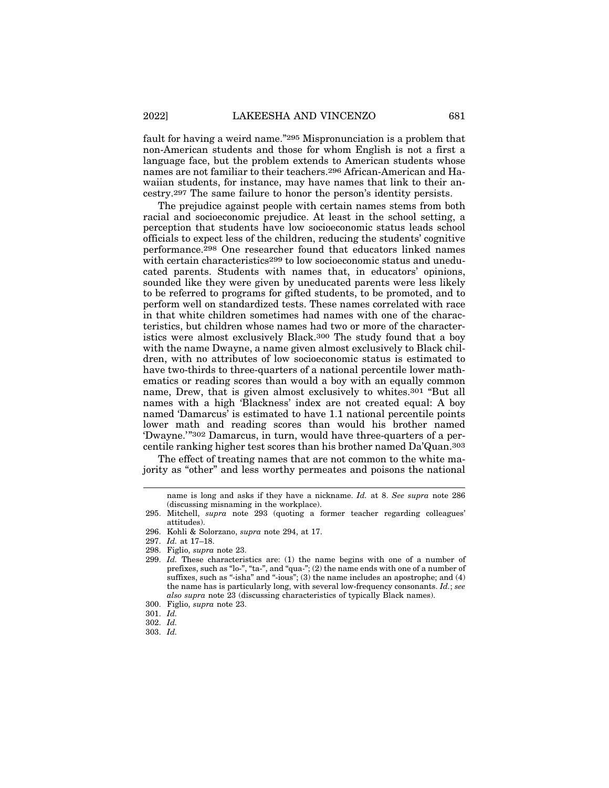fault for having a weird name."295 Mispronunciation is a problem that non-American students and those for whom English is not a first a language face, but the problem extends to American students whose names are not familiar to their teachers.296 African-American and Hawaiian students, for instance, may have names that link to their ancestry.297 The same failure to honor the person's identity persists.

The prejudice against people with certain names stems from both racial and socioeconomic prejudice. At least in the school setting, a perception that students have low socioeconomic status leads school officials to expect less of the children, reducing the students' cognitive performance.298 One researcher found that educators linked names with certain characteristics<sup>299</sup> to low socioeconomic status and uneducated parents. Students with names that, in educators' opinions, sounded like they were given by uneducated parents were less likely to be referred to programs for gifted students, to be promoted, and to perform well on standardized tests. These names correlated with race in that white children sometimes had names with one of the characteristics, but children whose names had two or more of the characteristics were almost exclusively Black.300 The study found that a boy with the name Dwayne, a name given almost exclusively to Black children, with no attributes of low socioeconomic status is estimated to have two-thirds to three-quarters of a national percentile lower mathematics or reading scores than would a boy with an equally common name, Drew, that is given almost exclusively to whites.301 "But all names with a high 'Blackness' index are not created equal: A boy named 'Damarcus' is estimated to have 1.1 national percentile points lower math and reading scores than would his brother named 'Dwayne.'"302 Damarcus, in turn, would have three-quarters of a percentile ranking higher test scores than his brother named Da'Quan.303

The effect of treating names that are not common to the white majority as "other" and less worthy permeates and poisons the national

name is long and asks if they have a nickname. *Id.* at 8. *See supra* note 286 (discussing misnaming in the workplace).

<sup>295.</sup> Mitchell, *supra* note 293 (quoting a former teacher regarding colleagues' attitudes).

<sup>296.</sup> Kohli & Solorzano, *supra* note 294, at 17.

<sup>297.</sup> *Id.* at 17–18.

<sup>298.</sup> Figlio, *supra* note 23.

<sup>299.</sup> *Id.* These characteristics are: (1) the name begins with one of a number of prefixes, such as "lo-", "ta-", and "qua-"; (2) the name ends with one of a number of suffixes, such as "-isha" and "-ious";  $(3)$  the name includes an apostrophe; and  $(4)$ the name has is particularly long, with several low-frequency consonants. *Id.*; *see also supra* note 23 (discussing characteristics of typically Black names).

<sup>300.</sup> Figlio, *supra* note 23.

<sup>301.</sup> *Id.*

<sup>302.</sup> *Id.*

<sup>303.</sup> *Id.*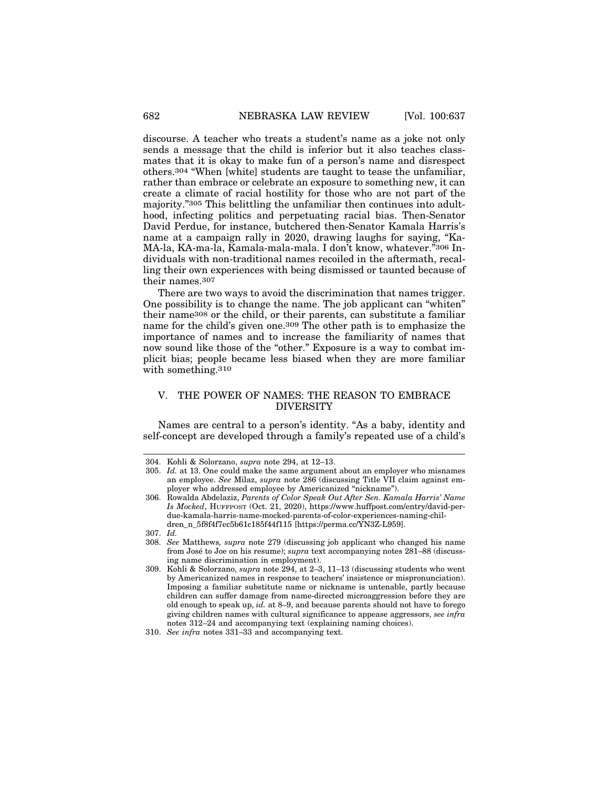discourse. A teacher who treats a student's name as a joke not only sends a message that the child is inferior but it also teaches classmates that it is okay to make fun of a person's name and disrespect others.304 "When [white] students are taught to tease the unfamiliar, rather than embrace or celebrate an exposure to something new, it can create a climate of racial hostility for those who are not part of the majority."305 This belittling the unfamiliar then continues into adulthood, infecting politics and perpetuating racial bias. Then-Senator David Perdue, for instance, butchered then-Senator Kamala Harris's name at a campaign rally in 2020, drawing laughs for saying, "Ka-MA-la, KA-ma-la, Kamala-mala-mala. I don't know, whatever."306 Individuals with non-traditional names recoiled in the aftermath, recalling their own experiences with being dismissed or taunted because of their names.307

There are two ways to avoid the discrimination that names trigger. One possibility is to change the name. The job applicant can "whiten" their name308 or the child, or their parents, can substitute a familiar name for the child's given one.309 The other path is to emphasize the importance of names and to increase the familiarity of names that now sound like those of the "other." Exposure is a way to combat implicit bias; people became less biased when they are more familiar with something.<sup>310</sup>

#### V. THE POWER OF NAMES: THE REASON TO EMBRACE DIVERSITY

Names are central to a person's identity. "As a baby, identity and self-concept are developed through a family's repeated use of a child's

<sup>304.</sup> Kohli & Solorzano, *supra* note 294, at 12–13.

<sup>305.</sup> *Id.* at 13. One could make the same argument about an employer who misnames an employee. *See* Milaz, *supra* note 286 (discussing Title VII claim against employer who addressed employee by Americanized "nickname").

<sup>306.</sup> Rowalda Abdelaziz, *Parents of Color Speak Out After Sen. Kamala Harris' Name Is Mocked*, HUFFPOST (Oct. 21, 2020), https://www.huffpost.com/entry/david-perdue-kamala-harris-name-mocked-parents-of-color-experiences-naming-children\_n\_5f8f4f7ec5b61c185f44f115 [https://perma.cc/YN3Z-L959].

<sup>307.</sup> *Id.*

<sup>308.</sup> *See* Matthews*, supra* note 279 (discussing job applicant who changed his name from José to Joe on his resume); *supra* text accompanying notes 281–88 (discussing name discrimination in employment).

<sup>309.</sup> Kohli & Solorzano, *supra* note 294, at 2–3, 11–13 (discussing students who went by Americanized names in response to teachers' insistence or mispronunciation). Imposing a familiar substitute name or nickname is untenable, partly because children can suffer damage from name-directed microaggression before they are old enough to speak up, *id.* at 8–9, and because parents should not have to forego giving children names with cultural significance to appease aggressors, *see infra* notes 312–24 and accompanying text (explaining naming choices).

<sup>310.</sup> *See infra* notes 331–33 and accompanying text.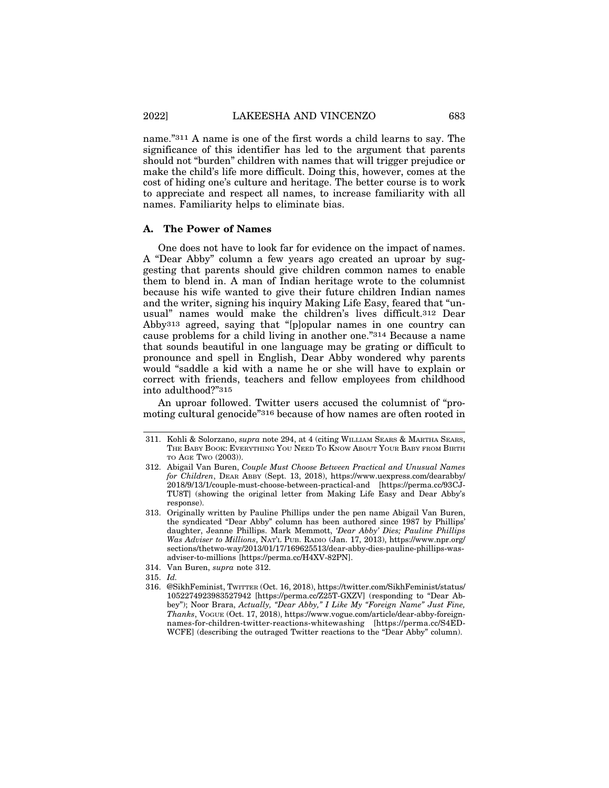name."311 A name is one of the first words a child learns to say. The significance of this identifier has led to the argument that parents should not "burden" children with names that will trigger prejudice or make the child's life more difficult. Doing this, however, comes at the cost of hiding one's culture and heritage. The better course is to work to appreciate and respect all names, to increase familiarity with all names. Familiarity helps to eliminate bias.

#### **A. The Power of Names**

One does not have to look far for evidence on the impact of names. A "Dear Abby" column a few years ago created an uproar by suggesting that parents should give children common names to enable them to blend in. A man of Indian heritage wrote to the columnist because his wife wanted to give their future children Indian names and the writer, signing his inquiry Making Life Easy, feared that "unusual" names would make the children's lives difficult.312 Dear Abby313 agreed, saying that "[p]opular names in one country can cause problems for a child living in another one."314 Because a name that sounds beautiful in one language may be grating or difficult to pronounce and spell in English, Dear Abby wondered why parents would "saddle a kid with a name he or she will have to explain or correct with friends, teachers and fellow employees from childhood into adulthood?"315

An uproar followed. Twitter users accused the columnist of "promoting cultural genocide"316 because of how names are often rooted in

<sup>311.</sup> Kohli & Solorzano, *supra* note 294, at 4 (citing WILLIAM SEARS & MARTHA SEARS, THE BABY BOOK: EVERYTHING YOU NEED TO KNOW ABOUT YOUR BABY FROM BIRTH TO AGE TWO (2003)).

<sup>312.</sup> Abigail Van Buren, *Couple Must Choose Between Practical and Unusual Names for Children*, DEAR ABBY (Sept. 13, 2018), https://www.uexpress.com/dearabby/ 2018/9/13/1/couple-must-choose-between-practical-and [https://perma.cc/93CJ-TU8T] (showing the original letter from Making Life Easy and Dear Abby's response).

<sup>313.</sup> Originally written by Pauline Phillips under the pen name Abigail Van Buren, the syndicated "Dear Abby" column has been authored since 1987 by Phillips' daughter, Jeanne Phillips. Mark Memmott, *'Dear Abby' Dies; Pauline Phillips Was Adviser to Millions*, NAT'L PUB. RADIO (Jan. 17, 2013), https://www.npr.org/ sections/thetwo-way/2013/01/17/169625513/dear-abby-dies-pauline-phillips-wasadviser-to-millions [https://perma.cc/H4XV-82PN].

<sup>314.</sup> Van Buren, *supra* note 312.

<sup>315.</sup> *Id.*

<sup>316. @</sup>SikhFeminist, TWITTER (Oct. 16, 2018), https://twitter.com/SikhFeminist/status/ 1052274923983527942 [https://perma.cc/Z25T-GXZV] (responding to "Dear Abbey"); Noor Brara, *Actually, "Dear Abby," I Like My "Foreign Name" Just Fine, Thanks*, VOGUE (Oct. 17, 2018), https://www.vogue.com/article/dear-abby-foreignnames-for-children-twitter-reactions-whitewashing [https://perma.cc/S4ED-WCFE] (describing the outraged Twitter reactions to the "Dear Abby" column).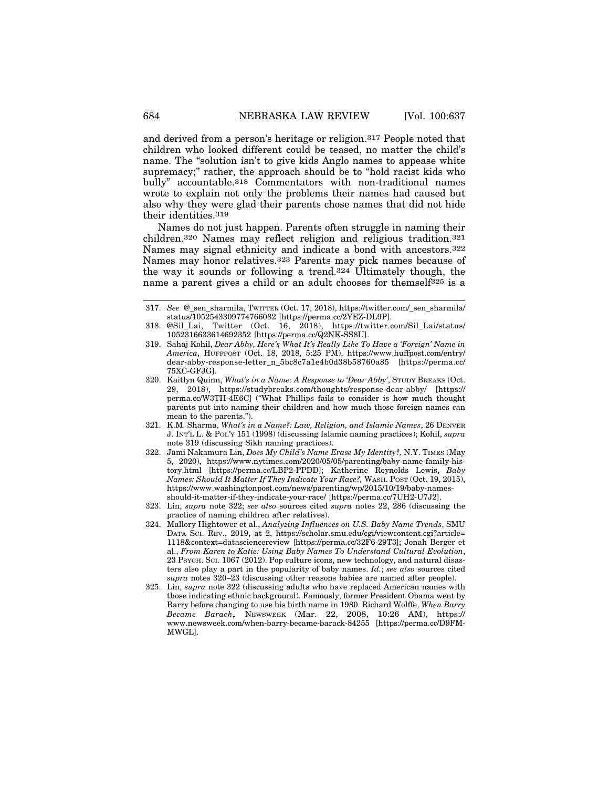and derived from a person's heritage or religion.317 People noted that children who looked different could be teased, no matter the child's name. The "solution isn't to give kids Anglo names to appease white supremacy;" rather, the approach should be to "hold racist kids who bully" accountable.318 Commentators with non-traditional names wrote to explain not only the problems their names had caused but also why they were glad their parents chose names that did not hide their identities.319

Names do not just happen. Parents often struggle in naming their children.320 Names may reflect religion and religious tradition.321 Names may signal ethnicity and indicate a bond with ancestors.322 Names may honor relatives.323 Parents may pick names because of the way it sounds or following a trend.324 Ultimately though, the name a parent gives a child or an adult chooses for themself<sup>325</sup> is a

- 319. Sahaj Kohil, *Dear Abby, Here's What It's Really Like To Have a 'Foreign' Name in America*, HUFFPOST (Oct. 18, 2018, 5:25 PM), https://www.huffpost.com/entry/ dear-abby-response-letter\_n\_5bc8c7a1e4b0d38b58760a85 [https://perma.cc/ 75XC-GFJG].
- 320. Kaitlyn Quinn, *What's in a Name: A Response to 'Dear Abby'*, STUDY BREAKS (Oct. 29, 2018), https://studybreaks.com/thoughts/response-dear-abby/ [https:// perma.cc/W3TH-4E6C] ("What Phillips fails to consider is how much thought parents put into naming their children and how much those foreign names can mean to the parents.").
- 321. K.M. Sharma, *What's in a Name?: Law, Religion, and Islamic Names*, 26 DENVER J. INT'L L. & POL'Y 151 (1998) (discussing Islamic naming practices); Kohil, *supra* note 319 (discussing Sikh naming practices).
- 322. Jami Nakamura Lin, *Does My Child's Name Erase My Identity?,* N.Y. TIMES (May 5, 2020), https://www.nytimes.com/2020/05/05/parenting/baby-name-family-history.html [https://perma.cc/LBP2-PPDD]; Katherine Reynolds Lewis, *Baby Names: Should It Matter If They Indicate Your Race?,* WASH. POST (Oct. 19, 2015), https://www.washingtonpost.com/news/parenting/wp/2015/10/19/baby-namesshould-it-matter-if-they-indicate-your-race/ [https://perma.cc/7UH2-U7J2].
- 323. Lin, *supra* note 322; *see also* sources cited *supra* notes 22, 286 (discussing the practice of naming children after relatives).
- 324. Mallory Hightower et al., *Analyzing Influences on U.S. Baby Name Trends*, SMU DATA SCI. REV., 2019, at 2, https://scholar.smu.edu/cgi/viewcontent.cgi?article= 1118&context=datasciencereview [https://perma.cc/32F6-29T3]; Jonah Berger et al., *From Karen to Katie: Using Baby Names To Understand Cultural Evolution*, 23 PSYCH. SCI. 1067 (2012). Pop culture icons, new technology, and natural disasters also play a part in the popularity of baby names. *Id.*; *see also* sources cited *supra* notes 320–23 (discussing other reasons babies are named after people).
- 325. Lin, *supra* note 322 (discussing adults who have replaced American names with those indicating ethnic background). Famously, former President Obama went by Barry before changing to use his birth name in 1980. Richard Wolffe, *When Barry Became Barack*, NEWSWEEK (Mar. 22, 2008, 10:26 AM), https:// www.newsweek.com/when-barry-became-barack-84255 [https://perma.cc/D9FM-MWGL].

<sup>317.</sup> *See* @\_sen\_sharmila, TWITTER (Oct. 17, 2018), https://twitter.com/\_sen\_sharmila/ status/1052543309774766082 [https://perma.cc/2YEZ-DL9P].

<sup>318. @</sup>Sil\_Lai, Twitter (Oct. 16, 2018), https://twitter.com/Sil\_Lai/status/ 1052316633614692352 [https://perma.cc/Q2NK-SS8U].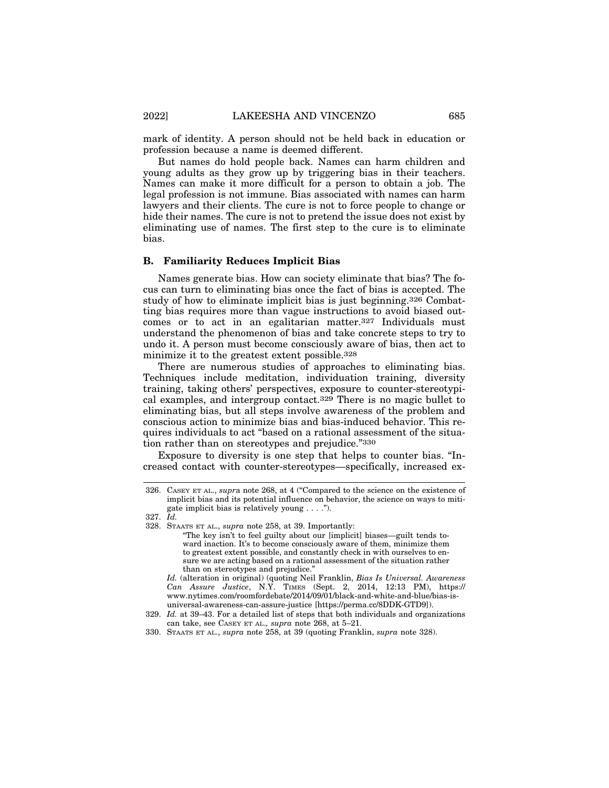mark of identity. A person should not be held back in education or profession because a name is deemed different.

But names do hold people back. Names can harm children and young adults as they grow up by triggering bias in their teachers. Names can make it more difficult for a person to obtain a job. The legal profession is not immune. Bias associated with names can harm lawyers and their clients. The cure is not to force people to change or hide their names. The cure is not to pretend the issue does not exist by eliminating use of names. The first step to the cure is to eliminate bias.

#### **B. Familiarity Reduces Implicit Bias**

Names generate bias. How can society eliminate that bias? The focus can turn to eliminating bias once the fact of bias is accepted. The study of how to eliminate implicit bias is just beginning.326 Combatting bias requires more than vague instructions to avoid biased outcomes or to act in an egalitarian matter.327 Individuals must understand the phenomenon of bias and take concrete steps to try to undo it. A person must become consciously aware of bias, then act to minimize it to the greatest extent possible.328

There are numerous studies of approaches to eliminating bias. Techniques include meditation, individuation training, diversity training, taking others' perspectives, exposure to counter-stereotypical examples, and intergroup contact.329 There is no magic bullet to eliminating bias, but all steps involve awareness of the problem and conscious action to minimize bias and bias-induced behavior. This requires individuals to act "based on a rational assessment of the situation rather than on stereotypes and prejudice."330

Exposure to diversity is one step that helps to counter bias. "Increased contact with counter-stereotypes—specifically, increased ex-

<sup>326.</sup> CASEY ET AL., *supr*a note 268, at 4 ("Compared to the science on the existence of implicit bias and its potential influence on behavior, the science on ways to mitigate implicit bias is relatively young . . . .").

<sup>327.</sup> *Id.*

<sup>328.</sup> STAATS ET AL., *supra* note 258, at 39. Importantly:

<sup>&</sup>quot;The key isn't to feel guilty about our [implicit] biases—guilt tends toward inaction. It's to become consciously aware of them, minimize them to greatest extent possible, and constantly check in with ourselves to ensure we are acting based on a rational assessment of the situation rather than on stereotypes and prejudice."

*Id.* (alteration in original) (quoting Neil Franklin, *Bias Is Universal. Awareness Can Assure Justice*, N.Y. TIMES (Sept. 2, 2014, 12:13 PM), https:// www.nytimes.com/roomfordebate/2014/09/01/black-and-white-and-blue/bias-isuniversal-awareness-can-assure-justice [https://perma.cc/8DDK-GTD9]).

<sup>329.</sup> *Id.* at 39–43. For a detailed list of steps that both individuals and organizations can take, see CASEY ET AL.*, supra* note 268, at 5–21.

<sup>330.</sup> STAATS ET AL., *supra* note 258, at 39 (quoting Franklin, *supra* note 328).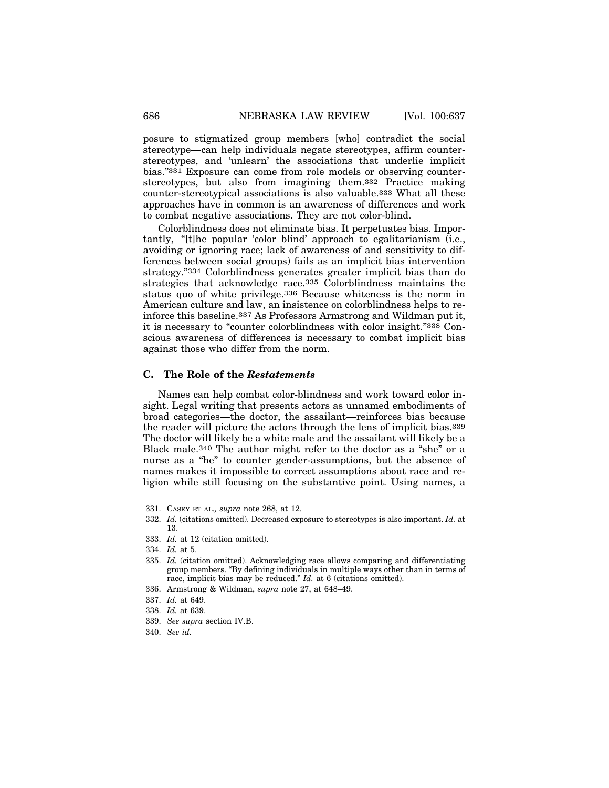posure to stigmatized group members [who] contradict the social stereotype—can help individuals negate stereotypes, affirm counterstereotypes, and 'unlearn' the associations that underlie implicit bias."331 Exposure can come from role models or observing counterstereotypes, but also from imagining them.332 Practice making counter-stereotypical associations is also valuable.333 What all these approaches have in common is an awareness of differences and work to combat negative associations. They are not color-blind.

Colorblindness does not eliminate bias. It perpetuates bias. Importantly, "[t]he popular 'color blind' approach to egalitarianism (i.e., avoiding or ignoring race; lack of awareness of and sensitivity to differences between social groups) fails as an implicit bias intervention strategy."334 Colorblindness generates greater implicit bias than do strategies that acknowledge race.335 Colorblindness maintains the status quo of white privilege.336 Because whiteness is the norm in American culture and law, an insistence on colorblindness helps to reinforce this baseline.337 As Professors Armstrong and Wildman put it, it is necessary to "counter colorblindness with color insight."338 Conscious awareness of differences is necessary to combat implicit bias against those who differ from the norm.

#### **C. The Role of the** *Restatements*

Names can help combat color-blindness and work toward color insight. Legal writing that presents actors as unnamed embodiments of broad categories—the doctor, the assailant—reinforces bias because the reader will picture the actors through the lens of implicit bias.339 The doctor will likely be a white male and the assailant will likely be a Black male.340 The author might refer to the doctor as a "she" or a nurse as a "he" to counter gender-assumptions, but the absence of names makes it impossible to correct assumptions about race and religion while still focusing on the substantive point. Using names, a

<sup>331.</sup> CASEY ET AL.*, supra* note 268, at 12.

<sup>332.</sup> *Id.* (citations omitted). Decreased exposure to stereotypes is also important. *Id.* at 13.

<sup>333.</sup> *Id.* at 12 (citation omitted).

<sup>334.</sup> *Id.* at 5.

<sup>335.</sup> *Id.* (citation omitted). Acknowledging race allows comparing and differentiating group members. "By defining individuals in multiple ways other than in terms of race, implicit bias may be reduced." *Id.* at 6 (citations omitted).

<sup>336.</sup> Armstrong & Wildman, *supra* note 27, at 648–49.

<sup>337.</sup> *Id.* at 649.

<sup>338.</sup> *Id.* at 639.

<sup>339.</sup> *See supra* section IV.B.

<sup>340.</sup> *See id.*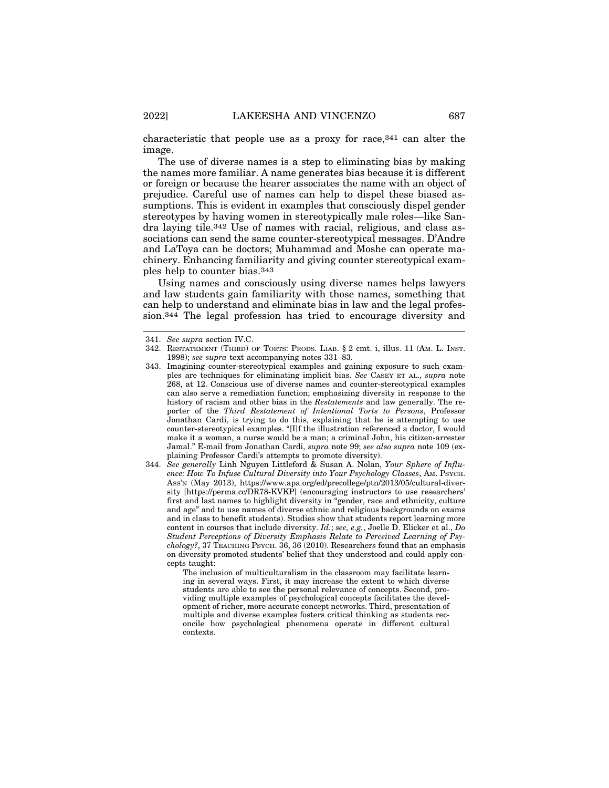characteristic that people use as a proxy for race,341 can alter the image.

The use of diverse names is a step to eliminating bias by making the names more familiar. A name generates bias because it is different or foreign or because the hearer associates the name with an object of prejudice. Careful use of names can help to dispel these biased assumptions. This is evident in examples that consciously dispel gender stereotypes by having women in stereotypically male roles—like Sandra laying tile.342 Use of names with racial, religious, and class associations can send the same counter-stereotypical messages. D'Andre and LaToya can be doctors; Muhammad and Moshe can operate machinery. Enhancing familiarity and giving counter stereotypical examples help to counter bias.343

Using names and consciously using diverse names helps lawyers and law students gain familiarity with those names, something that can help to understand and eliminate bias in law and the legal profession.344 The legal profession has tried to encourage diversity and

The inclusion of multiculturalism in the classroom may facilitate learning in several ways. First, it may increase the extent to which diverse students are able to see the personal relevance of concepts. Second, providing multiple examples of psychological concepts facilitates the development of richer, more accurate concept networks. Third, presentation of multiple and diverse examples fosters critical thinking as students reconcile how psychological phenomena operate in different cultural contexts.

<sup>341.</sup> *See supra* section IV.C.

<sup>342.</sup> RESTATEMENT (THIRD) OF TORTS: PRODS. LIAB. § 2 cmt. i, illus. 11 (AM. L. INST. 1998); *see supra* text accompanying notes 331–83.

<sup>343.</sup> Imagining counter-stereotypical examples and gaining exposure to such examples are techniques for eliminating implicit bias. *See* CASEY ET AL., *supra* note 268, at 12. Conscious use of diverse names and counter-stereotypical examples can also serve a remediation function; emphasizing diversity in response to the history of racism and other bias in the *Restatements* and law generally. The reporter of the *Third Restatement of Intentional Torts to Persons*, Professor Jonathan Cardi, is trying to do this, explaining that he is attempting to use counter-stereotypical examples. "[I]f the illustration referenced a doctor, I would make it a woman, a nurse would be a man; a criminal John, his citizen-arrester Jamal." E-mail from Jonathan Cardi, *supra* note 99; *see also supra* note 109 (explaining Professor Cardi's attempts to promote diversity).

<sup>344.</sup> *See generally* Linh Nguyen Littleford & Susan A. Nolan, *Your Sphere of Influence: How To Infuse Cultural Diversity into Your Psychology Classes*, AM. PSYCH. ASS'N (May 2013), https://www.apa.org/ed/precollege/ptn/2013/05/cultural-diversity [https://perma.cc/DR78-KVKP] (encouraging instructors to use researchers' first and last names to highlight diversity in "gender, race and ethnicity, culture and age" and to use names of diverse ethnic and religious backgrounds on exams and in class to benefit students). Studies show that students report learning more content in courses that include diversity. *Id.*; *see, e.g.*, Joelle D. Elicker et al., *Do Student Perceptions of Diversity Emphasis Relate to Perceived Learning of Psychology?*, 37 TEACHING PSYCH. 36, 36 (2010). Researchers found that an emphasis on diversity promoted students' belief that they understood and could apply concepts taught: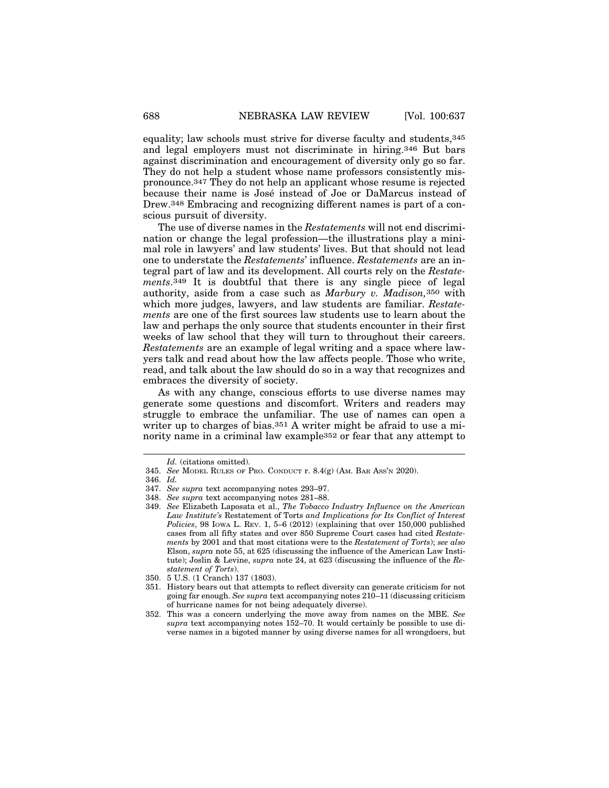equality; law schools must strive for diverse faculty and students,345 and legal employers must not discriminate in hiring.346 But bars against discrimination and encouragement of diversity only go so far. They do not help a student whose name professors consistently mispronounce.347 They do not help an applicant whose resume is rejected because their name is José instead of Joe or DaMarcus instead of Drew.348 Embracing and recognizing different names is part of a conscious pursuit of diversity.

The use of diverse names in the *Restatements* will not end discrimination or change the legal profession—the illustrations play a minimal role in lawyers' and law students' lives. But that should not lead one to understate the *Restatements*' influence. *Restatements* are an integral part of law and its development. All courts rely on the *Restatements*.349 It is doubtful that there is any single piece of legal authority, aside from a case such as *Marbury v. Madison,*350 with which more judges, lawyers, and law students are familiar. *Restatements* are one of the first sources law students use to learn about the law and perhaps the only source that students encounter in their first weeks of law school that they will turn to throughout their careers. *Restatements* are an example of legal writing and a space where lawyers talk and read about how the law affects people. Those who write, read, and talk about the law should do so in a way that recognizes and embraces the diversity of society.

As with any change, conscious efforts to use diverse names may generate some questions and discomfort. Writers and readers may struggle to embrace the unfamiliar. The use of names can open a writer up to charges of bias.<sup>351</sup> A writer might be afraid to use a minority name in a criminal law example352 or fear that any attempt to

*Id.* (citations omitted).

<sup>345.</sup> *See* MODEL RULES OF PRO. CONDUCT r. 8.4(g) (AM. BAR ASS'N 2020).

<sup>346.</sup> *Id.*

<sup>347.</sup> *See supra* text accompanying notes 293–97.

<sup>348.</sup> *See supra* text accompanying notes 281–88.

<sup>349.</sup> *See* Elizabeth Laposata et al., *The Tobacco Industry Influence on the American Law Institute's* Restatement of Torts *and Implications for Its Conflict of Interest Policies*, 98 IOWA L. REV. 1, 5–6 (2012) (explaining that over 150,000 published cases from all fifty states and over 850 Supreme Court cases had cited *Restatements* by 2001 and that most citations were to the *Restatement of Torts*); *see also* Elson, *supra* note 55, at 625 (discussing the influence of the American Law Institute); Joslin & Levine, *supra* note 24, at 623 (discussing the influence of the *Restatement of Torts*).

<sup>350. 5</sup> U.S. (1 Cranch) 137 (1803).

<sup>351.</sup> History bears out that attempts to reflect diversity can generate criticism for not going far enough. *See supra* text accompanying notes 210–11 (discussing criticism of hurricane names for not being adequately diverse).

<sup>352.</sup> This was a concern underlying the move away from names on the MBE. *See supra* text accompanying notes 152–70. It would certainly be possible to use diverse names in a bigoted manner by using diverse names for all wrongdoers, but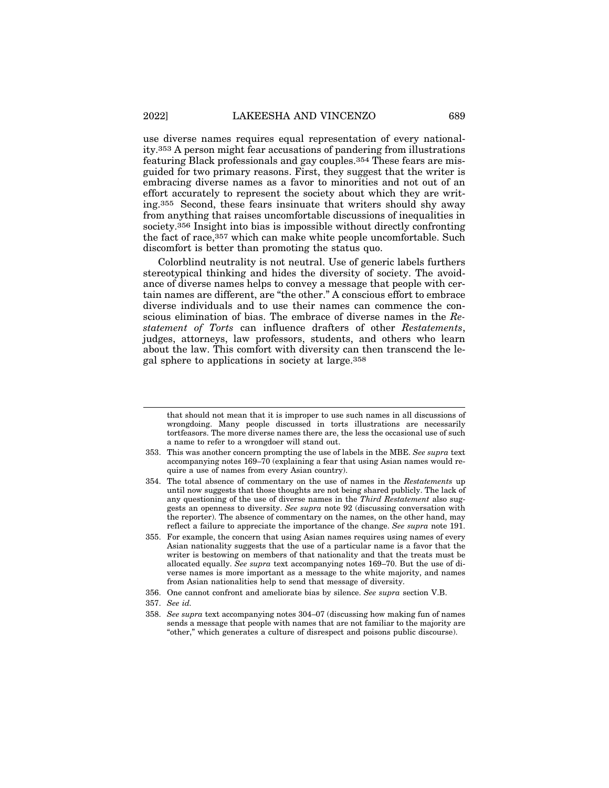use diverse names requires equal representation of every nationality.353 A person might fear accusations of pandering from illustrations featuring Black professionals and gay couples.354 These fears are misguided for two primary reasons. First, they suggest that the writer is embracing diverse names as a favor to minorities and not out of an effort accurately to represent the society about which they are writing.355 Second, these fears insinuate that writers should shy away from anything that raises uncomfortable discussions of inequalities in society.356 Insight into bias is impossible without directly confronting the fact of race,357 which can make white people uncomfortable. Such discomfort is better than promoting the status quo.

Colorblind neutrality is not neutral. Use of generic labels furthers stereotypical thinking and hides the diversity of society. The avoidance of diverse names helps to convey a message that people with certain names are different, are "the other." A conscious effort to embrace diverse individuals and to use their names can commence the conscious elimination of bias. The embrace of diverse names in the *Restatement of Torts* can influence drafters of other *Restatements*, judges, attorneys, law professors, students, and others who learn about the law. This comfort with diversity can then transcend the legal sphere to applications in society at large.358

that should not mean that it is improper to use such names in all discussions of wrongdoing. Many people discussed in torts illustrations are necessarily tortfeasors. The more diverse names there are, the less the occasional use of such a name to refer to a wrongdoer will stand out.

<sup>353.</sup> This was another concern prompting the use of labels in the MBE. *See supra* text accompanying notes 169–70 (explaining a fear that using Asian names would require a use of names from every Asian country).

<sup>354.</sup> The total absence of commentary on the use of names in the *Restatements* up until now suggests that those thoughts are not being shared publicly. The lack of any questioning of the use of diverse names in the *Third Restatement* also suggests an openness to diversity. *See supra* note 92 (discussing conversation with the reporter). The absence of commentary on the names, on the other hand, may reflect a failure to appreciate the importance of the change. *See supra* note 191.

<sup>355.</sup> For example, the concern that using Asian names requires using names of every Asian nationality suggests that the use of a particular name is a favor that the writer is bestowing on members of that nationality and that the treats must be allocated equally. *See supra* text accompanying notes 169–70. But the use of diverse names is more important as a message to the white majority, and names from Asian nationalities help to send that message of diversity.

<sup>356.</sup> One cannot confront and ameliorate bias by silence. *See supra* section V.B.

<sup>357.</sup> *See id.*

<sup>358.</sup> *See supra* text accompanying notes 304–07 (discussing how making fun of names sends a message that people with names that are not familiar to the majority are "other," which generates a culture of disrespect and poisons public discourse).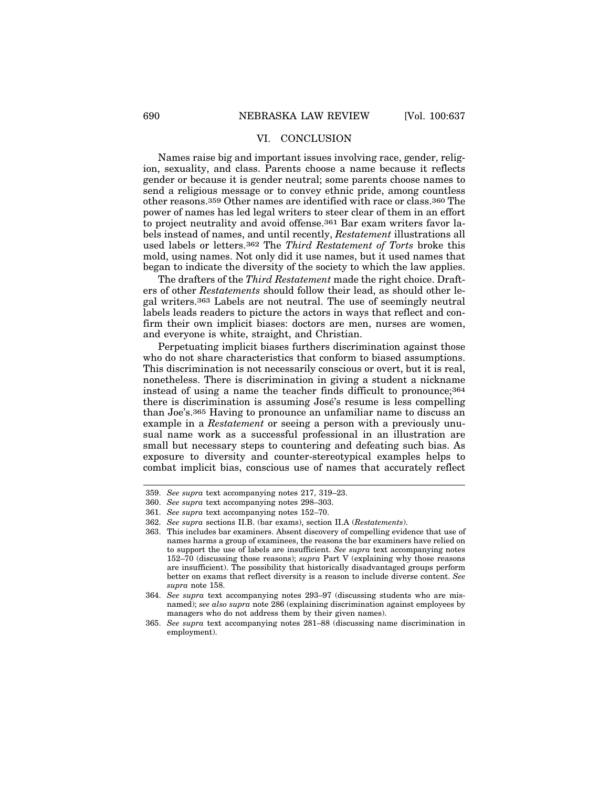#### VI. CONCLUSION

Names raise big and important issues involving race, gender, religion, sexuality, and class. Parents choose a name because it reflects gender or because it is gender neutral; some parents choose names to send a religious message or to convey ethnic pride, among countless other reasons.359 Other names are identified with race or class.360 The power of names has led legal writers to steer clear of them in an effort to project neutrality and avoid offense.361 Bar exam writers favor labels instead of names, and until recently, *Restatement* illustrations all used labels or letters.362 The *Third Restatement of Torts* broke this mold, using names. Not only did it use names, but it used names that began to indicate the diversity of the society to which the law applies.

The drafters of the *Third Restatement* made the right choice. Drafters of other *Restatements* should follow their lead, as should other legal writers.363 Labels are not neutral. The use of seemingly neutral labels leads readers to picture the actors in ways that reflect and confirm their own implicit biases: doctors are men, nurses are women, and everyone is white, straight, and Christian.

Perpetuating implicit biases furthers discrimination against those who do not share characteristics that conform to biased assumptions. This discrimination is not necessarily conscious or overt, but it is real, nonetheless. There is discrimination in giving a student a nickname instead of using a name the teacher finds difficult to pronounce;364 there is discrimination is assuming José's resume is less compelling than Joe's.365 Having to pronounce an unfamiliar name to discuss an example in a *Restatement* or seeing a person with a previously unusual name work as a successful professional in an illustration are small but necessary steps to countering and defeating such bias. As exposure to diversity and counter-stereotypical examples helps to combat implicit bias, conscious use of names that accurately reflect

<sup>359.</sup> *See supra* text accompanying notes 217, 319–23.

<sup>360.</sup> *See supra* text accompanying notes 298–303.

<sup>361.</sup> *See supra* text accompanying notes 152–70.

<sup>362.</sup> *See supra* sections II.B. (bar exams), section II.A (*Restatements*).

<sup>363.</sup> This includes bar examiners. Absent discovery of compelling evidence that use of names harms a group of examinees, the reasons the bar examiners have relied on to support the use of labels are insufficient. *See supra* text accompanying notes 152–70 (discussing those reasons); *supra* Part V (explaining why those reasons are insufficient). The possibility that historically disadvantaged groups perform better on exams that reflect diversity is a reason to include diverse content. *See supra* note 158.

<sup>364.</sup> *See supra* text accompanying notes 293–97 (discussing students who are misnamed); *see also supra* note 286 (explaining discrimination against employees by managers who do not address them by their given names).

<sup>365.</sup> *See supra* text accompanying notes 281–88 (discussing name discrimination in employment).